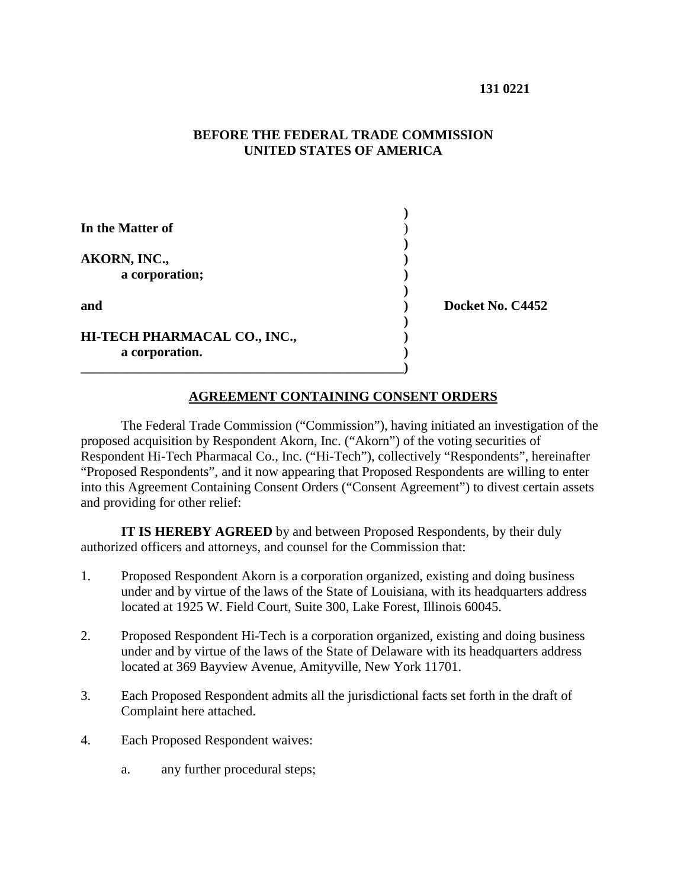### **BEFORE THE FEDERAL TRADE COMMISSION UNITED STATES OF AMERICA**

| In the Matter of                               |                  |
|------------------------------------------------|------------------|
| AKORN, INC.,<br>a corporation;                 |                  |
| and                                            | Docket No. C4452 |
| HI-TECH PHARMACAL CO., INC.,<br>a corporation. |                  |

### **AGREEMENT CONTAINING CONSENT ORDERS**

The Federal Trade Commission ("Commission"), having initiated an investigation of the proposed acquisition by Respondent Akorn, Inc. ("Akorn") of the voting securities of Respondent Hi-Tech Pharmacal Co., Inc. ("Hi-Tech"), collectively "Respondents", hereinafter "Proposed Respondents", and it now appearing that Proposed Respondents are willing to enter into this Agreement Containing Consent Orders ("Consent Agreement") to divest certain assets and providing for other relief:

**IT IS HEREBY AGREED** by and between Proposed Respondents, by their duly authorized officers and attorneys, and counsel for the Commission that:

- 1. Proposed Respondent Akorn is a corporation organized, existing and doing business under and by virtue of the laws of the State of Louisiana, with its headquarters address located at 1925 W. Field Court, Suite 300, Lake Forest, Illinois 60045.
- 2. Proposed Respondent Hi-Tech is a corporation organized, existing and doing business under and by virtue of the laws of the State of Delaware with its headquarters address located at 369 Bayview Avenue, Amityville, New York 11701.
- 3. Each Proposed Respondent admits all the jurisdictional facts set forth in the draft of Complaint here attached.
- 4. Each Proposed Respondent waives:
	- a. any further procedural steps;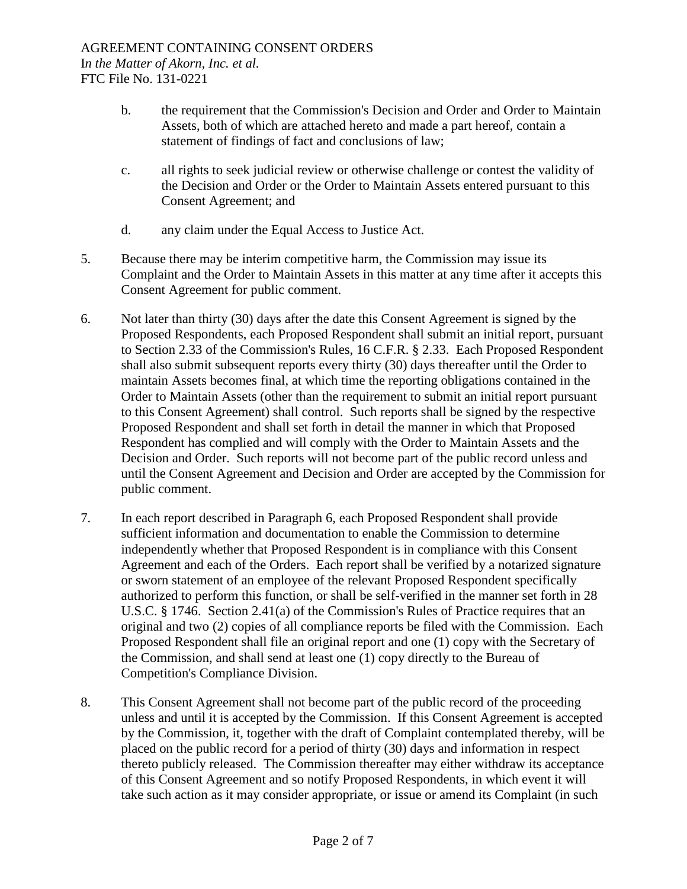- b. the requirement that the Commission's Decision and Order and Order to Maintain Assets, both of which are attached hereto and made a part hereof, contain a statement of findings of fact and conclusions of law;
- c. all rights to seek judicial review or otherwise challenge or contest the validity of the Decision and Order or the Order to Maintain Assets entered pursuant to this Consent Agreement; and
- d. any claim under the Equal Access to Justice Act.
- 5. Because there may be interim competitive harm, the Commission may issue its Complaint and the Order to Maintain Assets in this matter at any time after it accepts this Consent Agreement for public comment.
- 6. Not later than thirty (30) days after the date this Consent Agreement is signed by the Proposed Respondents, each Proposed Respondent shall submit an initial report, pursuant to Section 2.33 of the Commission's Rules, 16 C.F.R. § 2.33. Each Proposed Respondent shall also submit subsequent reports every thirty (30) days thereafter until the Order to maintain Assets becomes final, at which time the reporting obligations contained in the Order to Maintain Assets (other than the requirement to submit an initial report pursuant to this Consent Agreement) shall control. Such reports shall be signed by the respective Proposed Respondent and shall set forth in detail the manner in which that Proposed Respondent has complied and will comply with the Order to Maintain Assets and the Decision and Order. Such reports will not become part of the public record unless and until the Consent Agreement and Decision and Order are accepted by the Commission for public comment.
- 7. In each report described in Paragraph 6, each Proposed Respondent shall provide sufficient information and documentation to enable the Commission to determine independently whether that Proposed Respondent is in compliance with this Consent Agreement and each of the Orders. Each report shall be verified by a notarized signature or sworn statement of an employee of the relevant Proposed Respondent specifically authorized to perform this function, or shall be self-verified in the manner set forth in 28 U.S.C. § 1746. Section 2.41(a) of the Commission's Rules of Practice requires that an original and two (2) copies of all compliance reports be filed with the Commission. Each Proposed Respondent shall file an original report and one (1) copy with the Secretary of the Commission, and shall send at least one (1) copy directly to the Bureau of Competition's Compliance Division.
- 8. This Consent Agreement shall not become part of the public record of the proceeding unless and until it is accepted by the Commission. If this Consent Agreement is accepted by the Commission, it, together with the draft of Complaint contemplated thereby, will be placed on the public record for a period of thirty (30) days and information in respect thereto publicly released. The Commission thereafter may either withdraw its acceptance of this Consent Agreement and so notify Proposed Respondents, in which event it will take such action as it may consider appropriate, or issue or amend its Complaint (in such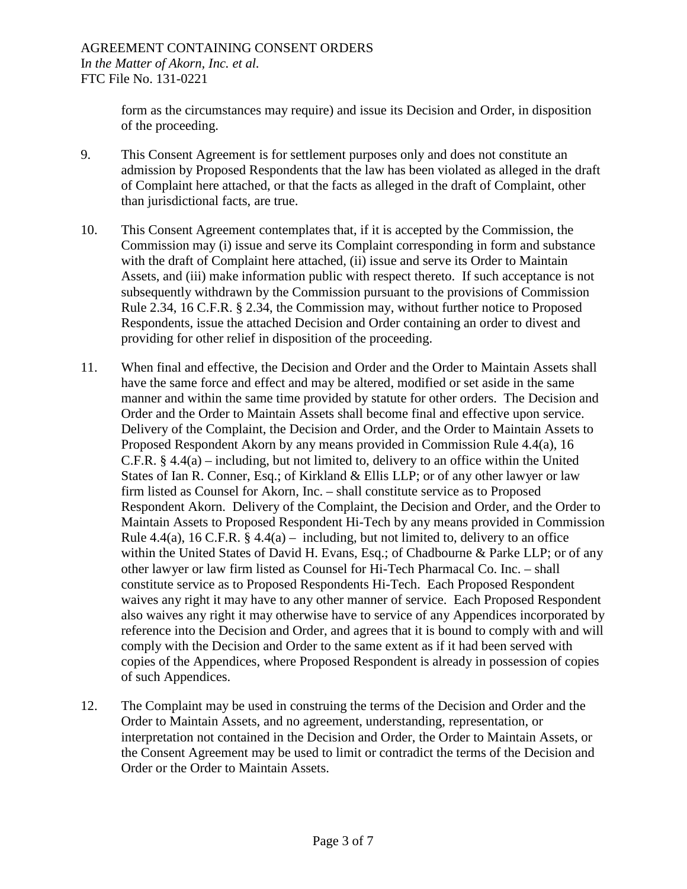form as the circumstances may require) and issue its Decision and Order, in disposition of the proceeding.

- 9. This Consent Agreement is for settlement purposes only and does not constitute an admission by Proposed Respondents that the law has been violated as alleged in the draft of Complaint here attached, or that the facts as alleged in the draft of Complaint, other than jurisdictional facts, are true.
- 10. This Consent Agreement contemplates that, if it is accepted by the Commission, the Commission may (i) issue and serve its Complaint corresponding in form and substance with the draft of Complaint here attached, (ii) issue and serve its Order to Maintain Assets, and (iii) make information public with respect thereto. If such acceptance is not subsequently withdrawn by the Commission pursuant to the provisions of Commission Rule 2.34, 16 C.F.R. § 2.34, the Commission may, without further notice to Proposed Respondents, issue the attached Decision and Order containing an order to divest and providing for other relief in disposition of the proceeding.
- 11. When final and effective, the Decision and Order and the Order to Maintain Assets shall have the same force and effect and may be altered, modified or set aside in the same manner and within the same time provided by statute for other orders. The Decision and Order and the Order to Maintain Assets shall become final and effective upon service. Delivery of the Complaint, the Decision and Order, and the Order to Maintain Assets to Proposed Respondent Akorn by any means provided in Commission Rule 4.4(a), 16 C.F.R.  $\S$  4.4(a) – including, but not limited to, delivery to an office within the United States of Ian R. Conner, Esq.; of Kirkland & Ellis LLP; or of any other lawyer or law firm listed as Counsel for Akorn, Inc. – shall constitute service as to Proposed Respondent Akorn. Delivery of the Complaint, the Decision and Order, and the Order to Maintain Assets to Proposed Respondent Hi-Tech by any means provided in Commission Rule 4.4(a), 16 C.F.R.  $\S$  4.4(a) – including, but not limited to, delivery to an office within the United States of David H. Evans, Esq.; of Chadbourne & Parke LLP; or of any other lawyer or law firm listed as Counsel for Hi-Tech Pharmacal Co. Inc. – shall constitute service as to Proposed Respondents Hi-Tech. Each Proposed Respondent waives any right it may have to any other manner of service. Each Proposed Respondent also waives any right it may otherwise have to service of any Appendices incorporated by reference into the Decision and Order, and agrees that it is bound to comply with and will comply with the Decision and Order to the same extent as if it had been served with copies of the Appendices, where Proposed Respondent is already in possession of copies of such Appendices.
- 12. The Complaint may be used in construing the terms of the Decision and Order and the Order to Maintain Assets, and no agreement, understanding, representation, or interpretation not contained in the Decision and Order, the Order to Maintain Assets, or the Consent Agreement may be used to limit or contradict the terms of the Decision and Order or the Order to Maintain Assets.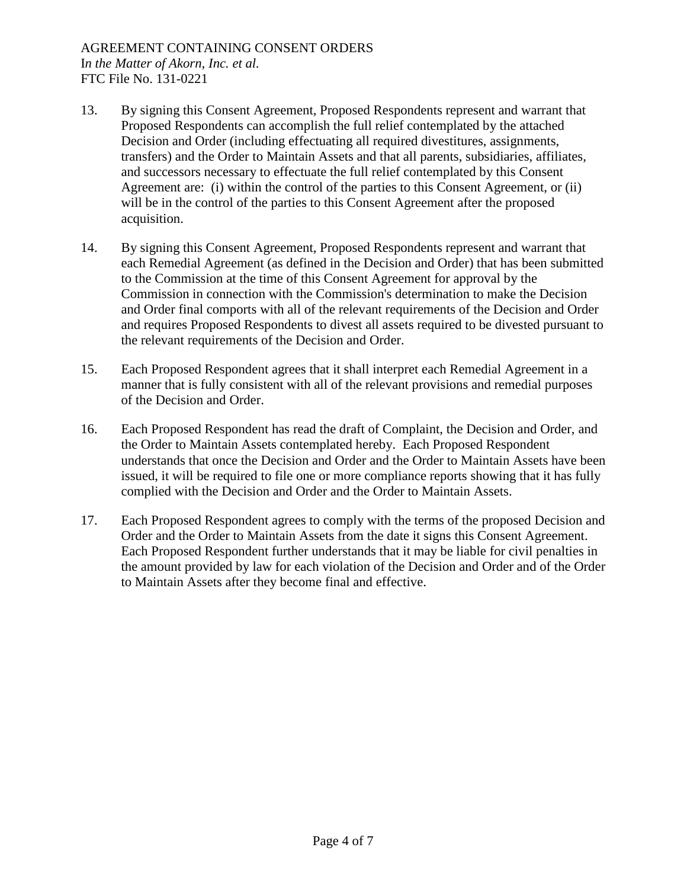- 13. By signing this Consent Agreement, Proposed Respondents represent and warrant that Proposed Respondents can accomplish the full relief contemplated by the attached Decision and Order (including effectuating all required divestitures, assignments, transfers) and the Order to Maintain Assets and that all parents, subsidiaries, affiliates, and successors necessary to effectuate the full relief contemplated by this Consent Agreement are: (i) within the control of the parties to this Consent Agreement, or (ii) will be in the control of the parties to this Consent Agreement after the proposed acquisition.
- 14. By signing this Consent Agreement, Proposed Respondents represent and warrant that each Remedial Agreement (as defined in the Decision and Order) that has been submitted to the Commission at the time of this Consent Agreement for approval by the Commission in connection with the Commission's determination to make the Decision and Order final comports with all of the relevant requirements of the Decision and Order and requires Proposed Respondents to divest all assets required to be divested pursuant to the relevant requirements of the Decision and Order.
- 15. Each Proposed Respondent agrees that it shall interpret each Remedial Agreement in a manner that is fully consistent with all of the relevant provisions and remedial purposes of the Decision and Order.
- 16. Each Proposed Respondent has read the draft of Complaint, the Decision and Order, and the Order to Maintain Assets contemplated hereby. Each Proposed Respondent understands that once the Decision and Order and the Order to Maintain Assets have been issued, it will be required to file one or more compliance reports showing that it has fully complied with the Decision and Order and the Order to Maintain Assets.
- 17. Each Proposed Respondent agrees to comply with the terms of the proposed Decision and Order and the Order to Maintain Assets from the date it signs this Consent Agreement. Each Proposed Respondent further understands that it may be liable for civil penalties in the amount provided by law for each violation of the Decision and Order and of the Order to Maintain Assets after they become final and effective.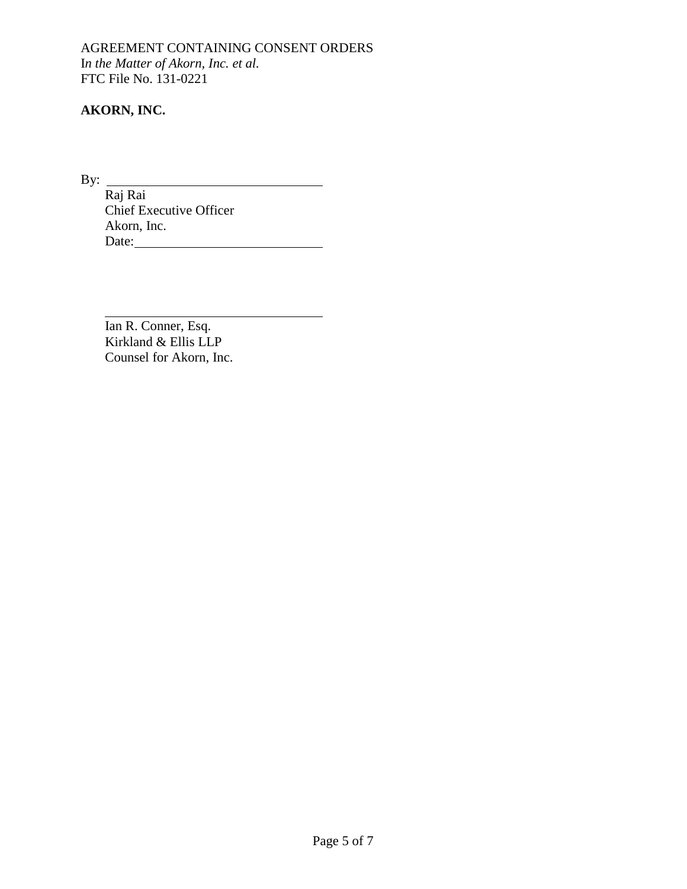AGREEMENT CONTAINING CONSENT ORDERS I*n the Matter of Akorn, Inc. et al.* FTC File No. 131-0221

## **AKORN, INC.**

By:  $\frac{1}{R_0 + R_0}$ Raj Rai Chief Executive Officer Akorn, Inc. Date:

Ian R. Conner, Esq. Kirkland & Ellis LLP Counsel for Akorn, Inc.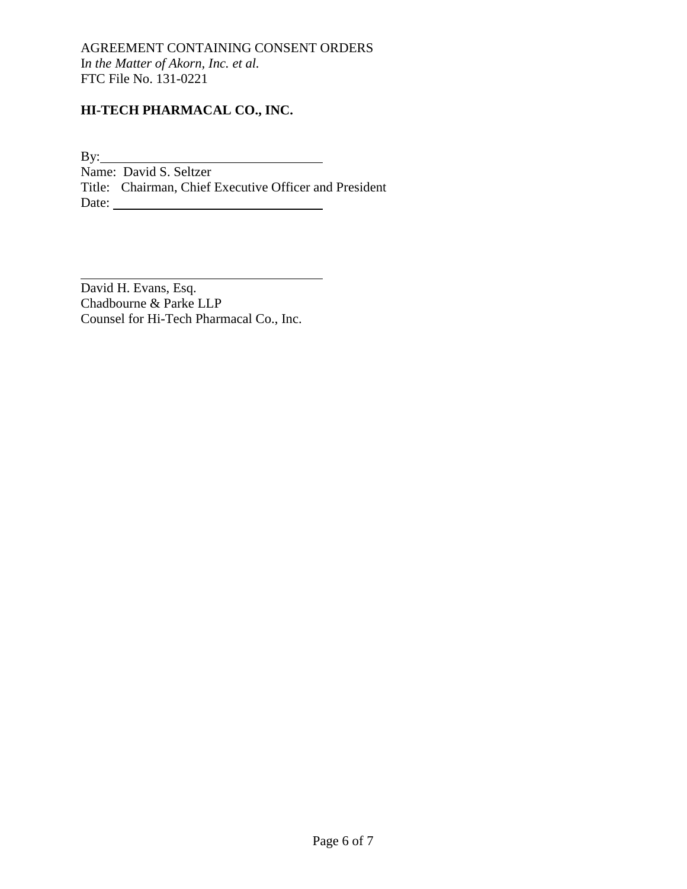## **HI-TECH PHARMACAL CO., INC.**

By: Name: David S. Seltzer Title: Chairman, Chief Executive Officer and President Date:

David H. Evans, Esq. Chadbourne & Parke LLP Counsel for Hi-Tech Pharmacal Co., Inc.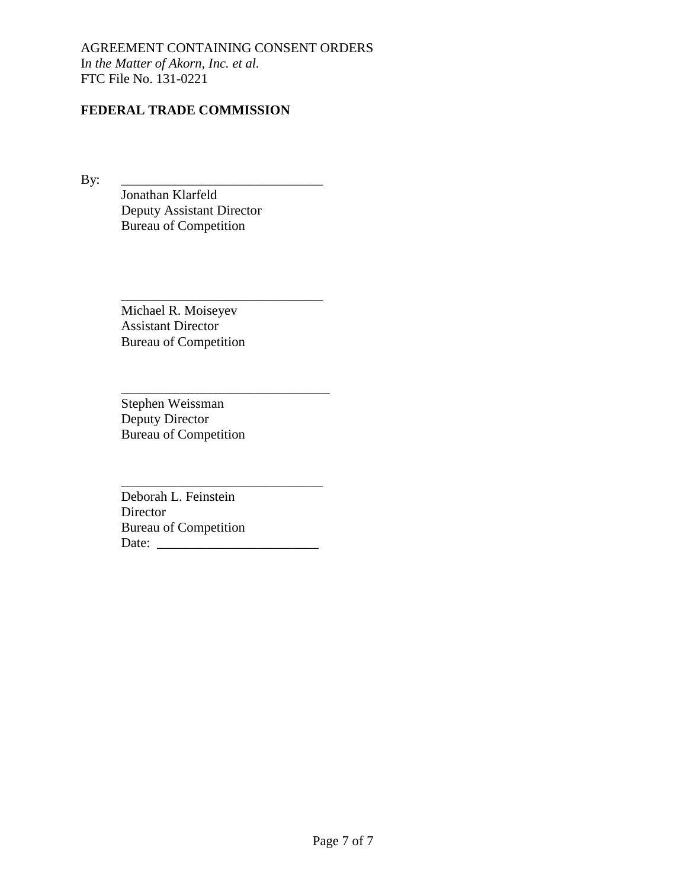## **FEDERAL TRADE COMMISSION**

By: \_\_\_\_\_\_\_\_\_\_\_\_\_\_\_\_\_\_\_\_\_\_\_\_\_\_\_\_\_\_

Jonathan Klarfeld Deputy Assistant Director Bureau of Competition

Michael R. Moiseyev Assistant Director Bureau of Competition

\_\_\_\_\_\_\_\_\_\_\_\_\_\_\_\_\_\_\_\_\_\_\_\_\_\_\_\_\_\_

\_\_\_\_\_\_\_\_\_\_\_\_\_\_\_\_\_\_\_\_\_\_\_\_\_\_\_\_\_\_\_

\_\_\_\_\_\_\_\_\_\_\_\_\_\_\_\_\_\_\_\_\_\_\_\_\_\_\_\_\_\_

Stephen Weissman Deputy Director Bureau of Competition

Deborah L. Feinstein Director Bureau of Competition Date: \_\_\_\_\_\_\_\_\_\_\_\_\_\_\_\_\_\_\_\_\_\_\_\_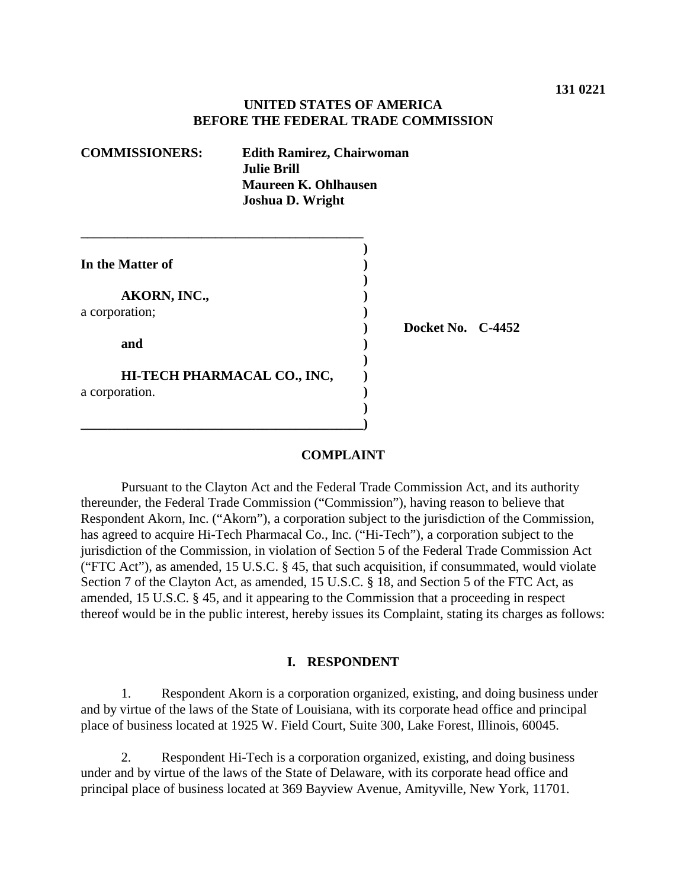### **UNITED STATES OF AMERICA BEFORE THE FEDERAL TRADE COMMISSION**

| <b>COMMISSIONERS:</b> | <b>Edith Ramirez, Chairwoman</b><br><b>Julie Brill</b><br><b>Maureen K. Ohlhausen</b><br><b>Joshua D. Wright</b> |  |          |
|-----------------------|------------------------------------------------------------------------------------------------------------------|--|----------|
|                       |                                                                                                                  |  |          |
| In the Matter of      |                                                                                                                  |  |          |
|                       |                                                                                                                  |  |          |
| AKORN, INC.,          |                                                                                                                  |  |          |
| a corporation;        |                                                                                                                  |  |          |
|                       |                                                                                                                  |  | Docket N |
| and                   |                                                                                                                  |  |          |
|                       | HI-TECH PHARMACAL CO., INC,                                                                                      |  |          |
| a corporation.        |                                                                                                                  |  |          |
|                       |                                                                                                                  |  |          |
|                       |                                                                                                                  |  |          |

# **No. C-4452**

#### **COMPLAINT**

Pursuant to the Clayton Act and the Federal Trade Commission Act, and its authority thereunder, the Federal Trade Commission ("Commission"), having reason to believe that Respondent Akorn, Inc. ("Akorn"), a corporation subject to the jurisdiction of the Commission, has agreed to acquire Hi-Tech Pharmacal Co., Inc. ("Hi-Tech"), a corporation subject to the jurisdiction of the Commission, in violation of Section 5 of the Federal Trade Commission Act ("FTC Act"), as amended, 15 U.S.C. § 45, that such acquisition, if consummated, would violate Section 7 of the Clayton Act, as amended, 15 U.S.C. § 18, and Section 5 of the FTC Act, as amended, 15 U.S.C. § 45, and it appearing to the Commission that a proceeding in respect thereof would be in the public interest, hereby issues its Complaint, stating its charges as follows:

#### **I. RESPONDENT**

1. Respondent Akorn is a corporation organized, existing, and doing business under and by virtue of the laws of the State of Louisiana, with its corporate head office and principal place of business located at 1925 W. Field Court, Suite 300, Lake Forest, Illinois, 60045.

2. Respondent Hi-Tech is a corporation organized, existing, and doing business under and by virtue of the laws of the State of Delaware, with its corporate head office and principal place of business located at 369 Bayview Avenue, Amityville, New York, 11701.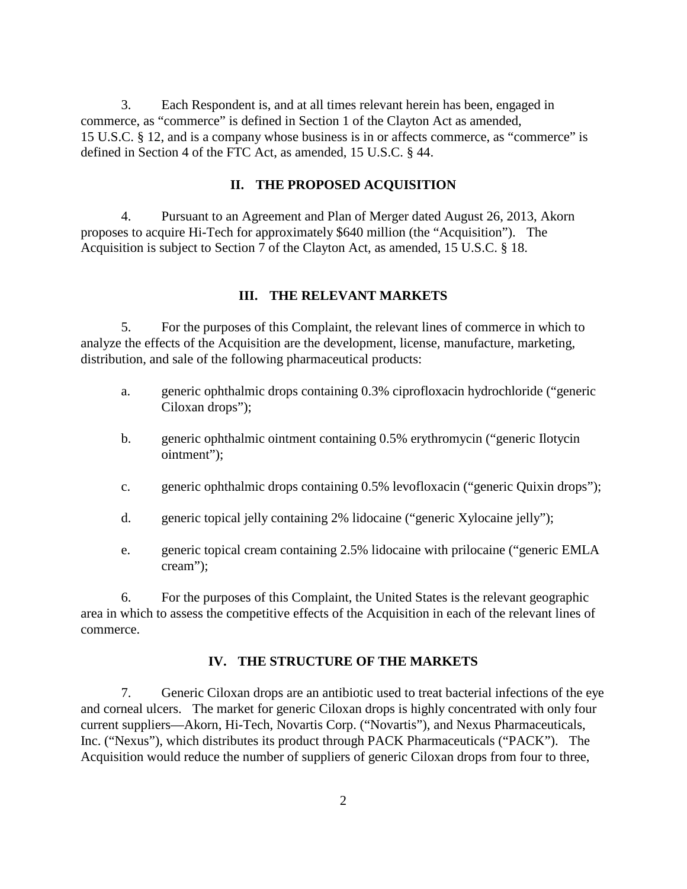3. Each Respondent is, and at all times relevant herein has been, engaged in commerce, as "commerce" is defined in Section 1 of the Clayton Act as amended, 15 U.S.C. § 12, and is a company whose business is in or affects commerce, as "commerce" is defined in Section 4 of the FTC Act, as amended, 15 U.S.C. § 44.

### **II. THE PROPOSED ACQUISITION**

4. Pursuant to an Agreement and Plan of Merger dated August 26, 2013, Akorn proposes to acquire Hi-Tech for approximately \$640 million (the "Acquisition"). The Acquisition is subject to Section 7 of the Clayton Act, as amended, 15 U.S.C. § 18.

#### **III. THE RELEVANT MARKETS**

5. For the purposes of this Complaint, the relevant lines of commerce in which to analyze the effects of the Acquisition are the development, license, manufacture, marketing, distribution, and sale of the following pharmaceutical products:

- a. generic ophthalmic drops containing 0.3% ciprofloxacin hydrochloride ("generic Ciloxan drops");
- b. generic ophthalmic ointment containing 0.5% erythromycin ("generic Ilotycin ointment");
- c. generic ophthalmic drops containing 0.5% levofloxacin ("generic Quixin drops");
- d. generic topical jelly containing 2% lidocaine ("generic Xylocaine jelly");
- e. generic topical cream containing 2.5% lidocaine with prilocaine ("generic EMLA cream");

6. For the purposes of this Complaint, the United States is the relevant geographic area in which to assess the competitive effects of the Acquisition in each of the relevant lines of commerce.

#### **IV. THE STRUCTURE OF THE MARKETS**

7. Generic Ciloxan drops are an antibiotic used to treat bacterial infections of the eye and corneal ulcers. The market for generic Ciloxan drops is highly concentrated with only four current suppliers—Akorn, Hi-Tech, Novartis Corp. ("Novartis"), and Nexus Pharmaceuticals, Inc. ("Nexus"), which distributes its product through PACK Pharmaceuticals ("PACK"). The Acquisition would reduce the number of suppliers of generic Ciloxan drops from four to three,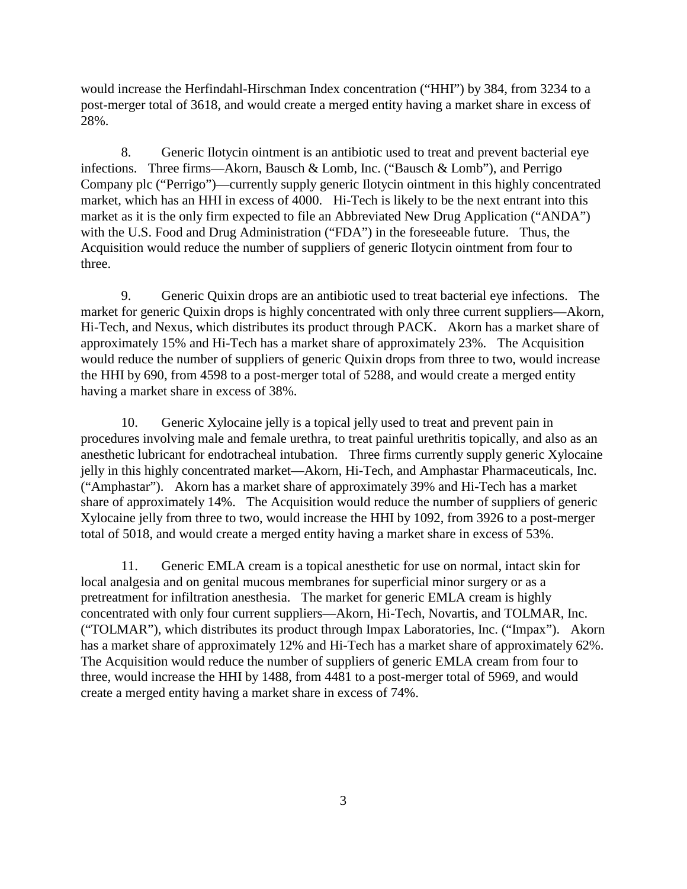would increase the Herfindahl-Hirschman Index concentration ("HHI") by 384, from 3234 to a post-merger total of 3618, and would create a merged entity having a market share in excess of 28%.

8. Generic Ilotycin ointment is an antibiotic used to treat and prevent bacterial eye infections. Three firms—Akorn, Bausch & Lomb, Inc. ("Bausch & Lomb"), and Perrigo Company plc ("Perrigo")—currently supply generic Ilotycin ointment in this highly concentrated market, which has an HHI in excess of 4000. Hi-Tech is likely to be the next entrant into this market as it is the only firm expected to file an Abbreviated New Drug Application ("ANDA") with the U.S. Food and Drug Administration ("FDA") in the foreseeable future. Thus, the Acquisition would reduce the number of suppliers of generic Ilotycin ointment from four to three.

9. Generic Quixin drops are an antibiotic used to treat bacterial eye infections. The market for generic Quixin drops is highly concentrated with only three current suppliers—Akorn, Hi-Tech, and Nexus, which distributes its product through PACK. Akorn has a market share of approximately 15% and Hi-Tech has a market share of approximately 23%. The Acquisition would reduce the number of suppliers of generic Quixin drops from three to two, would increase the HHI by 690, from 4598 to a post-merger total of 5288, and would create a merged entity having a market share in excess of 38%.

10. Generic Xylocaine jelly is a topical jelly used to treat and prevent pain in procedures involving male and female urethra, to treat painful urethritis topically, and also as an anesthetic lubricant for endotracheal intubation. Three firms currently supply generic Xylocaine jelly in this highly concentrated market—Akorn, Hi-Tech, and Amphastar Pharmaceuticals, Inc. ("Amphastar"). Akorn has a market share of approximately 39% and Hi-Tech has a market share of approximately 14%. The Acquisition would reduce the number of suppliers of generic Xylocaine jelly from three to two, would increase the HHI by 1092, from 3926 to a post-merger total of 5018, and would create a merged entity having a market share in excess of 53%.

11. Generic EMLA cream is a topical anesthetic for use on normal, intact skin for local analgesia and on genital mucous membranes for superficial minor surgery or as a pretreatment for infiltration anesthesia. The market for generic EMLA cream is highly concentrated with only four current suppliers—Akorn, Hi-Tech, Novartis, and TOLMAR, Inc. ("TOLMAR"), which distributes its product through Impax Laboratories, Inc. ("Impax"). Akorn has a market share of approximately 12% and Hi-Tech has a market share of approximately 62%. The Acquisition would reduce the number of suppliers of generic EMLA cream from four to three, would increase the HHI by 1488, from 4481 to a post-merger total of 5969, and would create a merged entity having a market share in excess of 74%.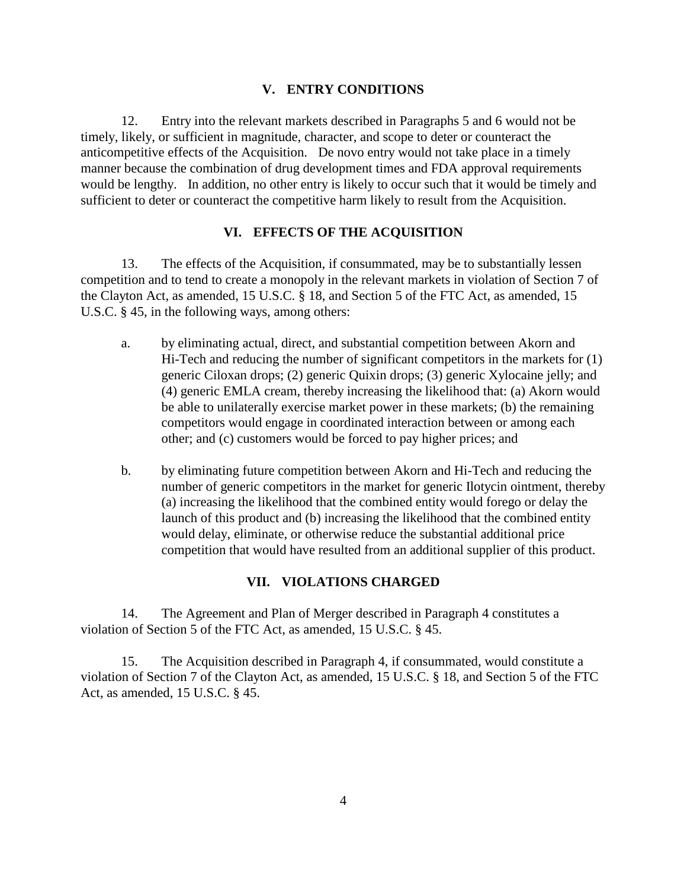#### **V. ENTRY CONDITIONS**

12. Entry into the relevant markets described in Paragraphs 5 and 6 would not be timely, likely, or sufficient in magnitude, character, and scope to deter or counteract the anticompetitive effects of the Acquisition. De novo entry would not take place in a timely manner because the combination of drug development times and FDA approval requirements would be lengthy. In addition, no other entry is likely to occur such that it would be timely and sufficient to deter or counteract the competitive harm likely to result from the Acquisition.

### **VI. EFFECTS OF THE ACQUISITION**

13. The effects of the Acquisition, if consummated, may be to substantially lessen competition and to tend to create a monopoly in the relevant markets in violation of Section 7 of the Clayton Act, as amended, 15 U.S.C. § 18, and Section 5 of the FTC Act, as amended, 15 U.S.C. § 45, in the following ways, among others:

- a. by eliminating actual, direct, and substantial competition between Akorn and Hi-Tech and reducing the number of significant competitors in the markets for (1) generic Ciloxan drops; (2) generic Quixin drops; (3) generic Xylocaine jelly; and (4) generic EMLA cream, thereby increasing the likelihood that: (a) Akorn would be able to unilaterally exercise market power in these markets; (b) the remaining competitors would engage in coordinated interaction between or among each other; and (c) customers would be forced to pay higher prices; and
- b. by eliminating future competition between Akorn and Hi-Tech and reducing the number of generic competitors in the market for generic Ilotycin ointment, thereby (a) increasing the likelihood that the combined entity would forego or delay the launch of this product and (b) increasing the likelihood that the combined entity would delay, eliminate, or otherwise reduce the substantial additional price competition that would have resulted from an additional supplier of this product.

#### **VII. VIOLATIONS CHARGED**

14. The Agreement and Plan of Merger described in Paragraph 4 constitutes a violation of Section 5 of the FTC Act, as amended, 15 U.S.C. § 45.

15. The Acquisition described in Paragraph 4, if consummated, would constitute a violation of Section 7 of the Clayton Act, as amended, 15 U.S.C. § 18, and Section 5 of the FTC Act, as amended, 15 U.S.C. § 45.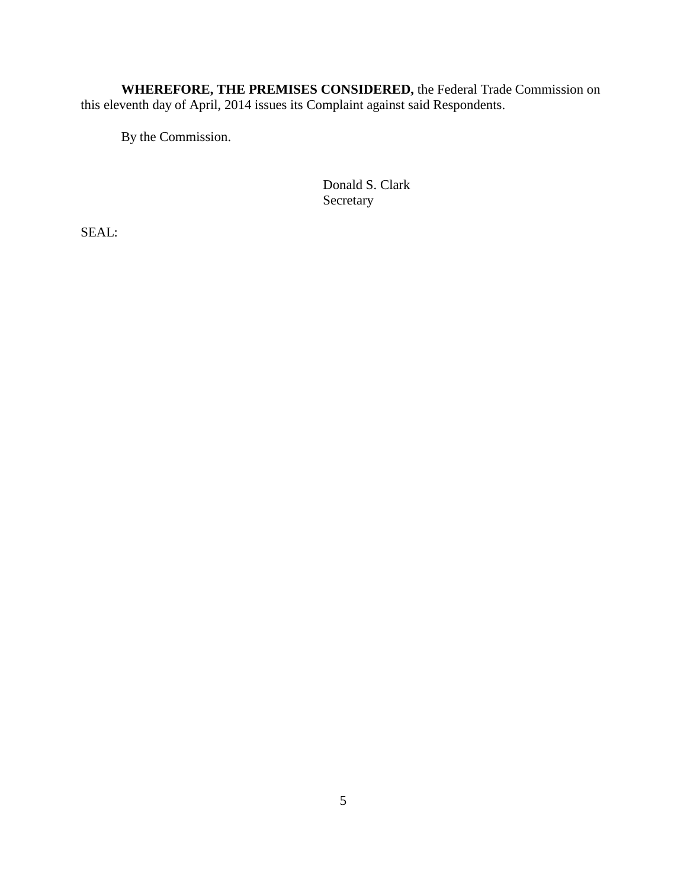**WHEREFORE, THE PREMISES CONSIDERED,** the Federal Trade Commission on this eleventh day of April, 2014 issues its Complaint against said Respondents.

By the Commission.

Donald S. Clark Secretary

SEAL: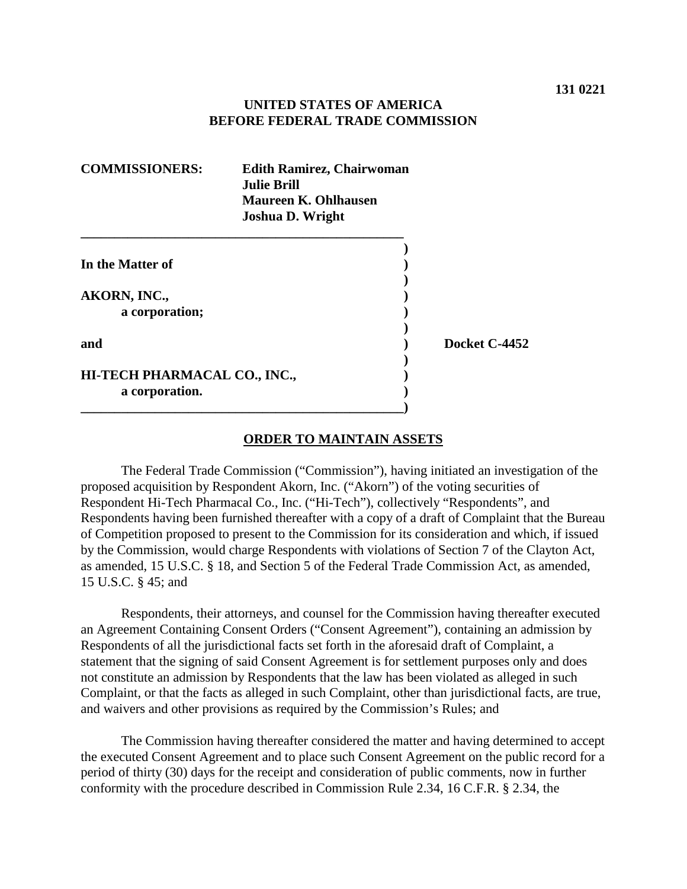### **UNITED STATES OF AMERICA BEFORE FEDERAL TRADE COMMISSION**

| <b>COMMISSIONERS:</b>        | <b>Edith Ramirez, Chairwoman</b><br><b>Julie Brill</b><br><b>Maureen K. Ohlhausen</b><br><b>Joshua D. Wright</b> |               |
|------------------------------|------------------------------------------------------------------------------------------------------------------|---------------|
|                              |                                                                                                                  |               |
| In the Matter of             |                                                                                                                  |               |
|                              |                                                                                                                  |               |
| AKORN, INC.,                 |                                                                                                                  |               |
| a corporation;               |                                                                                                                  |               |
|                              |                                                                                                                  |               |
| and                          |                                                                                                                  | Docket C-4452 |
|                              |                                                                                                                  |               |
| HI-TECH PHARMACAL CO., INC., |                                                                                                                  |               |
| a corporation.               |                                                                                                                  |               |
|                              |                                                                                                                  |               |

#### **ORDER TO MAINTAIN ASSETS**

The Federal Trade Commission ("Commission"), having initiated an investigation of the proposed acquisition by Respondent Akorn, Inc. ("Akorn") of the voting securities of Respondent Hi-Tech Pharmacal Co., Inc. ("Hi-Tech"), collectively "Respondents", and Respondents having been furnished thereafter with a copy of a draft of Complaint that the Bureau of Competition proposed to present to the Commission for its consideration and which, if issued by the Commission, would charge Respondents with violations of Section 7 of the Clayton Act, as amended, 15 U.S.C. § 18, and Section 5 of the Federal Trade Commission Act, as amended, 15 U.S.C. § 45; and

Respondents, their attorneys, and counsel for the Commission having thereafter executed an Agreement Containing Consent Orders ("Consent Agreement"), containing an admission by Respondents of all the jurisdictional facts set forth in the aforesaid draft of Complaint, a statement that the signing of said Consent Agreement is for settlement purposes only and does not constitute an admission by Respondents that the law has been violated as alleged in such Complaint, or that the facts as alleged in such Complaint, other than jurisdictional facts, are true, and waivers and other provisions as required by the Commission's Rules; and

The Commission having thereafter considered the matter and having determined to accept the executed Consent Agreement and to place such Consent Agreement on the public record for a period of thirty (30) days for the receipt and consideration of public comments, now in further conformity with the procedure described in Commission Rule 2.34, 16 C.F.R. § 2.34, the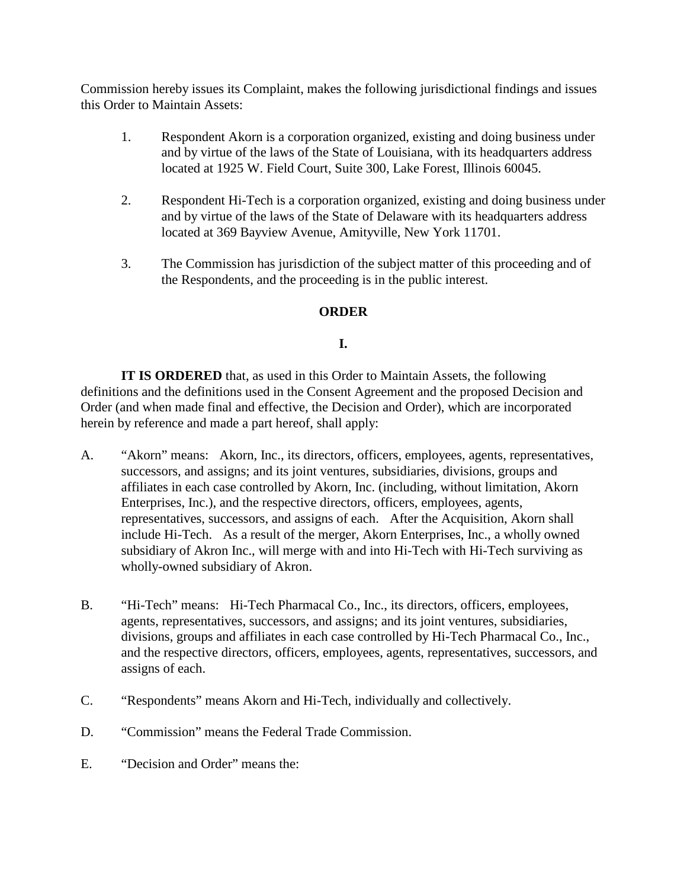Commission hereby issues its Complaint, makes the following jurisdictional findings and issues this Order to Maintain Assets:

- 1. Respondent Akorn is a corporation organized, existing and doing business under and by virtue of the laws of the State of Louisiana, with its headquarters address located at 1925 W. Field Court, Suite 300, Lake Forest, Illinois 60045.
- 2. Respondent Hi-Tech is a corporation organized, existing and doing business under and by virtue of the laws of the State of Delaware with its headquarters address located at 369 Bayview Avenue, Amityville, New York 11701.
- 3. The Commission has jurisdiction of the subject matter of this proceeding and of the Respondents, and the proceeding is in the public interest.

## **ORDER**

## **I.**

**IT IS ORDERED** that, as used in this Order to Maintain Assets, the following definitions and the definitions used in the Consent Agreement and the proposed Decision and Order (and when made final and effective, the Decision and Order), which are incorporated herein by reference and made a part hereof, shall apply:

- A. "Akorn" means: Akorn, Inc., its directors, officers, employees, agents, representatives, successors, and assigns; and its joint ventures, subsidiaries, divisions, groups and affiliates in each case controlled by Akorn, Inc. (including, without limitation, Akorn Enterprises, Inc.), and the respective directors, officers, employees, agents, representatives, successors, and assigns of each. After the Acquisition, Akorn shall include Hi-Tech. As a result of the merger, Akorn Enterprises, Inc., a wholly owned subsidiary of Akron Inc., will merge with and into Hi-Tech with Hi-Tech surviving as wholly-owned subsidiary of Akron.
- B. "Hi-Tech" means: Hi-Tech Pharmacal Co., Inc., its directors, officers, employees, agents, representatives, successors, and assigns; and its joint ventures, subsidiaries, divisions, groups and affiliates in each case controlled by Hi-Tech Pharmacal Co., Inc., and the respective directors, officers, employees, agents, representatives, successors, and assigns of each.
- C. "Respondents" means Akorn and Hi-Tech, individually and collectively.
- D. "Commission" means the Federal Trade Commission.
- E. "Decision and Order" means the: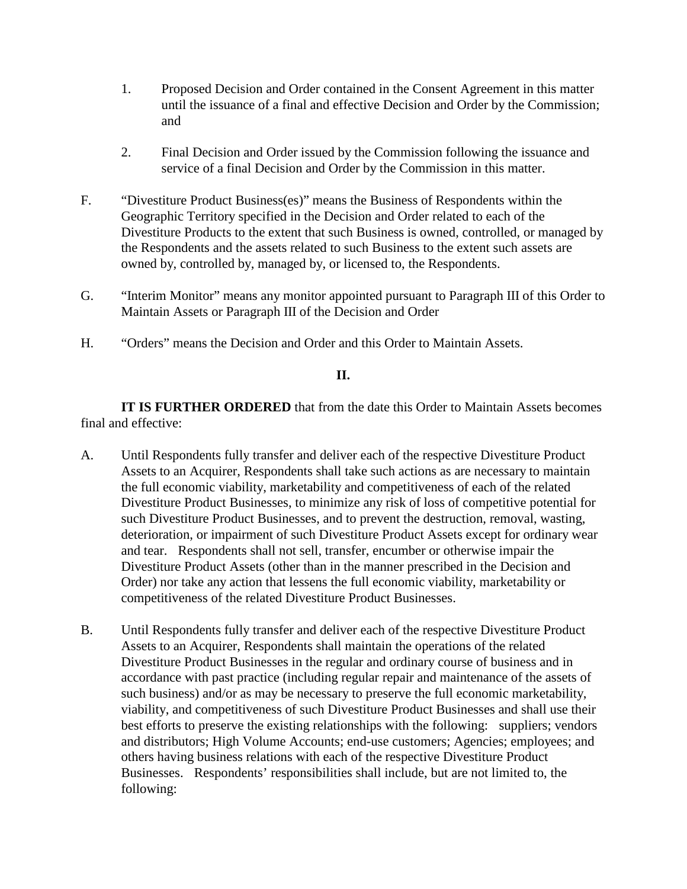- 1. Proposed Decision and Order contained in the Consent Agreement in this matter until the issuance of a final and effective Decision and Order by the Commission; and
- 2. Final Decision and Order issued by the Commission following the issuance and service of a final Decision and Order by the Commission in this matter.
- F. "Divestiture Product Business(es)" means the Business of Respondents within the Geographic Territory specified in the Decision and Order related to each of the Divestiture Products to the extent that such Business is owned, controlled, or managed by the Respondents and the assets related to such Business to the extent such assets are owned by, controlled by, managed by, or licensed to, the Respondents.
- G. "Interim Monitor" means any monitor appointed pursuant to Paragraph III of this Order to Maintain Assets or Paragraph III of the Decision and Order
- H. "Orders" means the Decision and Order and this Order to Maintain Assets.

### **II.**

**IT IS FURTHER ORDERED** that from the date this Order to Maintain Assets becomes final and effective:

- A. Until Respondents fully transfer and deliver each of the respective Divestiture Product Assets to an Acquirer, Respondents shall take such actions as are necessary to maintain the full economic viability, marketability and competitiveness of each of the related Divestiture Product Businesses, to minimize any risk of loss of competitive potential for such Divestiture Product Businesses, and to prevent the destruction, removal, wasting, deterioration, or impairment of such Divestiture Product Assets except for ordinary wear and tear. Respondents shall not sell, transfer, encumber or otherwise impair the Divestiture Product Assets (other than in the manner prescribed in the Decision and Order) nor take any action that lessens the full economic viability, marketability or competitiveness of the related Divestiture Product Businesses.
- B. Until Respondents fully transfer and deliver each of the respective Divestiture Product Assets to an Acquirer, Respondents shall maintain the operations of the related Divestiture Product Businesses in the regular and ordinary course of business and in accordance with past practice (including regular repair and maintenance of the assets of such business) and/or as may be necessary to preserve the full economic marketability, viability, and competitiveness of such Divestiture Product Businesses and shall use their best efforts to preserve the existing relationships with the following: suppliers; vendors and distributors; High Volume Accounts; end-use customers; Agencies; employees; and others having business relations with each of the respective Divestiture Product Businesses. Respondents' responsibilities shall include, but are not limited to, the following: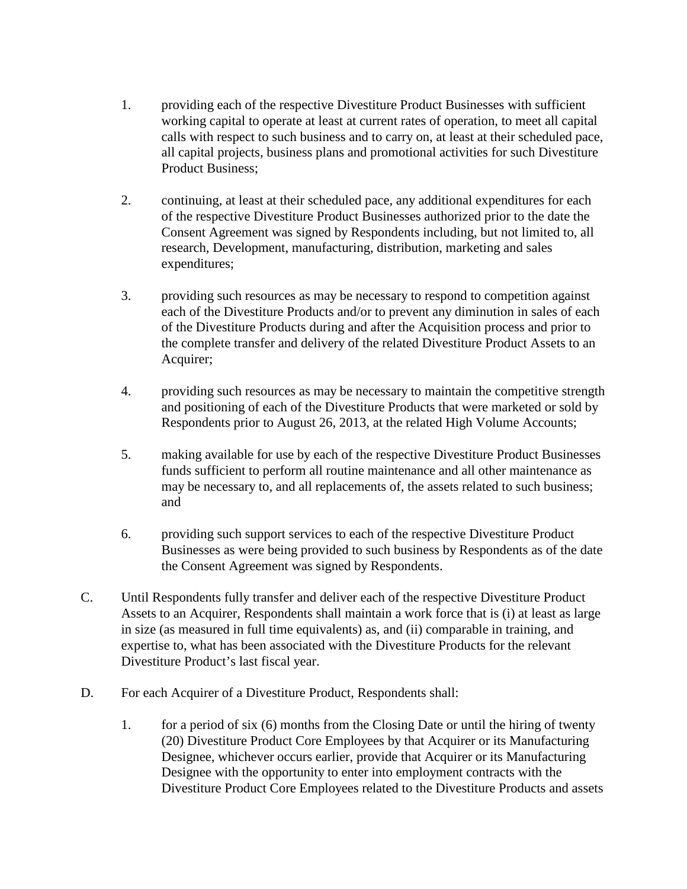- 1. providing each of the respective Divestiture Product Businesses with sufficient working capital to operate at least at current rates of operation, to meet all capital calls with respect to such business and to carry on, at least at their scheduled pace, all capital projects, business plans and promotional activities for such Divestiture Product Business;
- 2. continuing, at least at their scheduled pace, any additional expenditures for each of the respective Divestiture Product Businesses authorized prior to the date the Consent Agreement was signed by Respondents including, but not limited to, all research, Development, manufacturing, distribution, marketing and sales expenditures;
- 3. providing such resources as may be necessary to respond to competition against each of the Divestiture Products and/or to prevent any diminution in sales of each of the Divestiture Products during and after the Acquisition process and prior to the complete transfer and delivery of the related Divestiture Product Assets to an Acquirer;
- 4. providing such resources as may be necessary to maintain the competitive strength and positioning of each of the Divestiture Products that were marketed or sold by Respondents prior to August 26, 2013, at the related High Volume Accounts;
- 5. making available for use by each of the respective Divestiture Product Businesses funds sufficient to perform all routine maintenance and all other maintenance as may be necessary to, and all replacements of, the assets related to such business; and
- 6. providing such support services to each of the respective Divestiture Product Businesses as were being provided to such business by Respondents as of the date the Consent Agreement was signed by Respondents.
- C. Until Respondents fully transfer and deliver each of the respective Divestiture Product Assets to an Acquirer, Respondents shall maintain a work force that is (i) at least as large in size (as measured in full time equivalents) as, and (ii) comparable in training, and expertise to, what has been associated with the Divestiture Products for the relevant Divestiture Product's last fiscal year.
- D. For each Acquirer of a Divestiture Product, Respondents shall:
	- 1. for a period of six (6) months from the Closing Date or until the hiring of twenty (20) Divestiture Product Core Employees by that Acquirer or its Manufacturing Designee, whichever occurs earlier, provide that Acquirer or its Manufacturing Designee with the opportunity to enter into employment contracts with the Divestiture Product Core Employees related to the Divestiture Products and assets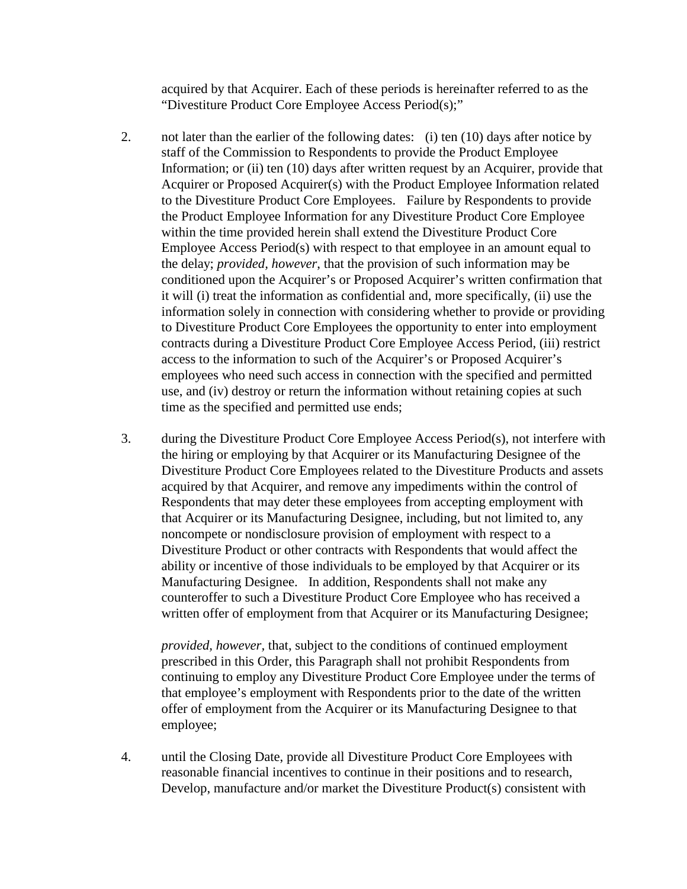acquired by that Acquirer. Each of these periods is hereinafter referred to as the "Divestiture Product Core Employee Access Period(s);"

- 2. not later than the earlier of the following dates: (i) ten (10) days after notice by staff of the Commission to Respondents to provide the Product Employee Information; or (ii) ten (10) days after written request by an Acquirer, provide that Acquirer or Proposed Acquirer(s) with the Product Employee Information related to the Divestiture Product Core Employees. Failure by Respondents to provide the Product Employee Information for any Divestiture Product Core Employee within the time provided herein shall extend the Divestiture Product Core Employee Access Period(s) with respect to that employee in an amount equal to the delay; *provided, however*, that the provision of such information may be conditioned upon the Acquirer's or Proposed Acquirer's written confirmation that it will (i) treat the information as confidential and, more specifically, (ii) use the information solely in connection with considering whether to provide or providing to Divestiture Product Core Employees the opportunity to enter into employment contracts during a Divestiture Product Core Employee Access Period, (iii) restrict access to the information to such of the Acquirer's or Proposed Acquirer's employees who need such access in connection with the specified and permitted use, and (iv) destroy or return the information without retaining copies at such time as the specified and permitted use ends;
- 3. during the Divestiture Product Core Employee Access Period(s), not interfere with the hiring or employing by that Acquirer or its Manufacturing Designee of the Divestiture Product Core Employees related to the Divestiture Products and assets acquired by that Acquirer, and remove any impediments within the control of Respondents that may deter these employees from accepting employment with that Acquirer or its Manufacturing Designee, including, but not limited to, any noncompete or nondisclosure provision of employment with respect to a Divestiture Product or other contracts with Respondents that would affect the ability or incentive of those individuals to be employed by that Acquirer or its Manufacturing Designee. In addition, Respondents shall not make any counteroffer to such a Divestiture Product Core Employee who has received a written offer of employment from that Acquirer or its Manufacturing Designee;

*provided, however,* that, subject to the conditions of continued employment prescribed in this Order, this Paragraph shall not prohibit Respondents from continuing to employ any Divestiture Product Core Employee under the terms of that employee's employment with Respondents prior to the date of the written offer of employment from the Acquirer or its Manufacturing Designee to that employee;

4. until the Closing Date, provide all Divestiture Product Core Employees with reasonable financial incentives to continue in their positions and to research, Develop, manufacture and/or market the Divestiture Product(s) consistent with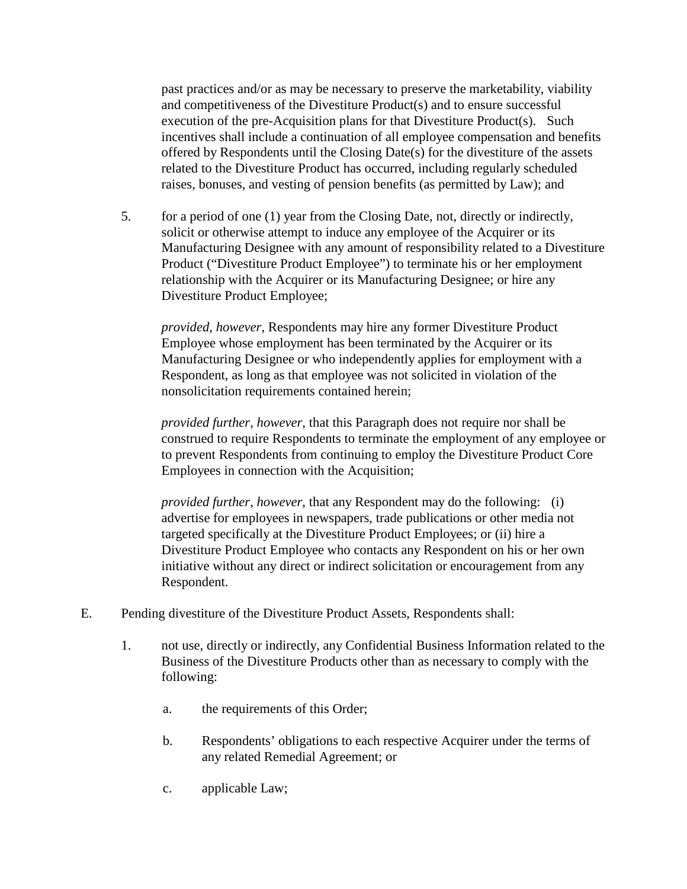past practices and/or as may be necessary to preserve the marketability, viability and competitiveness of the Divestiture Product(s) and to ensure successful execution of the pre-Acquisition plans for that Divestiture Product(s). Such incentives shall include a continuation of all employee compensation and benefits offered by Respondents until the Closing Date(s) for the divestiture of the assets related to the Divestiture Product has occurred, including regularly scheduled raises, bonuses, and vesting of pension benefits (as permitted by Law); and

5. for a period of one (1) year from the Closing Date, not, directly or indirectly, solicit or otherwise attempt to induce any employee of the Acquirer or its Manufacturing Designee with any amount of responsibility related to a Divestiture Product ("Divestiture Product Employee") to terminate his or her employment relationship with the Acquirer or its Manufacturing Designee; or hire any Divestiture Product Employee;

*provided, however*, Respondents may hire any former Divestiture Product Employee whose employment has been terminated by the Acquirer or its Manufacturing Designee or who independently applies for employment with a Respondent, as long as that employee was not solicited in violation of the nonsolicitation requirements contained herein;

*provided further, however,* that this Paragraph does not require nor shall be construed to require Respondents to terminate the employment of any employee or to prevent Respondents from continuing to employ the Divestiture Product Core Employees in connection with the Acquisition;

*provided further*, *however*, that any Respondent may do the following: (i) advertise for employees in newspapers, trade publications or other media not targeted specifically at the Divestiture Product Employees; or (ii) hire a Divestiture Product Employee who contacts any Respondent on his or her own initiative without any direct or indirect solicitation or encouragement from any Respondent.

- E. Pending divestiture of the Divestiture Product Assets, Respondents shall:
	- 1. not use, directly or indirectly, any Confidential Business Information related to the Business of the Divestiture Products other than as necessary to comply with the following:
		- a. the requirements of this Order;
		- b. Respondents' obligations to each respective Acquirer under the terms of any related Remedial Agreement; or
		- c. applicable Law;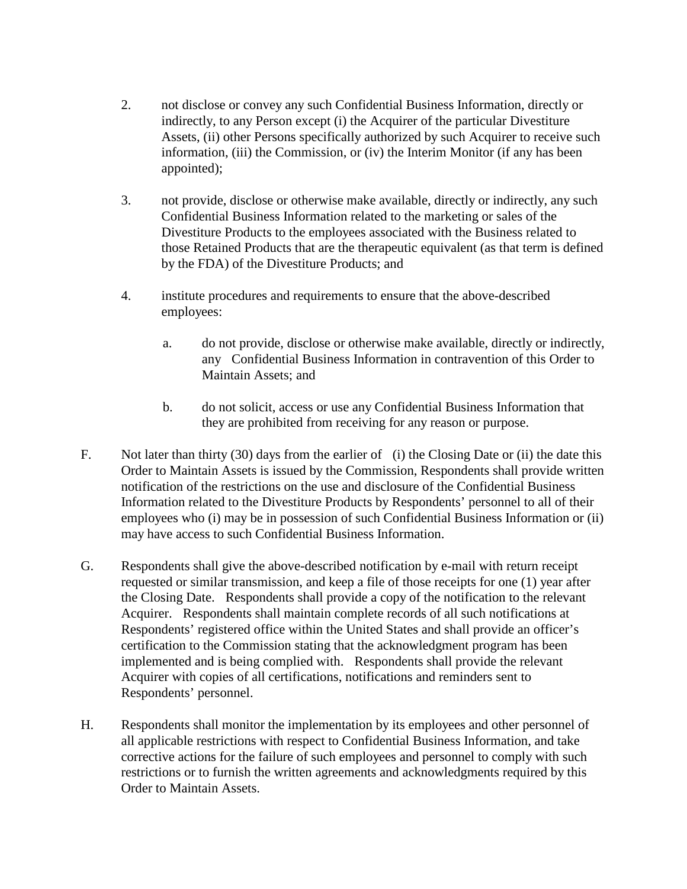- 2. not disclose or convey any such Confidential Business Information, directly or indirectly, to any Person except (i) the Acquirer of the particular Divestiture Assets, (ii) other Persons specifically authorized by such Acquirer to receive such information, (iii) the Commission, or (iv) the Interim Monitor (if any has been appointed);
- 3. not provide, disclose or otherwise make available, directly or indirectly, any such Confidential Business Information related to the marketing or sales of the Divestiture Products to the employees associated with the Business related to those Retained Products that are the therapeutic equivalent (as that term is defined by the FDA) of the Divestiture Products; and
- 4. institute procedures and requirements to ensure that the above-described employees:
	- a. do not provide, disclose or otherwise make available, directly or indirectly, any Confidential Business Information in contravention of this Order to Maintain Assets; and
	- b. do not solicit, access or use any Confidential Business Information that they are prohibited from receiving for any reason or purpose.
- F. Not later than thirty (30) days from the earlier of (i) the Closing Date or (ii) the date this Order to Maintain Assets is issued by the Commission, Respondents shall provide written notification of the restrictions on the use and disclosure of the Confidential Business Information related to the Divestiture Products by Respondents' personnel to all of their employees who (i) may be in possession of such Confidential Business Information or (ii) may have access to such Confidential Business Information.
- G. Respondents shall give the above-described notification by e-mail with return receipt requested or similar transmission, and keep a file of those receipts for one (1) year after the Closing Date. Respondents shall provide a copy of the notification to the relevant Acquirer. Respondents shall maintain complete records of all such notifications at Respondents' registered office within the United States and shall provide an officer's certification to the Commission stating that the acknowledgment program has been implemented and is being complied with. Respondents shall provide the relevant Acquirer with copies of all certifications, notifications and reminders sent to Respondents' personnel.
- H. Respondents shall monitor the implementation by its employees and other personnel of all applicable restrictions with respect to Confidential Business Information, and take corrective actions for the failure of such employees and personnel to comply with such restrictions or to furnish the written agreements and acknowledgments required by this Order to Maintain Assets.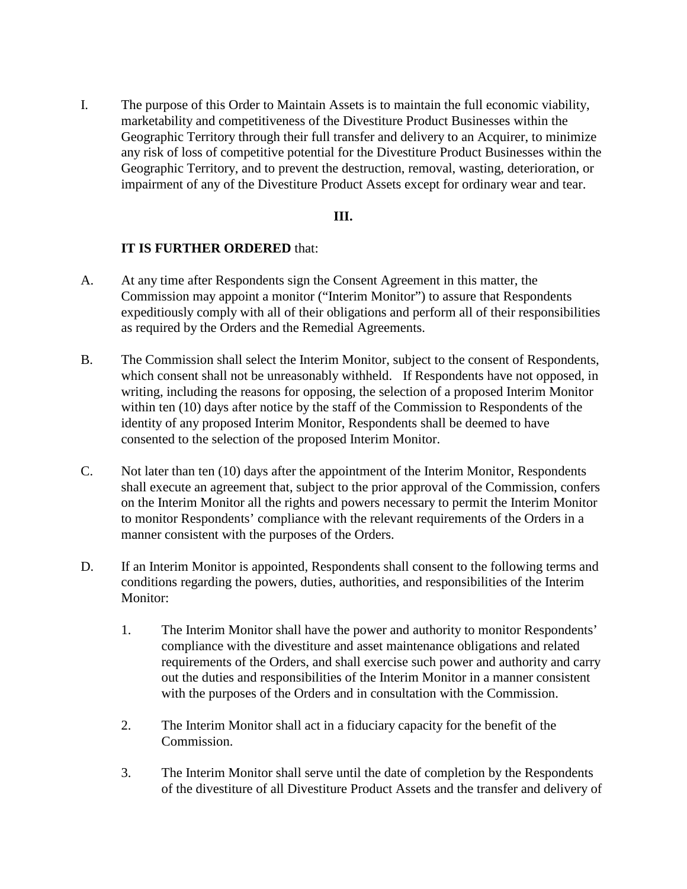I. The purpose of this Order to Maintain Assets is to maintain the full economic viability, marketability and competitiveness of the Divestiture Product Businesses within the Geographic Territory through their full transfer and delivery to an Acquirer, to minimize any risk of loss of competitive potential for the Divestiture Product Businesses within the Geographic Territory, and to prevent the destruction, removal, wasting, deterioration, or impairment of any of the Divestiture Product Assets except for ordinary wear and tear.

### **III.**

### **IT IS FURTHER ORDERED** that:

- A. At any time after Respondents sign the Consent Agreement in this matter, the Commission may appoint a monitor ("Interim Monitor") to assure that Respondents expeditiously comply with all of their obligations and perform all of their responsibilities as required by the Orders and the Remedial Agreements.
- B. The Commission shall select the Interim Monitor, subject to the consent of Respondents, which consent shall not be unreasonably withheld. If Respondents have not opposed, in writing, including the reasons for opposing, the selection of a proposed Interim Monitor within ten (10) days after notice by the staff of the Commission to Respondents of the identity of any proposed Interim Monitor, Respondents shall be deemed to have consented to the selection of the proposed Interim Monitor.
- C. Not later than ten (10) days after the appointment of the Interim Monitor, Respondents shall execute an agreement that, subject to the prior approval of the Commission, confers on the Interim Monitor all the rights and powers necessary to permit the Interim Monitor to monitor Respondents' compliance with the relevant requirements of the Orders in a manner consistent with the purposes of the Orders.
- D. If an Interim Monitor is appointed, Respondents shall consent to the following terms and conditions regarding the powers, duties, authorities, and responsibilities of the Interim Monitor:
	- 1. The Interim Monitor shall have the power and authority to monitor Respondents' compliance with the divestiture and asset maintenance obligations and related requirements of the Orders, and shall exercise such power and authority and carry out the duties and responsibilities of the Interim Monitor in a manner consistent with the purposes of the Orders and in consultation with the Commission.
	- 2. The Interim Monitor shall act in a fiduciary capacity for the benefit of the Commission.
	- 3. The Interim Monitor shall serve until the date of completion by the Respondents of the divestiture of all Divestiture Product Assets and the transfer and delivery of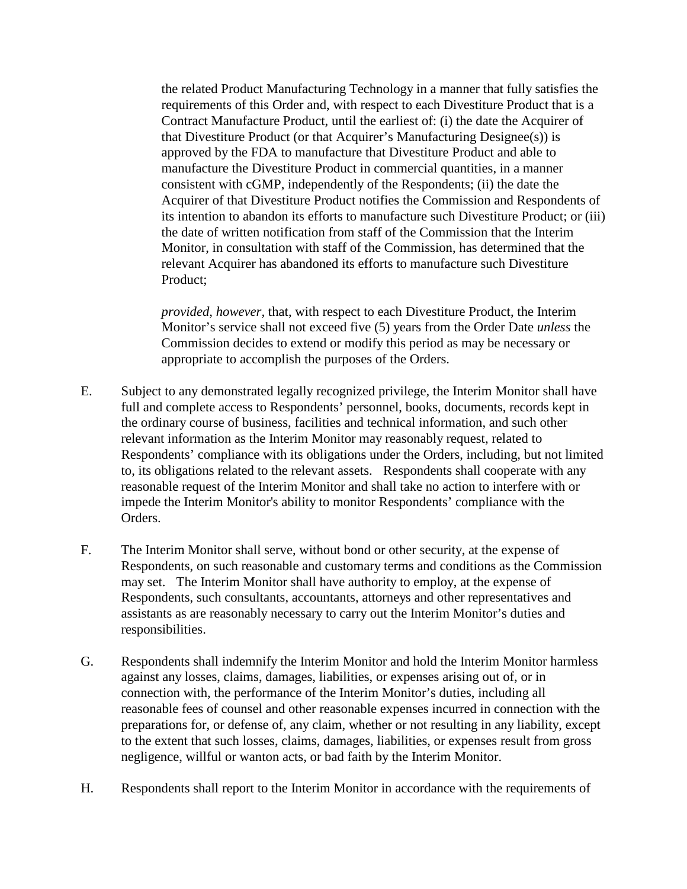the related Product Manufacturing Technology in a manner that fully satisfies the requirements of this Order and, with respect to each Divestiture Product that is a Contract Manufacture Product, until the earliest of: (i) the date the Acquirer of that Divestiture Product (or that Acquirer's Manufacturing Designee(s)) is approved by the FDA to manufacture that Divestiture Product and able to manufacture the Divestiture Product in commercial quantities, in a manner consistent with cGMP, independently of the Respondents; (ii) the date the Acquirer of that Divestiture Product notifies the Commission and Respondents of its intention to abandon its efforts to manufacture such Divestiture Product; or (iii) the date of written notification from staff of the Commission that the Interim Monitor, in consultation with staff of the Commission, has determined that the relevant Acquirer has abandoned its efforts to manufacture such Divestiture Product;

*provided, however,* that, with respect to each Divestiture Product, the Interim Monitor's service shall not exceed five (5) years from the Order Date *unless* the Commission decides to extend or modify this period as may be necessary or appropriate to accomplish the purposes of the Orders.

- E. Subject to any demonstrated legally recognized privilege, the Interim Monitor shall have full and complete access to Respondents' personnel, books, documents, records kept in the ordinary course of business, facilities and technical information, and such other relevant information as the Interim Monitor may reasonably request, related to Respondents' compliance with its obligations under the Orders, including, but not limited to, its obligations related to the relevant assets. Respondents shall cooperate with any reasonable request of the Interim Monitor and shall take no action to interfere with or impede the Interim Monitor's ability to monitor Respondents' compliance with the Orders.
- F. The Interim Monitor shall serve, without bond or other security, at the expense of Respondents, on such reasonable and customary terms and conditions as the Commission may set. The Interim Monitor shall have authority to employ, at the expense of Respondents, such consultants, accountants, attorneys and other representatives and assistants as are reasonably necessary to carry out the Interim Monitor's duties and responsibilities.
- G. Respondents shall indemnify the Interim Monitor and hold the Interim Monitor harmless against any losses, claims, damages, liabilities, or expenses arising out of, or in connection with, the performance of the Interim Monitor's duties, including all reasonable fees of counsel and other reasonable expenses incurred in connection with the preparations for, or defense of, any claim, whether or not resulting in any liability, except to the extent that such losses, claims, damages, liabilities, or expenses result from gross negligence, willful or wanton acts, or bad faith by the Interim Monitor.
- H. Respondents shall report to the Interim Monitor in accordance with the requirements of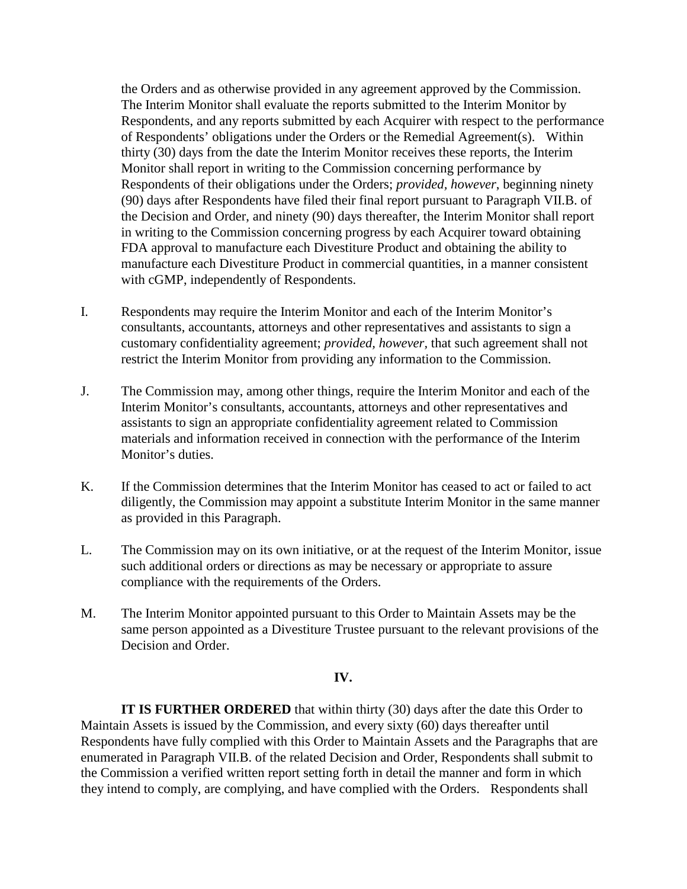the Orders and as otherwise provided in any agreement approved by the Commission. The Interim Monitor shall evaluate the reports submitted to the Interim Monitor by Respondents, and any reports submitted by each Acquirer with respect to the performance of Respondents' obligations under the Orders or the Remedial Agreement(s). Within thirty (30) days from the date the Interim Monitor receives these reports, the Interim Monitor shall report in writing to the Commission concerning performance by Respondents of their obligations under the Orders; *provided, however*, beginning ninety (90) days after Respondents have filed their final report pursuant to Paragraph VII.B. of the Decision and Order, and ninety (90) days thereafter, the Interim Monitor shall report in writing to the Commission concerning progress by each Acquirer toward obtaining FDA approval to manufacture each Divestiture Product and obtaining the ability to manufacture each Divestiture Product in commercial quantities, in a manner consistent with cGMP, independently of Respondents.

- I. Respondents may require the Interim Monitor and each of the Interim Monitor's consultants, accountants, attorneys and other representatives and assistants to sign a customary confidentiality agreement; *provided, however,* that such agreement shall not restrict the Interim Monitor from providing any information to the Commission.
- J. The Commission may, among other things, require the Interim Monitor and each of the Interim Monitor's consultants, accountants, attorneys and other representatives and assistants to sign an appropriate confidentiality agreement related to Commission materials and information received in connection with the performance of the Interim Monitor's duties.
- K. If the Commission determines that the Interim Monitor has ceased to act or failed to act diligently, the Commission may appoint a substitute Interim Monitor in the same manner as provided in this Paragraph.
- L. The Commission may on its own initiative, or at the request of the Interim Monitor, issue such additional orders or directions as may be necessary or appropriate to assure compliance with the requirements of the Orders.
- M. The Interim Monitor appointed pursuant to this Order to Maintain Assets may be the same person appointed as a Divestiture Trustee pursuant to the relevant provisions of the Decision and Order.

#### **IV.**

**IT IS FURTHER ORDERED** that within thirty (30) days after the date this Order to Maintain Assets is issued by the Commission, and every sixty (60) days thereafter until Respondents have fully complied with this Order to Maintain Assets and the Paragraphs that are enumerated in Paragraph VII.B. of the related Decision and Order, Respondents shall submit to the Commission a verified written report setting forth in detail the manner and form in which they intend to comply, are complying, and have complied with the Orders. Respondents shall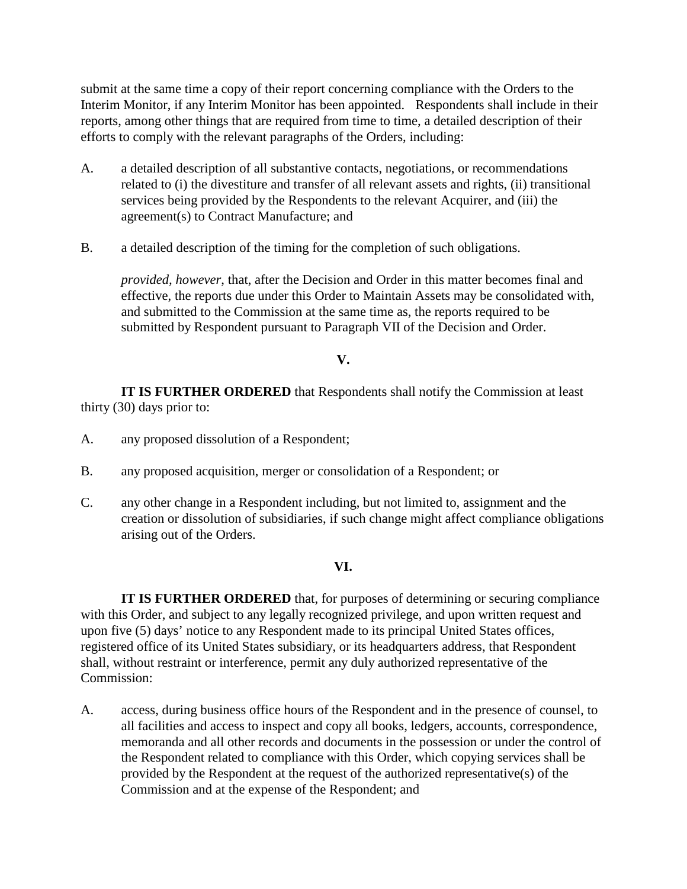submit at the same time a copy of their report concerning compliance with the Orders to the Interim Monitor, if any Interim Monitor has been appointed. Respondents shall include in their reports, among other things that are required from time to time, a detailed description of their efforts to comply with the relevant paragraphs of the Orders, including:

- A. a detailed description of all substantive contacts, negotiations, or recommendations related to (i) the divestiture and transfer of all relevant assets and rights, (ii) transitional services being provided by the Respondents to the relevant Acquirer, and (iii) the agreement(s) to Contract Manufacture; and
- B. a detailed description of the timing for the completion of such obligations.

*provided, however*, that, after the Decision and Order in this matter becomes final and effective, the reports due under this Order to Maintain Assets may be consolidated with, and submitted to the Commission at the same time as, the reports required to be submitted by Respondent pursuant to Paragraph VII of the Decision and Order.

## **V.**

**IT IS FURTHER ORDERED** that Respondents shall notify the Commission at least thirty (30) days prior to:

- A. any proposed dissolution of a Respondent;
- B. any proposed acquisition, merger or consolidation of a Respondent; or
- C. any other change in a Respondent including, but not limited to, assignment and the creation or dissolution of subsidiaries, if such change might affect compliance obligations arising out of the Orders.

### **VI.**

**IT IS FURTHER ORDERED** that, for purposes of determining or securing compliance with this Order, and subject to any legally recognized privilege, and upon written request and upon five (5) days' notice to any Respondent made to its principal United States offices, registered office of its United States subsidiary, or its headquarters address, that Respondent shall, without restraint or interference, permit any duly authorized representative of the Commission:

A. access, during business office hours of the Respondent and in the presence of counsel, to all facilities and access to inspect and copy all books, ledgers, accounts, correspondence, memoranda and all other records and documents in the possession or under the control of the Respondent related to compliance with this Order, which copying services shall be provided by the Respondent at the request of the authorized representative(s) of the Commission and at the expense of the Respondent; and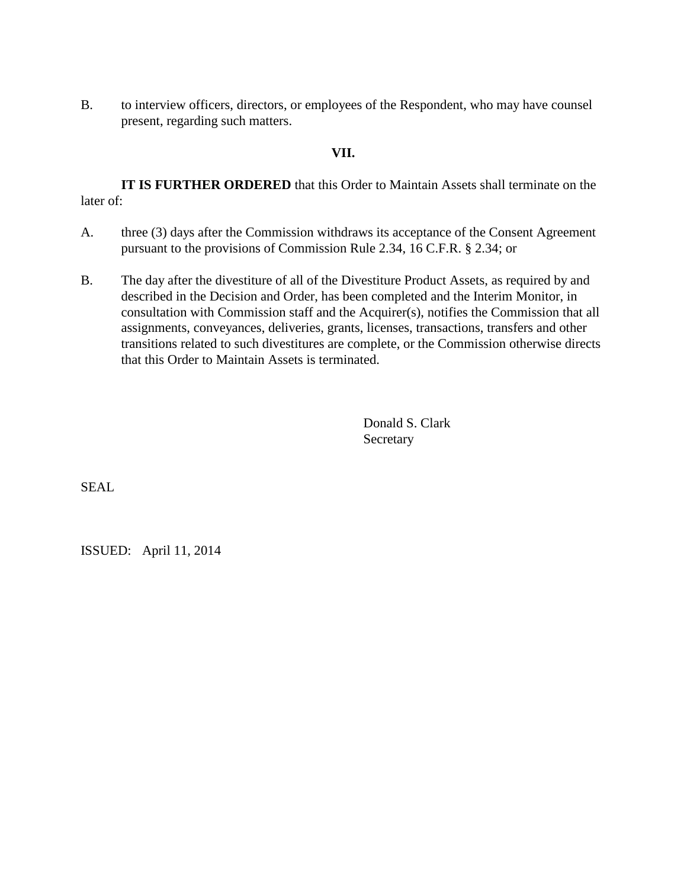B. to interview officers, directors, or employees of the Respondent, who may have counsel present, regarding such matters.

#### **VII.**

**IT IS FURTHER ORDERED** that this Order to Maintain Assets shall terminate on the later of:

- A. three (3) days after the Commission withdraws its acceptance of the Consent Agreement pursuant to the provisions of Commission Rule 2.34, 16 C.F.R. § 2.34; or
- B. The day after the divestiture of all of the Divestiture Product Assets, as required by and described in the Decision and Order, has been completed and the Interim Monitor, in consultation with Commission staff and the Acquirer(s), notifies the Commission that all assignments, conveyances, deliveries, grants, licenses, transactions, transfers and other transitions related to such divestitures are complete, or the Commission otherwise directs that this Order to Maintain Assets is terminated.

Donald S. Clark **Secretary** 

SEAL

ISSUED: April 11, 2014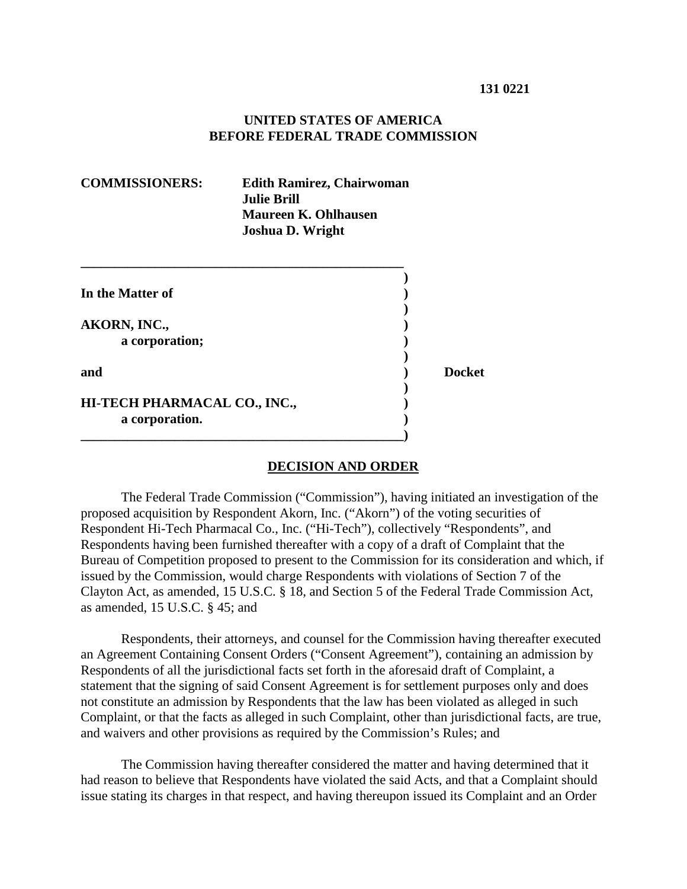#### **UNITED STATES OF AMERICA BEFORE FEDERAL TRADE COMMISSION**

| <b>COMMISSIONERS:</b>                          | <b>Edith Ramirez, Chairwoman</b><br><b>Julie Brill</b><br><b>Maureen K. Ohlhausen</b><br><b>Joshua D. Wright</b> |               |  |  |
|------------------------------------------------|------------------------------------------------------------------------------------------------------------------|---------------|--|--|
| In the Matter of                               |                                                                                                                  |               |  |  |
| AKORN, INC.,<br>a corporation;                 |                                                                                                                  |               |  |  |
| and                                            |                                                                                                                  | <b>Docket</b> |  |  |
| HI-TECH PHARMACAL CO., INC.,<br>a corporation. |                                                                                                                  |               |  |  |

#### **DECISION AND ORDER**

The Federal Trade Commission ("Commission"), having initiated an investigation of the proposed acquisition by Respondent Akorn, Inc. ("Akorn") of the voting securities of Respondent Hi-Tech Pharmacal Co., Inc. ("Hi-Tech"), collectively "Respondents", and Respondents having been furnished thereafter with a copy of a draft of Complaint that the Bureau of Competition proposed to present to the Commission for its consideration and which, if issued by the Commission, would charge Respondents with violations of Section 7 of the Clayton Act, as amended, 15 U.S.C. § 18, and Section 5 of the Federal Trade Commission Act, as amended, 15 U.S.C. § 45; and

Respondents, their attorneys, and counsel for the Commission having thereafter executed an Agreement Containing Consent Orders ("Consent Agreement"), containing an admission by Respondents of all the jurisdictional facts set forth in the aforesaid draft of Complaint, a statement that the signing of said Consent Agreement is for settlement purposes only and does not constitute an admission by Respondents that the law has been violated as alleged in such Complaint, or that the facts as alleged in such Complaint, other than jurisdictional facts, are true, and waivers and other provisions as required by the Commission's Rules; and

The Commission having thereafter considered the matter and having determined that it had reason to believe that Respondents have violated the said Acts, and that a Complaint should issue stating its charges in that respect, and having thereupon issued its Complaint and an Order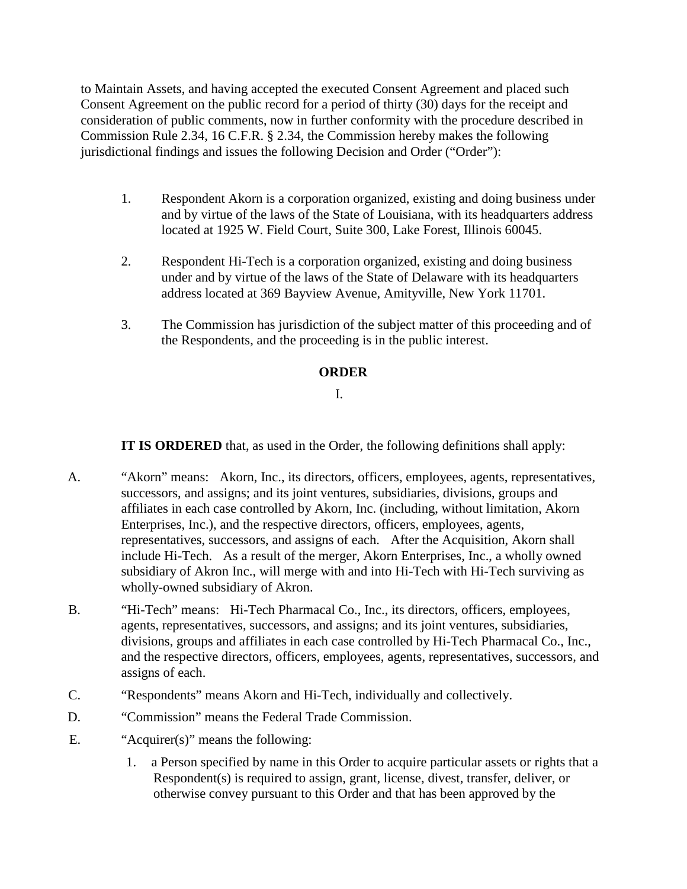to Maintain Assets, and having accepted the executed Consent Agreement and placed such Consent Agreement on the public record for a period of thirty (30) days for the receipt and consideration of public comments, now in further conformity with the procedure described in Commission Rule 2.34, 16 C.F.R. § 2.34, the Commission hereby makes the following jurisdictional findings and issues the following Decision and Order ("Order"):

- 1. Respondent Akorn is a corporation organized, existing and doing business under and by virtue of the laws of the State of Louisiana, with its headquarters address located at 1925 W. Field Court, Suite 300, Lake Forest, Illinois 60045.
- 2. Respondent Hi-Tech is a corporation organized, existing and doing business under and by virtue of the laws of the State of Delaware with its headquarters address located at 369 Bayview Avenue, Amityville, New York 11701.
- 3. The Commission has jurisdiction of the subject matter of this proceeding and of the Respondents, and the proceeding is in the public interest.

## **ORDER**

### I.

**IT IS ORDERED** that, as used in the Order, the following definitions shall apply:

- A. "Akorn" means: Akorn, Inc., its directors, officers, employees, agents, representatives, successors, and assigns; and its joint ventures, subsidiaries, divisions, groups and affiliates in each case controlled by Akorn, Inc. (including, without limitation, Akorn Enterprises, Inc.), and the respective directors, officers, employees, agents, representatives, successors, and assigns of each. After the Acquisition, Akorn shall include Hi-Tech. As a result of the merger, Akorn Enterprises, Inc., a wholly owned subsidiary of Akron Inc., will merge with and into Hi-Tech with Hi-Tech surviving as wholly-owned subsidiary of Akron.
- B. "Hi-Tech" means: Hi-Tech Pharmacal Co., Inc., its directors, officers, employees, agents, representatives, successors, and assigns; and its joint ventures, subsidiaries, divisions, groups and affiliates in each case controlled by Hi-Tech Pharmacal Co., Inc., and the respective directors, officers, employees, agents, representatives, successors, and assigns of each.
- C. "Respondents" means Akorn and Hi-Tech, individually and collectively.
- D. "Commission" means the Federal Trade Commission.
- E. "Acquirer(s)" means the following:
	- 1. a Person specified by name in this Order to acquire particular assets or rights that a Respondent(s) is required to assign, grant, license, divest, transfer, deliver, or otherwise convey pursuant to this Order and that has been approved by the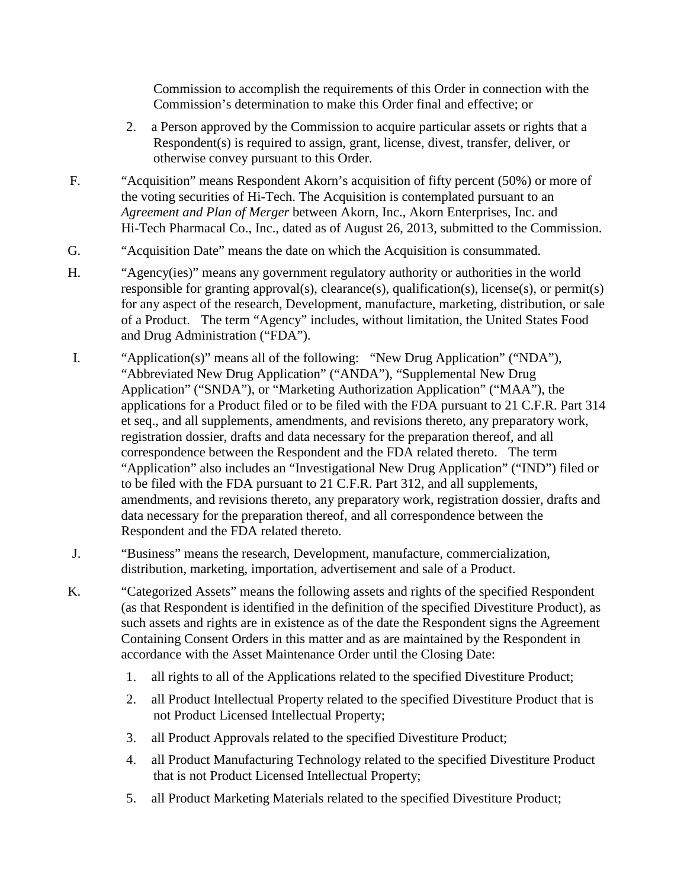Commission to accomplish the requirements of this Order in connection with the Commission's determination to make this Order final and effective; or

- 2. a Person approved by the Commission to acquire particular assets or rights that a Respondent(s) is required to assign, grant, license, divest, transfer, deliver, or otherwise convey pursuant to this Order.
- F. "Acquisition" means Respondent Akorn's acquisition of fifty percent (50%) or more of the voting securities of Hi-Tech. The Acquisition is contemplated pursuant to an *Agreement and Plan of Merger* between Akorn, Inc., Akorn Enterprises, Inc. and Hi-Tech Pharmacal Co., Inc., dated as of August 26, 2013, submitted to the Commission.
- G. "Acquisition Date" means the date on which the Acquisition is consummated.
- H. "Agency(ies)" means any government regulatory authority or authorities in the world responsible for granting approval(s), clearance(s), qualification(s), license(s), or permit(s) for any aspect of the research, Development, manufacture, marketing, distribution, or sale of a Product. The term "Agency" includes, without limitation, the United States Food and Drug Administration ("FDA").
- I. "Application(s)" means all of the following: "New Drug Application" ("NDA"), "Abbreviated New Drug Application" ("ANDA"), "Supplemental New Drug Application" ("SNDA"), or "Marketing Authorization Application" ("MAA"), the applications for a Product filed or to be filed with the FDA pursuant to 21 C.F.R. Part 314 et seq., and all supplements, amendments, and revisions thereto, any preparatory work, registration dossier, drafts and data necessary for the preparation thereof, and all correspondence between the Respondent and the FDA related thereto. The term "Application" also includes an "Investigational New Drug Application" ("IND") filed or to be filed with the FDA pursuant to 21 C.F.R. Part 312, and all supplements, amendments, and revisions thereto, any preparatory work, registration dossier, drafts and data necessary for the preparation thereof, and all correspondence between the Respondent and the FDA related thereto.
- J. "Business" means the research, Development, manufacture, commercialization, distribution, marketing, importation, advertisement and sale of a Product.
- K. "Categorized Assets" means the following assets and rights of the specified Respondent (as that Respondent is identified in the definition of the specified Divestiture Product), as such assets and rights are in existence as of the date the Respondent signs the Agreement Containing Consent Orders in this matter and as are maintained by the Respondent in accordance with the Asset Maintenance Order until the Closing Date:
	- 1. all rights to all of the Applications related to the specified Divestiture Product;
	- 2. all Product Intellectual Property related to the specified Divestiture Product that is not Product Licensed Intellectual Property;
	- 3. all Product Approvals related to the specified Divestiture Product;
	- 4. all Product Manufacturing Technology related to the specified Divestiture Product that is not Product Licensed Intellectual Property;
	- 5. all Product Marketing Materials related to the specified Divestiture Product;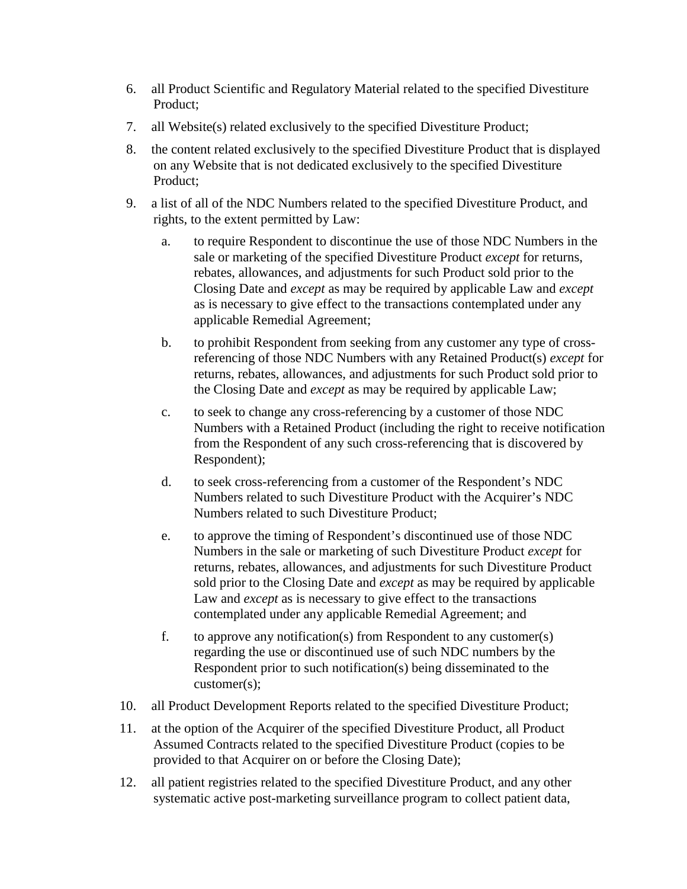- 6. all Product Scientific and Regulatory Material related to the specified Divestiture Product;
- 7. all Website(s) related exclusively to the specified Divestiture Product;
- 8. the content related exclusively to the specified Divestiture Product that is displayed on any Website that is not dedicated exclusively to the specified Divestiture Product;
- 9. a list of all of the NDC Numbers related to the specified Divestiture Product, and rights, to the extent permitted by Law:
	- a. to require Respondent to discontinue the use of those NDC Numbers in the sale or marketing of the specified Divestiture Product *except* for returns, rebates, allowances, and adjustments for such Product sold prior to the Closing Date and *except* as may be required by applicable Law and *except* as is necessary to give effect to the transactions contemplated under any applicable Remedial Agreement;
	- b. to prohibit Respondent from seeking from any customer any type of crossreferencing of those NDC Numbers with any Retained Product(s) *except* for returns, rebates, allowances, and adjustments for such Product sold prior to the Closing Date and *except* as may be required by applicable Law;
	- c. to seek to change any cross-referencing by a customer of those NDC Numbers with a Retained Product (including the right to receive notification from the Respondent of any such cross-referencing that is discovered by Respondent);
	- d. to seek cross-referencing from a customer of the Respondent's NDC Numbers related to such Divestiture Product with the Acquirer's NDC Numbers related to such Divestiture Product;
	- e. to approve the timing of Respondent's discontinued use of those NDC Numbers in the sale or marketing of such Divestiture Product *except* for returns, rebates, allowances, and adjustments for such Divestiture Product sold prior to the Closing Date and *except* as may be required by applicable Law and *except* as is necessary to give effect to the transactions contemplated under any applicable Remedial Agreement; and
	- f. to approve any notification(s) from Respondent to any customer(s) regarding the use or discontinued use of such NDC numbers by the Respondent prior to such notification(s) being disseminated to the customer(s);
- 10. all Product Development Reports related to the specified Divestiture Product;
- 11. at the option of the Acquirer of the specified Divestiture Product, all Product Assumed Contracts related to the specified Divestiture Product (copies to be provided to that Acquirer on or before the Closing Date);
- 12. all patient registries related to the specified Divestiture Product, and any other systematic active post-marketing surveillance program to collect patient data,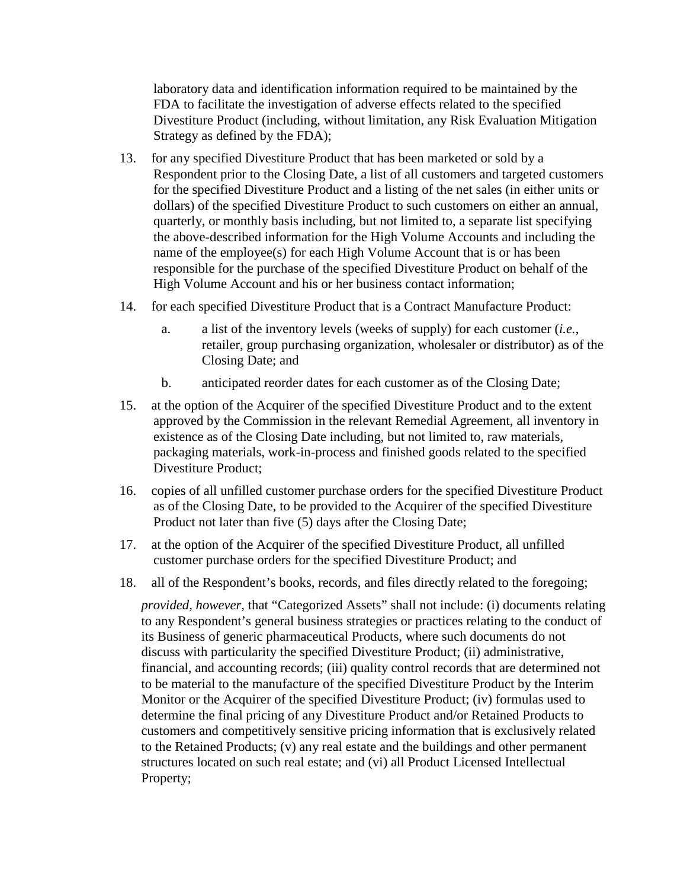laboratory data and identification information required to be maintained by the FDA to facilitate the investigation of adverse effects related to the specified Divestiture Product (including, without limitation, any Risk Evaluation Mitigation Strategy as defined by the FDA);

- 13. for any specified Divestiture Product that has been marketed or sold by a Respondent prior to the Closing Date, a list of all customers and targeted customers for the specified Divestiture Product and a listing of the net sales (in either units or dollars) of the specified Divestiture Product to such customers on either an annual, quarterly, or monthly basis including, but not limited to, a separate list specifying the above-described information for the High Volume Accounts and including the name of the employee(s) for each High Volume Account that is or has been responsible for the purchase of the specified Divestiture Product on behalf of the High Volume Account and his or her business contact information;
- 14. for each specified Divestiture Product that is a Contract Manufacture Product:
	- a. a list of the inventory levels (weeks of supply) for each customer (*i.e.*, retailer, group purchasing organization, wholesaler or distributor) as of the Closing Date; and
	- b. anticipated reorder dates for each customer as of the Closing Date;
- 15. at the option of the Acquirer of the specified Divestiture Product and to the extent approved by the Commission in the relevant Remedial Agreement, all inventory in existence as of the Closing Date including, but not limited to, raw materials, packaging materials, work-in-process and finished goods related to the specified Divestiture Product;
- 16. copies of all unfilled customer purchase orders for the specified Divestiture Product as of the Closing Date, to be provided to the Acquirer of the specified Divestiture Product not later than five (5) days after the Closing Date;
- 17. at the option of the Acquirer of the specified Divestiture Product, all unfilled customer purchase orders for the specified Divestiture Product; and
- 18. all of the Respondent's books, records, and files directly related to the foregoing;

*provided, however*, that "Categorized Assets" shall not include: (i) documents relating to any Respondent's general business strategies or practices relating to the conduct of its Business of generic pharmaceutical Products, where such documents do not discuss with particularity the specified Divestiture Product; (ii) administrative, financial, and accounting records; (iii) quality control records that are determined not to be material to the manufacture of the specified Divestiture Product by the Interim Monitor or the Acquirer of the specified Divestiture Product; (iv) formulas used to determine the final pricing of any Divestiture Product and/or Retained Products to customers and competitively sensitive pricing information that is exclusively related to the Retained Products; (v) any real estate and the buildings and other permanent structures located on such real estate; and (vi) all Product Licensed Intellectual Property;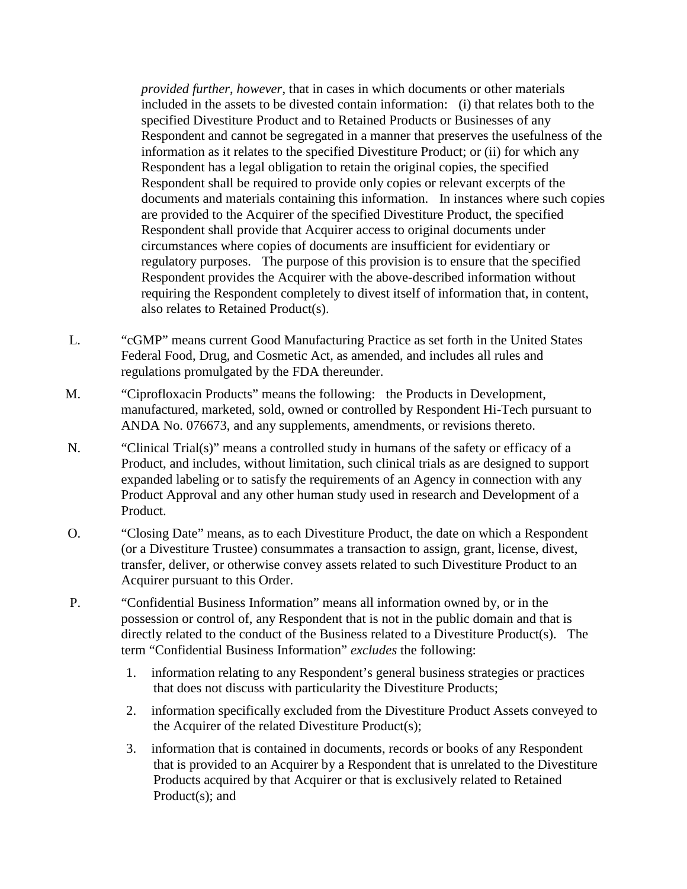*provided further*, *however*, that in cases in which documents or other materials included in the assets to be divested contain information: (i) that relates both to the specified Divestiture Product and to Retained Products or Businesses of any Respondent and cannot be segregated in a manner that preserves the usefulness of the information as it relates to the specified Divestiture Product; or (ii) for which any Respondent has a legal obligation to retain the original copies, the specified Respondent shall be required to provide only copies or relevant excerpts of the documents and materials containing this information. In instances where such copies are provided to the Acquirer of the specified Divestiture Product, the specified Respondent shall provide that Acquirer access to original documents under circumstances where copies of documents are insufficient for evidentiary or regulatory purposes. The purpose of this provision is to ensure that the specified Respondent provides the Acquirer with the above-described information without requiring the Respondent completely to divest itself of information that, in content, also relates to Retained Product(s).

- L. "cGMP" means current Good Manufacturing Practice as set forth in the United States Federal Food, Drug, and Cosmetic Act, as amended, and includes all rules and regulations promulgated by the FDA thereunder.
- M. "Ciprofloxacin Products" means the following: the Products in Development, manufactured, marketed, sold, owned or controlled by Respondent Hi-Tech pursuant to ANDA No. 076673, and any supplements, amendments, or revisions thereto.
- N. "Clinical Trial(s)" means a controlled study in humans of the safety or efficacy of a Product, and includes, without limitation, such clinical trials as are designed to support expanded labeling or to satisfy the requirements of an Agency in connection with any Product Approval and any other human study used in research and Development of a Product.
- O. "Closing Date" means, as to each Divestiture Product, the date on which a Respondent (or a Divestiture Trustee) consummates a transaction to assign, grant, license, divest, transfer, deliver, or otherwise convey assets related to such Divestiture Product to an Acquirer pursuant to this Order.
- P. "Confidential Business Information" means all information owned by, or in the possession or control of, any Respondent that is not in the public domain and that is directly related to the conduct of the Business related to a Divestiture Product(s). The term "Confidential Business Information" *excludes* the following:
	- 1. information relating to any Respondent's general business strategies or practices that does not discuss with particularity the Divestiture Products;
	- 2. information specifically excluded from the Divestiture Product Assets conveyed to the Acquirer of the related Divestiture Product(s);
	- 3. information that is contained in documents, records or books of any Respondent that is provided to an Acquirer by a Respondent that is unrelated to the Divestiture Products acquired by that Acquirer or that is exclusively related to Retained Product(s); and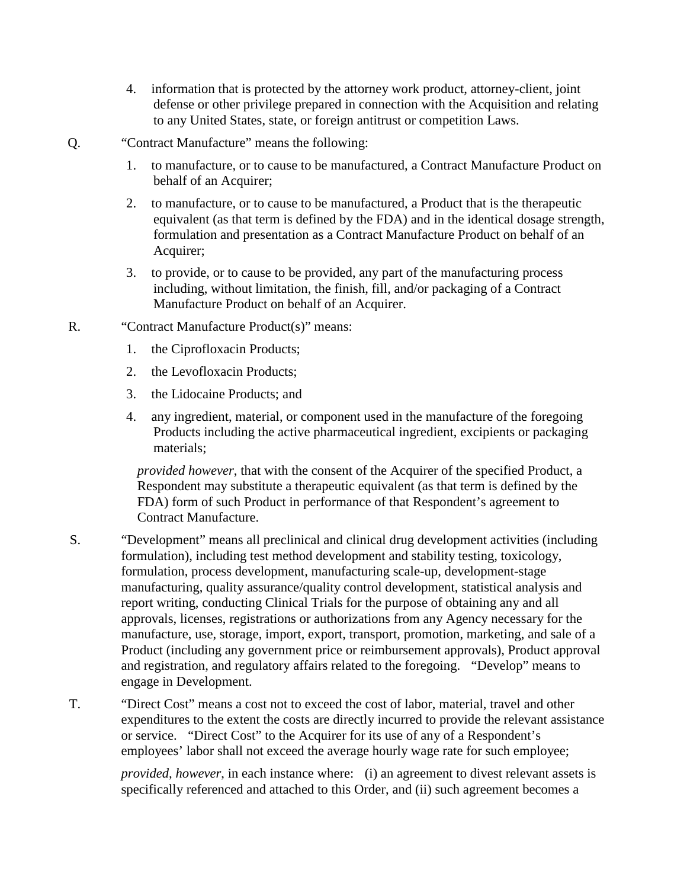- 4. information that is protected by the attorney work product, attorney-client, joint defense or other privilege prepared in connection with the Acquisition and relating to any United States, state, or foreign antitrust or competition Laws.
- Q. "Contract Manufacture" means the following:
	- 1. to manufacture, or to cause to be manufactured, a Contract Manufacture Product on behalf of an Acquirer;
	- 2. to manufacture, or to cause to be manufactured, a Product that is the therapeutic equivalent (as that term is defined by the FDA) and in the identical dosage strength, formulation and presentation as a Contract Manufacture Product on behalf of an Acquirer;
	- 3. to provide, or to cause to be provided, any part of the manufacturing process including, without limitation, the finish, fill, and/or packaging of a Contract Manufacture Product on behalf of an Acquirer.
- R. "Contract Manufacture Product(s)" means:
	- 1. the Ciprofloxacin Products;
	- 2. the Levofloxacin Products;
	- 3. the Lidocaine Products; and
	- 4. any ingredient, material, or component used in the manufacture of the foregoing Products including the active pharmaceutical ingredient, excipients or packaging materials;

*provided however*, that with the consent of the Acquirer of the specified Product, a Respondent may substitute a therapeutic equivalent (as that term is defined by the FDA) form of such Product in performance of that Respondent's agreement to Contract Manufacture.

- S. "Development" means all preclinical and clinical drug development activities (including formulation), including test method development and stability testing, toxicology, formulation, process development, manufacturing scale-up, development-stage manufacturing, quality assurance/quality control development, statistical analysis and report writing, conducting Clinical Trials for the purpose of obtaining any and all approvals, licenses, registrations or authorizations from any Agency necessary for the manufacture, use, storage, import, export, transport, promotion, marketing, and sale of a Product (including any government price or reimbursement approvals), Product approval and registration, and regulatory affairs related to the foregoing. "Develop" means to engage in Development.
- T. "Direct Cost" means a cost not to exceed the cost of labor, material, travel and other expenditures to the extent the costs are directly incurred to provide the relevant assistance or service. "Direct Cost" to the Acquirer for its use of any of a Respondent's employees' labor shall not exceed the average hourly wage rate for such employee;

*provided, however*, in each instance where: (i) an agreement to divest relevant assets is specifically referenced and attached to this Order, and (ii) such agreement becomes a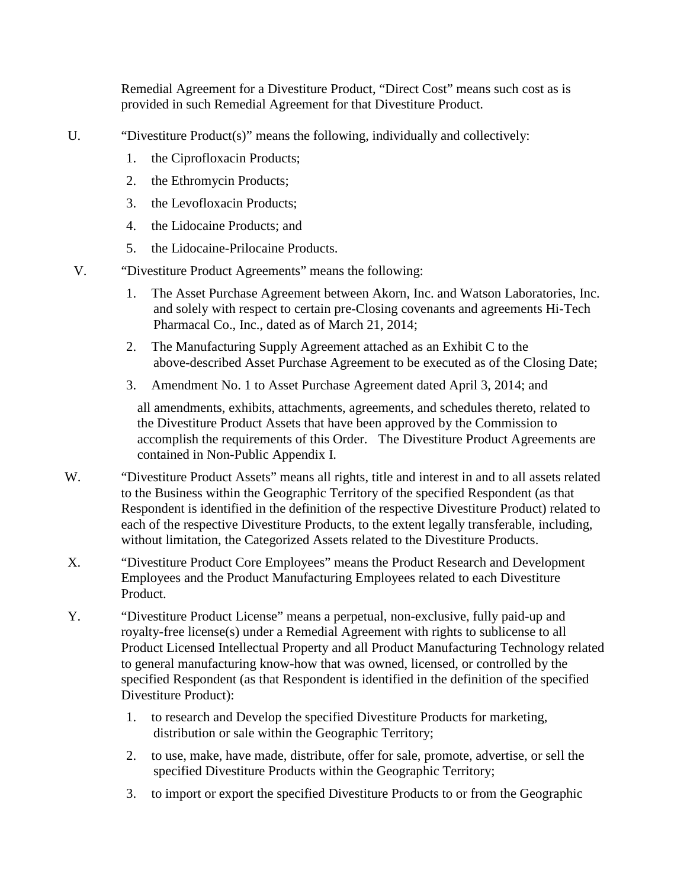Remedial Agreement for a Divestiture Product, "Direct Cost" means such cost as is provided in such Remedial Agreement for that Divestiture Product.

U. "Divestiture Product(s)" means the following, individually and collectively:

- 1. the Ciprofloxacin Products;
- 2. the Ethromycin Products;
- 3. the Levofloxacin Products;
- 4. the Lidocaine Products; and
- 5. the Lidocaine-Prilocaine Products.
- V. "Divestiture Product Agreements" means the following:
	- 1. The Asset Purchase Agreement between Akorn, Inc. and Watson Laboratories, Inc. and solely with respect to certain pre-Closing covenants and agreements Hi-Tech Pharmacal Co., Inc., dated as of March 21, 2014;
	- 2. The Manufacturing Supply Agreement attached as an Exhibit C to the above-described Asset Purchase Agreement to be executed as of the Closing Date;
	- 3. Amendment No. 1 to Asset Purchase Agreement dated April 3, 2014; and

all amendments, exhibits, attachments, agreements, and schedules thereto, related to the Divestiture Product Assets that have been approved by the Commission to accomplish the requirements of this Order. The Divestiture Product Agreements are contained in Non-Public Appendix I.

- W. "Divestiture Product Assets" means all rights, title and interest in and to all assets related to the Business within the Geographic Territory of the specified Respondent (as that Respondent is identified in the definition of the respective Divestiture Product) related to each of the respective Divestiture Products, to the extent legally transferable, including, without limitation, the Categorized Assets related to the Divestiture Products.
- X. "Divestiture Product Core Employees" means the Product Research and Development Employees and the Product Manufacturing Employees related to each Divestiture Product.
- Y. "Divestiture Product License" means a perpetual, non-exclusive, fully paid-up and royalty-free license(s) under a Remedial Agreement with rights to sublicense to all Product Licensed Intellectual Property and all Product Manufacturing Technology related to general manufacturing know-how that was owned, licensed, or controlled by the specified Respondent (as that Respondent is identified in the definition of the specified Divestiture Product):
	- 1. to research and Develop the specified Divestiture Products for marketing, distribution or sale within the Geographic Territory;
	- 2. to use, make, have made, distribute, offer for sale, promote, advertise, or sell the specified Divestiture Products within the Geographic Territory;
	- 3. to import or export the specified Divestiture Products to or from the Geographic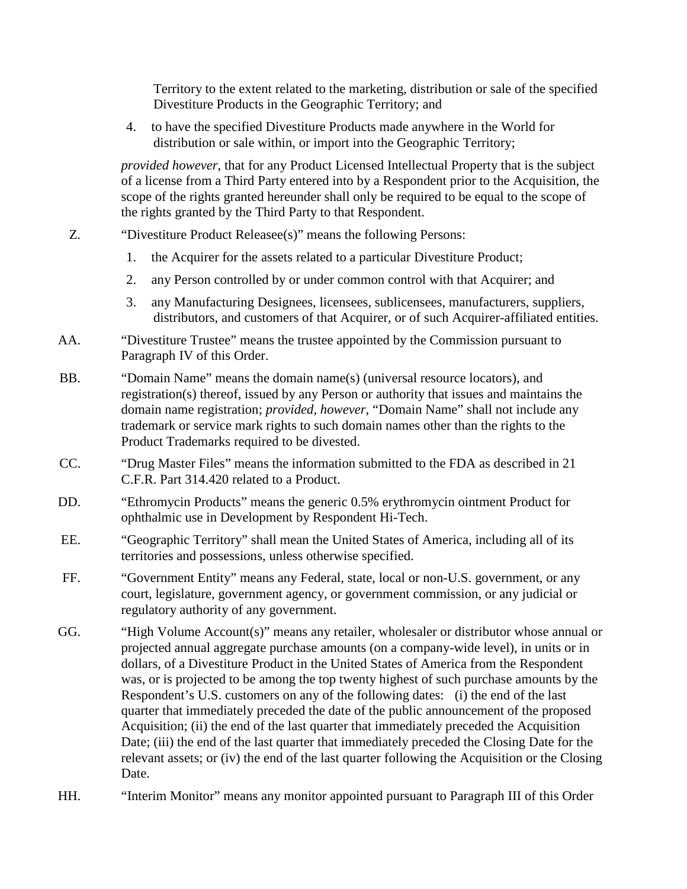Territory to the extent related to the marketing, distribution or sale of the specified Divestiture Products in the Geographic Territory; and

4. to have the specified Divestiture Products made anywhere in the World for distribution or sale within, or import into the Geographic Territory;

*provided however*, that for any Product Licensed Intellectual Property that is the subject of a license from a Third Party entered into by a Respondent prior to the Acquisition, the scope of the rights granted hereunder shall only be required to be equal to the scope of the rights granted by the Third Party to that Respondent.

- Z. "Divestiture Product Releasee(s)" means the following Persons:
	- 1. the Acquirer for the assets related to a particular Divestiture Product;
	- 2. any Person controlled by or under common control with that Acquirer; and
	- 3. any Manufacturing Designees, licensees, sublicensees, manufacturers, suppliers, distributors, and customers of that Acquirer, or of such Acquirer-affiliated entities.
- AA. "Divestiture Trustee" means the trustee appointed by the Commission pursuant to Paragraph IV of this Order.
- BB. "Domain Name" means the domain name(s) (universal resource locators), and registration(s) thereof, issued by any Person or authority that issues and maintains the domain name registration; *provided, however*, "Domain Name" shall not include any trademark or service mark rights to such domain names other than the rights to the Product Trademarks required to be divested.
- CC. "Drug Master Files" means the information submitted to the FDA as described in 21 C.F.R. Part 314.420 related to a Product.
- DD. "Ethromycin Products" means the generic 0.5% erythromycin ointment Product for ophthalmic use in Development by Respondent Hi-Tech.
- EE. "Geographic Territory" shall mean the United States of America, including all of its territories and possessions, unless otherwise specified.
- FF. "Government Entity" means any Federal, state, local or non-U.S. government, or any court, legislature, government agency, or government commission, or any judicial or regulatory authority of any government.
- GG. "High Volume Account(s)" means any retailer, wholesaler or distributor whose annual or projected annual aggregate purchase amounts (on a company-wide level), in units or in dollars, of a Divestiture Product in the United States of America from the Respondent was, or is projected to be among the top twenty highest of such purchase amounts by the Respondent's U.S. customers on any of the following dates: (i) the end of the last quarter that immediately preceded the date of the public announcement of the proposed Acquisition; (ii) the end of the last quarter that immediately preceded the Acquisition Date; (iii) the end of the last quarter that immediately preceded the Closing Date for the relevant assets; or (iv) the end of the last quarter following the Acquisition or the Closing Date.
- HH. "Interim Monitor" means any monitor appointed pursuant to Paragraph III of this Order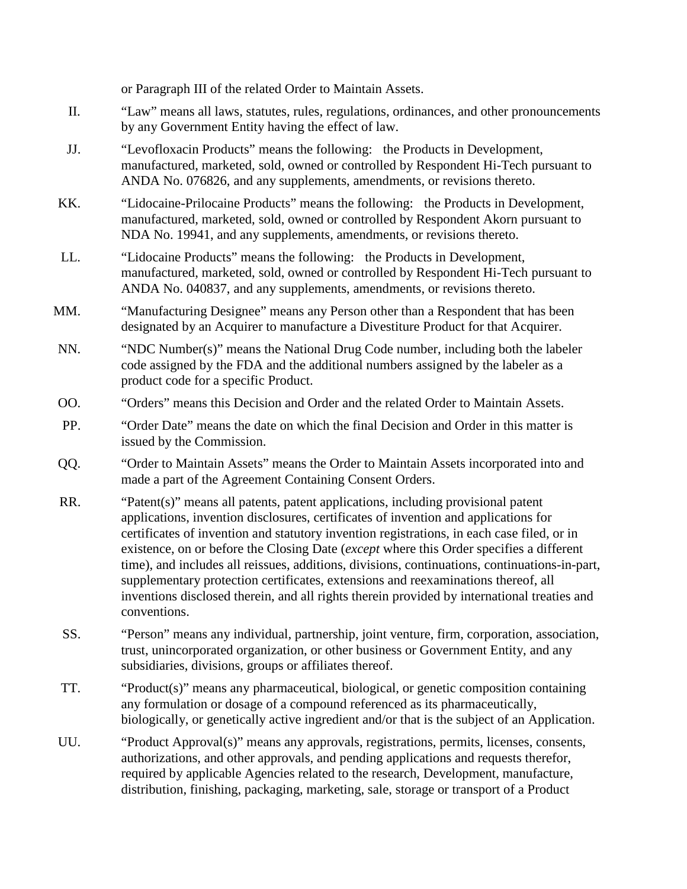or Paragraph III of the related Order to Maintain Assets.

- II. "Law" means all laws, statutes, rules, regulations, ordinances, and other pronouncements by any Government Entity having the effect of law.
- JJ. "Levofloxacin Products" means the following: the Products in Development, manufactured, marketed, sold, owned or controlled by Respondent Hi-Tech pursuant to ANDA No. 076826, and any supplements, amendments, or revisions thereto.
- KK. "Lidocaine-Prilocaine Products" means the following: the Products in Development, manufactured, marketed, sold, owned or controlled by Respondent Akorn pursuant to NDA No. 19941, and any supplements, amendments, or revisions thereto.
- LL. "Lidocaine Products" means the following: the Products in Development, manufactured, marketed, sold, owned or controlled by Respondent Hi-Tech pursuant to ANDA No. 040837, and any supplements, amendments, or revisions thereto.
- MM. "Manufacturing Designee" means any Person other than a Respondent that has been designated by an Acquirer to manufacture a Divestiture Product for that Acquirer.
- NN. "NDC Number(s)" means the National Drug Code number, including both the labeler code assigned by the FDA and the additional numbers assigned by the labeler as a product code for a specific Product.
- OO. "Orders" means this Decision and Order and the related Order to Maintain Assets.
- PP. "Order Date" means the date on which the final Decision and Order in this matter is issued by the Commission.
- QQ. "Order to Maintain Assets" means the Order to Maintain Assets incorporated into and made a part of the Agreement Containing Consent Orders.
- RR. "Patent(s)" means all patents, patent applications, including provisional patent applications, invention disclosures, certificates of invention and applications for certificates of invention and statutory invention registrations, in each case filed, or in existence, on or before the Closing Date (*except* where this Order specifies a different time), and includes all reissues, additions, divisions, continuations, continuations-in-part, supplementary protection certificates, extensions and reexaminations thereof, all inventions disclosed therein, and all rights therein provided by international treaties and conventions.
- SS. "Person" means any individual, partnership, joint venture, firm, corporation, association, trust, unincorporated organization, or other business or Government Entity, and any subsidiaries, divisions, groups or affiliates thereof.
- TT. "Product(s)" means any pharmaceutical, biological, or genetic composition containing any formulation or dosage of a compound referenced as its pharmaceutically, biologically, or genetically active ingredient and/or that is the subject of an Application.
- UU. "Product Approval(s)" means any approvals, registrations, permits, licenses, consents, authorizations, and other approvals, and pending applications and requests therefor, required by applicable Agencies related to the research, Development, manufacture, distribution, finishing, packaging, marketing, sale, storage or transport of a Product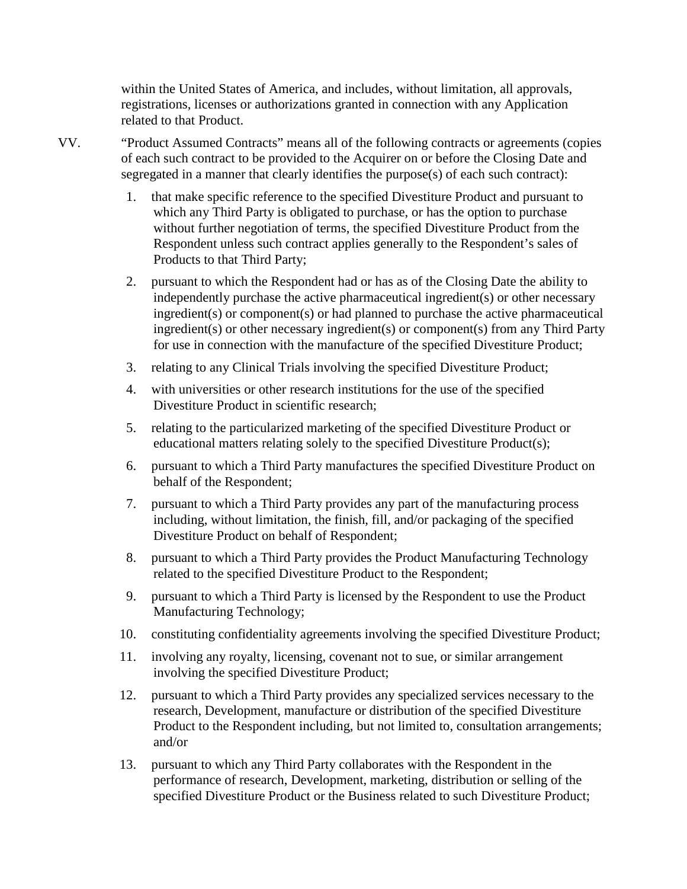within the United States of America, and includes, without limitation, all approvals, registrations, licenses or authorizations granted in connection with any Application related to that Product.

- VV. "Product Assumed Contracts" means all of the following contracts or agreements (copies of each such contract to be provided to the Acquirer on or before the Closing Date and segregated in a manner that clearly identifies the purpose(s) of each such contract):
	- 1. that make specific reference to the specified Divestiture Product and pursuant to which any Third Party is obligated to purchase, or has the option to purchase without further negotiation of terms, the specified Divestiture Product from the Respondent unless such contract applies generally to the Respondent's sales of Products to that Third Party;
	- 2. pursuant to which the Respondent had or has as of the Closing Date the ability to independently purchase the active pharmaceutical ingredient(s) or other necessary ingredient(s) or component(s) or had planned to purchase the active pharmaceutical ingredient(s) or other necessary ingredient(s) or component(s) from any Third Party for use in connection with the manufacture of the specified Divestiture Product;
	- 3. relating to any Clinical Trials involving the specified Divestiture Product;
	- 4. with universities or other research institutions for the use of the specified Divestiture Product in scientific research;
	- 5. relating to the particularized marketing of the specified Divestiture Product or educational matters relating solely to the specified Divestiture Product(s);
	- 6. pursuant to which a Third Party manufactures the specified Divestiture Product on behalf of the Respondent;
	- 7. pursuant to which a Third Party provides any part of the manufacturing process including, without limitation, the finish, fill, and/or packaging of the specified Divestiture Product on behalf of Respondent;
	- 8. pursuant to which a Third Party provides the Product Manufacturing Technology related to the specified Divestiture Product to the Respondent;
	- 9. pursuant to which a Third Party is licensed by the Respondent to use the Product Manufacturing Technology;
	- 10. constituting confidentiality agreements involving the specified Divestiture Product;
	- 11. involving any royalty, licensing, covenant not to sue, or similar arrangement involving the specified Divestiture Product;
	- 12. pursuant to which a Third Party provides any specialized services necessary to the research, Development, manufacture or distribution of the specified Divestiture Product to the Respondent including, but not limited to, consultation arrangements; and/or
	- 13. pursuant to which any Third Party collaborates with the Respondent in the performance of research, Development, marketing, distribution or selling of the specified Divestiture Product or the Business related to such Divestiture Product;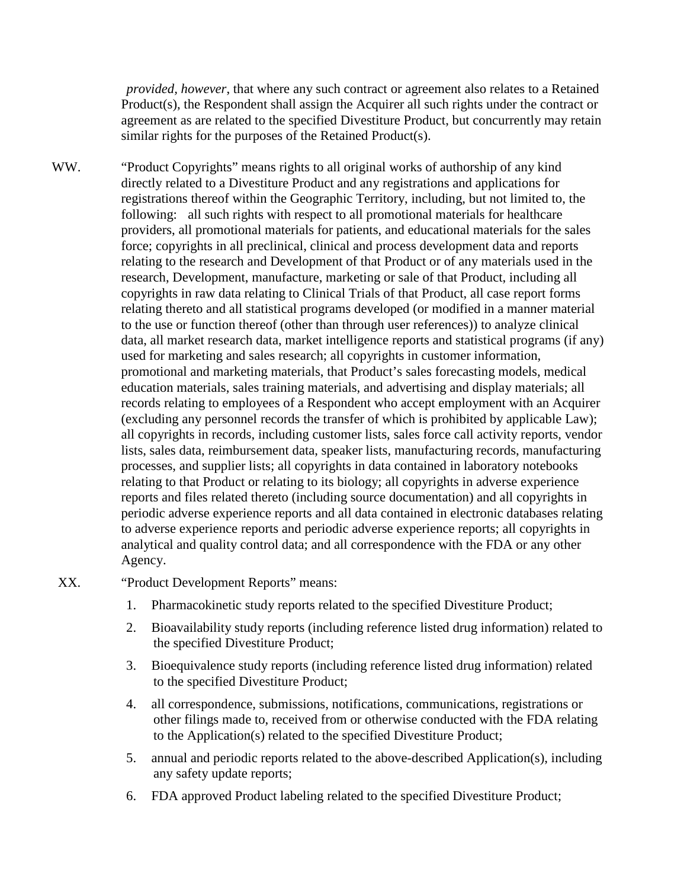*provided, however*, that where any such contract or agreement also relates to a Retained Product(s), the Respondent shall assign the Acquirer all such rights under the contract or agreement as are related to the specified Divestiture Product, but concurrently may retain similar rights for the purposes of the Retained Product(s).

WW. "Product Copyrights" means rights to all original works of authorship of any kind directly related to a Divestiture Product and any registrations and applications for registrations thereof within the Geographic Territory, including, but not limited to, the following: all such rights with respect to all promotional materials for healthcare providers, all promotional materials for patients, and educational materials for the sales force; copyrights in all preclinical, clinical and process development data and reports relating to the research and Development of that Product or of any materials used in the research, Development, manufacture, marketing or sale of that Product, including all copyrights in raw data relating to Clinical Trials of that Product, all case report forms relating thereto and all statistical programs developed (or modified in a manner material to the use or function thereof (other than through user references)) to analyze clinical data, all market research data, market intelligence reports and statistical programs (if any) used for marketing and sales research; all copyrights in customer information, promotional and marketing materials, that Product's sales forecasting models, medical education materials, sales training materials, and advertising and display materials; all records relating to employees of a Respondent who accept employment with an Acquirer (excluding any personnel records the transfer of which is prohibited by applicable Law); all copyrights in records, including customer lists, sales force call activity reports, vendor lists, sales data, reimbursement data, speaker lists, manufacturing records, manufacturing processes, and supplier lists; all copyrights in data contained in laboratory notebooks relating to that Product or relating to its biology; all copyrights in adverse experience reports and files related thereto (including source documentation) and all copyrights in periodic adverse experience reports and all data contained in electronic databases relating to adverse experience reports and periodic adverse experience reports; all copyrights in analytical and quality control data; and all correspondence with the FDA or any other Agency.

#### XX. "Product Development Reports" means:

- 1. Pharmacokinetic study reports related to the specified Divestiture Product;
- 2. Bioavailability study reports (including reference listed drug information) related to the specified Divestiture Product;
- 3. Bioequivalence study reports (including reference listed drug information) related to the specified Divestiture Product;
- 4. all correspondence, submissions, notifications, communications, registrations or other filings made to, received from or otherwise conducted with the FDA relating to the Application(s) related to the specified Divestiture Product;
- 5. annual and periodic reports related to the above-described Application(s), including any safety update reports;
- 6. FDA approved Product labeling related to the specified Divestiture Product;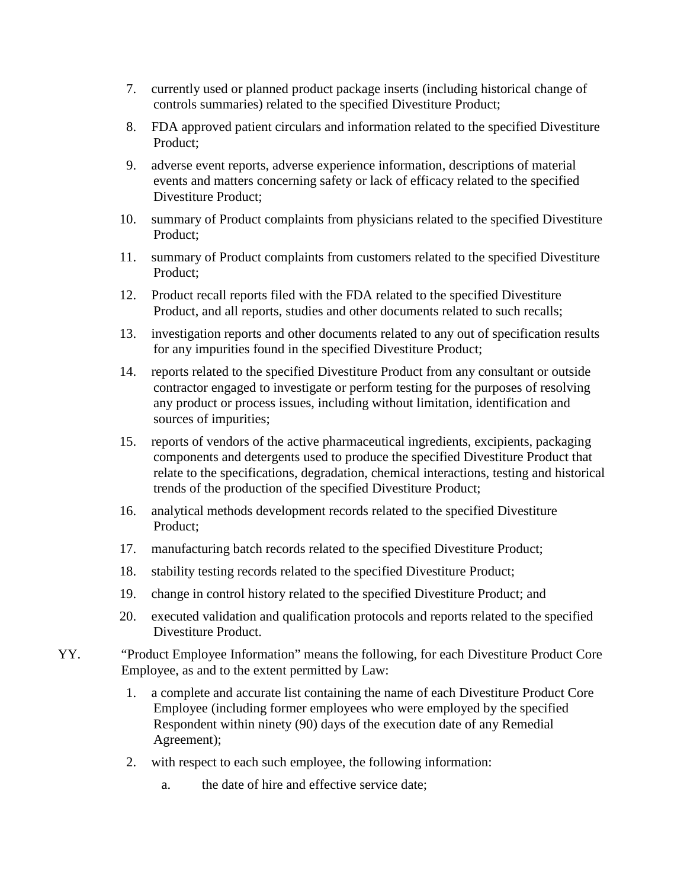- 7. currently used or planned product package inserts (including historical change of controls summaries) related to the specified Divestiture Product;
- 8. FDA approved patient circulars and information related to the specified Divestiture Product;
- 9. adverse event reports, adverse experience information, descriptions of material events and matters concerning safety or lack of efficacy related to the specified Divestiture Product;
- 10. summary of Product complaints from physicians related to the specified Divestiture Product;
- 11. summary of Product complaints from customers related to the specified Divestiture Product;
- 12. Product recall reports filed with the FDA related to the specified Divestiture Product, and all reports, studies and other documents related to such recalls;
- 13. investigation reports and other documents related to any out of specification results for any impurities found in the specified Divestiture Product;
- 14. reports related to the specified Divestiture Product from any consultant or outside contractor engaged to investigate or perform testing for the purposes of resolving any product or process issues, including without limitation, identification and sources of impurities;
- 15. reports of vendors of the active pharmaceutical ingredients, excipients, packaging components and detergents used to produce the specified Divestiture Product that relate to the specifications, degradation, chemical interactions, testing and historical trends of the production of the specified Divestiture Product;
- 16. analytical methods development records related to the specified Divestiture Product;
- 17. manufacturing batch records related to the specified Divestiture Product;
- 18. stability testing records related to the specified Divestiture Product;
- 19. change in control history related to the specified Divestiture Product; and
- 20. executed validation and qualification protocols and reports related to the specified Divestiture Product.
- YY. "Product Employee Information" means the following, for each Divestiture Product Core Employee, as and to the extent permitted by Law:
	- 1. a complete and accurate list containing the name of each Divestiture Product Core Employee (including former employees who were employed by the specified Respondent within ninety (90) days of the execution date of any Remedial Agreement);
	- 2. with respect to each such employee, the following information:
		- a. the date of hire and effective service date;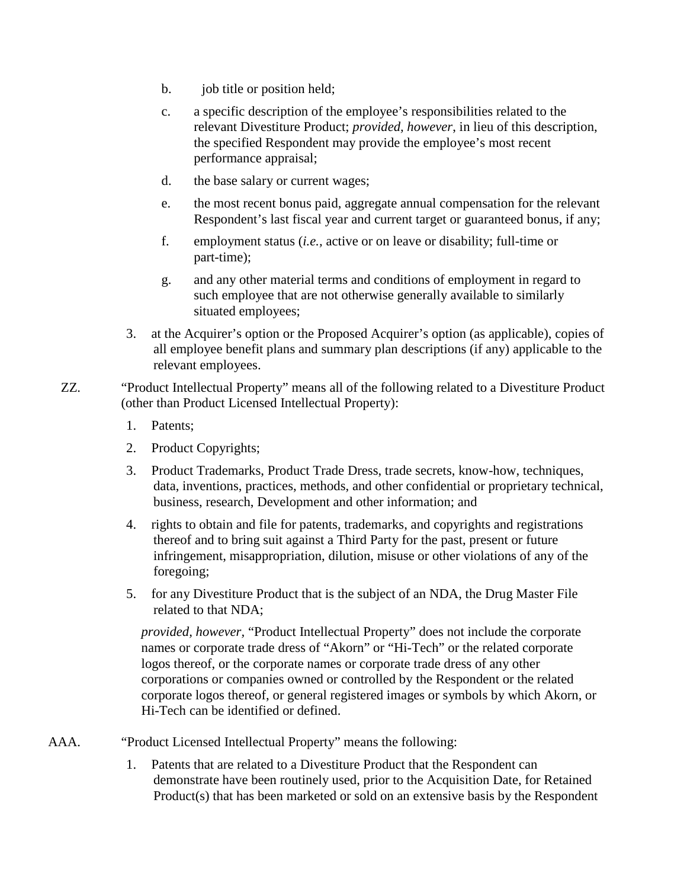- b. job title or position held;
- c. a specific description of the employee's responsibilities related to the relevant Divestiture Product; *provided, however*, in lieu of this description, the specified Respondent may provide the employee's most recent performance appraisal;
- d. the base salary or current wages;
- e. the most recent bonus paid, aggregate annual compensation for the relevant Respondent's last fiscal year and current target or guaranteed bonus, if any;
- f. employment status (*i.e.,* active or on leave or disability; full-time or part-time);
- g. and any other material terms and conditions of employment in regard to such employee that are not otherwise generally available to similarly situated employees;
- 3. at the Acquirer's option or the Proposed Acquirer's option (as applicable), copies of all employee benefit plans and summary plan descriptions (if any) applicable to the relevant employees.
- ZZ. "Product Intellectual Property" means all of the following related to a Divestiture Product (other than Product Licensed Intellectual Property):
	- 1. Patents;
	- 2. Product Copyrights;
	- 3. Product Trademarks, Product Trade Dress, trade secrets, know-how, techniques, data, inventions, practices, methods, and other confidential or proprietary technical, business, research, Development and other information; and
	- 4. rights to obtain and file for patents, trademarks, and copyrights and registrations thereof and to bring suit against a Third Party for the past, present or future infringement, misappropriation, dilution, misuse or other violations of any of the foregoing;
	- 5. for any Divestiture Product that is the subject of an NDA, the Drug Master File related to that NDA;

*provided, however,* "Product Intellectual Property" does not include the corporate names or corporate trade dress of "Akorn" or "Hi-Tech" or the related corporate logos thereof, or the corporate names or corporate trade dress of any other corporations or companies owned or controlled by the Respondent or the related corporate logos thereof, or general registered images or symbols by which Akorn, or Hi-Tech can be identified or defined.

- AAA. "Product Licensed Intellectual Property" means the following:
	- 1. Patents that are related to a Divestiture Product that the Respondent can demonstrate have been routinely used, prior to the Acquisition Date, for Retained Product(s) that has been marketed or sold on an extensive basis by the Respondent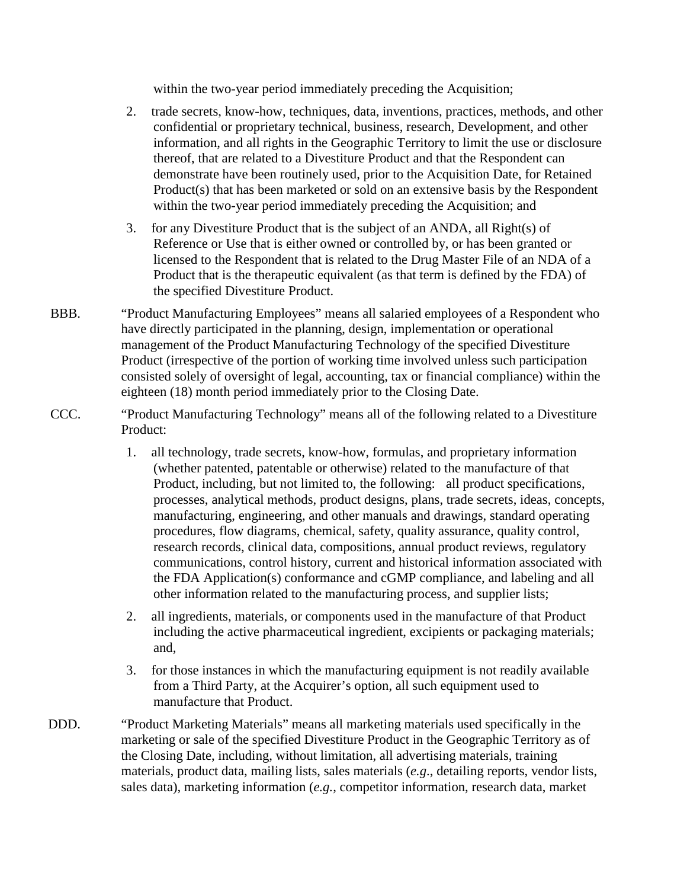within the two-year period immediately preceding the Acquisition;

- 2. trade secrets, know-how, techniques, data, inventions, practices, methods, and other confidential or proprietary technical, business, research, Development, and other information, and all rights in the Geographic Territory to limit the use or disclosure thereof, that are related to a Divestiture Product and that the Respondent can demonstrate have been routinely used, prior to the Acquisition Date, for Retained Product(s) that has been marketed or sold on an extensive basis by the Respondent within the two-year period immediately preceding the Acquisition; and
- 3. for any Divestiture Product that is the subject of an ANDA, all Right(s) of Reference or Use that is either owned or controlled by, or has been granted or licensed to the Respondent that is related to the Drug Master File of an NDA of a Product that is the therapeutic equivalent (as that term is defined by the FDA) of the specified Divestiture Product.
- BBB. "Product Manufacturing Employees" means all salaried employees of a Respondent who have directly participated in the planning, design, implementation or operational management of the Product Manufacturing Technology of the specified Divestiture Product (irrespective of the portion of working time involved unless such participation consisted solely of oversight of legal, accounting, tax or financial compliance) within the eighteen (18) month period immediately prior to the Closing Date.
- CCC. "Product Manufacturing Technology" means all of the following related to a Divestiture Product:
	- 1. all technology, trade secrets, know-how, formulas, and proprietary information (whether patented, patentable or otherwise) related to the manufacture of that Product, including, but not limited to, the following: all product specifications, processes, analytical methods, product designs, plans, trade secrets, ideas, concepts, manufacturing, engineering, and other manuals and drawings, standard operating procedures, flow diagrams, chemical, safety, quality assurance, quality control, research records, clinical data, compositions, annual product reviews, regulatory communications, control history, current and historical information associated with the FDA Application(s) conformance and cGMP compliance, and labeling and all other information related to the manufacturing process, and supplier lists;
	- 2. all ingredients, materials, or components used in the manufacture of that Product including the active pharmaceutical ingredient, excipients or packaging materials; and,
	- 3. for those instances in which the manufacturing equipment is not readily available from a Third Party, at the Acquirer's option, all such equipment used to manufacture that Product.
- DDD. "Product Marketing Materials" means all marketing materials used specifically in the marketing or sale of the specified Divestiture Product in the Geographic Territory as of the Closing Date, including, without limitation, all advertising materials, training materials, product data, mailing lists, sales materials (*e.g*., detailing reports, vendor lists, sales data), marketing information (*e.g.*, competitor information, research data, market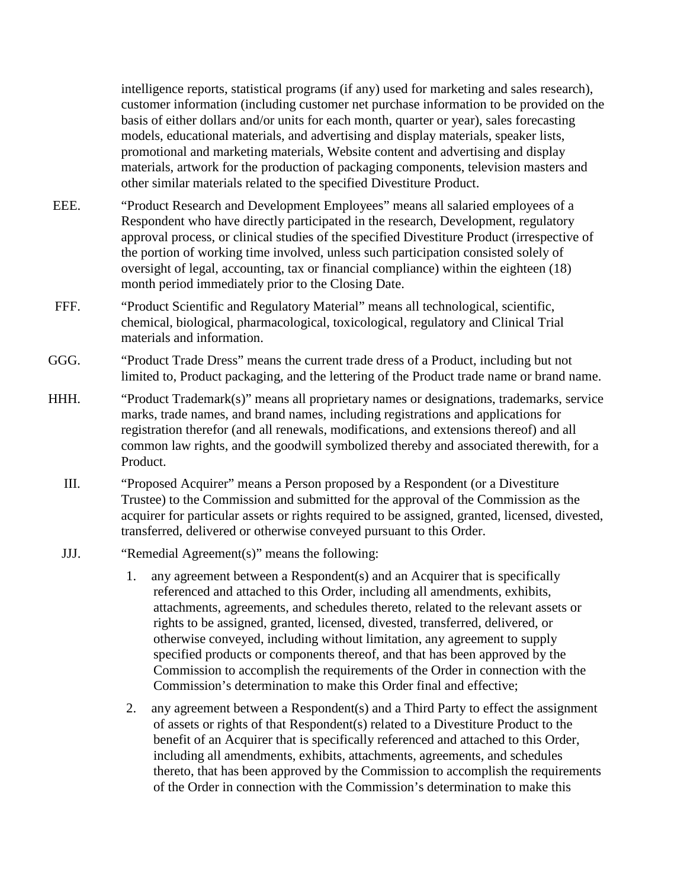intelligence reports, statistical programs (if any) used for marketing and sales research), customer information (including customer net purchase information to be provided on the basis of either dollars and/or units for each month, quarter or year), sales forecasting models, educational materials, and advertising and display materials, speaker lists, promotional and marketing materials, Website content and advertising and display materials, artwork for the production of packaging components, television masters and other similar materials related to the specified Divestiture Product.

- EEE. "Product Research and Development Employees" means all salaried employees of a Respondent who have directly participated in the research, Development, regulatory approval process, or clinical studies of the specified Divestiture Product (irrespective of the portion of working time involved, unless such participation consisted solely of oversight of legal, accounting, tax or financial compliance) within the eighteen (18) month period immediately prior to the Closing Date.
- FFF. "Product Scientific and Regulatory Material" means all technological, scientific, chemical, biological, pharmacological, toxicological, regulatory and Clinical Trial materials and information.
- GGG. "Product Trade Dress" means the current trade dress of a Product, including but not limited to, Product packaging, and the lettering of the Product trade name or brand name.
- HHH. "Product Trademark(s)" means all proprietary names or designations, trademarks, service marks, trade names, and brand names, including registrations and applications for registration therefor (and all renewals, modifications, and extensions thereof) and all common law rights, and the goodwill symbolized thereby and associated therewith, for a Product.
	- III. "Proposed Acquirer" means a Person proposed by a Respondent (or a Divestiture Trustee) to the Commission and submitted for the approval of the Commission as the acquirer for particular assets or rights required to be assigned, granted, licensed, divested, transferred, delivered or otherwise conveyed pursuant to this Order.
	- JJJ. "Remedial Agreement(s)" means the following:
		- 1. any agreement between a Respondent(s) and an Acquirer that is specifically referenced and attached to this Order, including all amendments, exhibits, attachments, agreements, and schedules thereto, related to the relevant assets or rights to be assigned, granted, licensed, divested, transferred, delivered, or otherwise conveyed, including without limitation, any agreement to supply specified products or components thereof, and that has been approved by the Commission to accomplish the requirements of the Order in connection with the Commission's determination to make this Order final and effective;
		- 2. any agreement between a Respondent(s) and a Third Party to effect the assignment of assets or rights of that Respondent(s) related to a Divestiture Product to the benefit of an Acquirer that is specifically referenced and attached to this Order, including all amendments, exhibits, attachments, agreements, and schedules thereto, that has been approved by the Commission to accomplish the requirements of the Order in connection with the Commission's determination to make this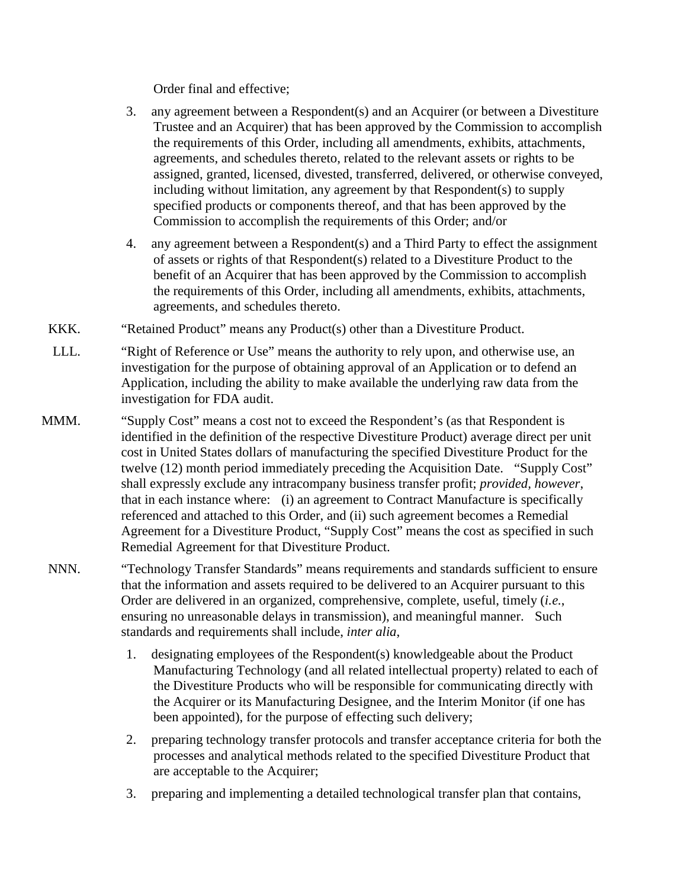Order final and effective;

- 3. any agreement between a Respondent(s) and an Acquirer (or between a Divestiture Trustee and an Acquirer) that has been approved by the Commission to accomplish the requirements of this Order, including all amendments, exhibits, attachments, agreements, and schedules thereto, related to the relevant assets or rights to be assigned, granted, licensed, divested, transferred, delivered, or otherwise conveyed, including without limitation, any agreement by that Respondent(s) to supply specified products or components thereof, and that has been approved by the Commission to accomplish the requirements of this Order; and/or
- 4. any agreement between a Respondent(s) and a Third Party to effect the assignment of assets or rights of that Respondent(s) related to a Divestiture Product to the benefit of an Acquirer that has been approved by the Commission to accomplish the requirements of this Order, including all amendments, exhibits, attachments, agreements, and schedules thereto.
- KKK. "Retained Product" means any Product(s) other than a Divestiture Product.
- LLL. "Right of Reference or Use" means the authority to rely upon, and otherwise use, an investigation for the purpose of obtaining approval of an Application or to defend an Application, including the ability to make available the underlying raw data from the investigation for FDA audit.
- MMM. "Supply Cost" means a cost not to exceed the Respondent's (as that Respondent is identified in the definition of the respective Divestiture Product) average direct per unit cost in United States dollars of manufacturing the specified Divestiture Product for the twelve (12) month period immediately preceding the Acquisition Date. "Supply Cost" shall expressly exclude any intracompany business transfer profit; *provided, however*, that in each instance where: (i) an agreement to Contract Manufacture is specifically referenced and attached to this Order, and (ii) such agreement becomes a Remedial Agreement for a Divestiture Product, "Supply Cost" means the cost as specified in such Remedial Agreement for that Divestiture Product.
- NNN. "Technology Transfer Standards" means requirements and standards sufficient to ensure that the information and assets required to be delivered to an Acquirer pursuant to this Order are delivered in an organized, comprehensive, complete, useful, timely (*i.e.*, ensuring no unreasonable delays in transmission), and meaningful manner. Such standards and requirements shall include, *inter alia*,
	- 1. designating employees of the Respondent(s) knowledgeable about the Product Manufacturing Technology (and all related intellectual property) related to each of the Divestiture Products who will be responsible for communicating directly with the Acquirer or its Manufacturing Designee, and the Interim Monitor (if one has been appointed), for the purpose of effecting such delivery;
	- 2. preparing technology transfer protocols and transfer acceptance criteria for both the processes and analytical methods related to the specified Divestiture Product that are acceptable to the Acquirer;
	- 3. preparing and implementing a detailed technological transfer plan that contains,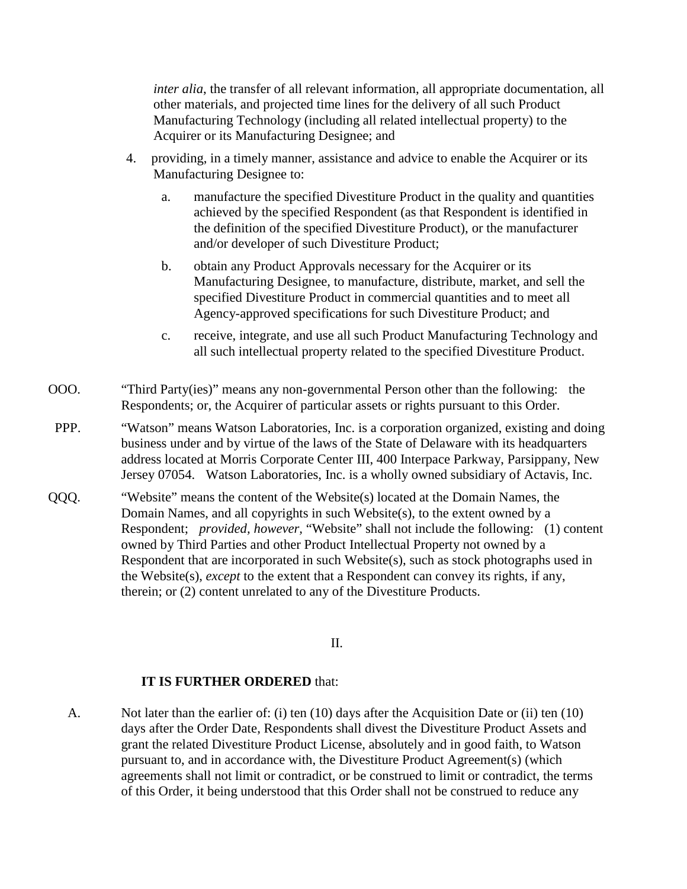*inter alia*, the transfer of all relevant information, all appropriate documentation, all other materials, and projected time lines for the delivery of all such Product Manufacturing Technology (including all related intellectual property) to the Acquirer or its Manufacturing Designee; and

- 4. providing, in a timely manner, assistance and advice to enable the Acquirer or its Manufacturing Designee to:
	- a. manufacture the specified Divestiture Product in the quality and quantities achieved by the specified Respondent (as that Respondent is identified in the definition of the specified Divestiture Product), or the manufacturer and/or developer of such Divestiture Product;
	- b. obtain any Product Approvals necessary for the Acquirer or its Manufacturing Designee, to manufacture, distribute, market, and sell the specified Divestiture Product in commercial quantities and to meet all Agency-approved specifications for such Divestiture Product; and
	- c. receive, integrate, and use all such Product Manufacturing Technology and all such intellectual property related to the specified Divestiture Product.
- OOO. "Third Party(ies)" means any non-governmental Person other than the following: the Respondents; or, the Acquirer of particular assets or rights pursuant to this Order.
- PPP. "Watson" means Watson Laboratories, Inc. is a corporation organized, existing and doing business under and by virtue of the laws of the State of Delaware with its headquarters address located at Morris Corporate Center III, 400 Interpace Parkway, Parsippany, New Jersey 07054. Watson Laboratories, Inc. is a wholly owned subsidiary of Actavis, Inc.
- QQQ. "Website" means the content of the Website(s) located at the Domain Names, the Domain Names, and all copyrights in such Website(s), to the extent owned by a Respondent; *provided, however,* "Website" shall not include the following: (1) content owned by Third Parties and other Product Intellectual Property not owned by a Respondent that are incorporated in such Website(s), such as stock photographs used in the Website(s), *except* to the extent that a Respondent can convey its rights, if any, therein; or (2) content unrelated to any of the Divestiture Products.

### II.

### **IT IS FURTHER ORDERED** that:

A. Not later than the earlier of: (i) ten (10) days after the Acquisition Date or (ii) ten (10) days after the Order Date, Respondents shall divest the Divestiture Product Assets and grant the related Divestiture Product License, absolutely and in good faith, to Watson pursuant to, and in accordance with, the Divestiture Product Agreement(s) (which agreements shall not limit or contradict, or be construed to limit or contradict, the terms of this Order, it being understood that this Order shall not be construed to reduce any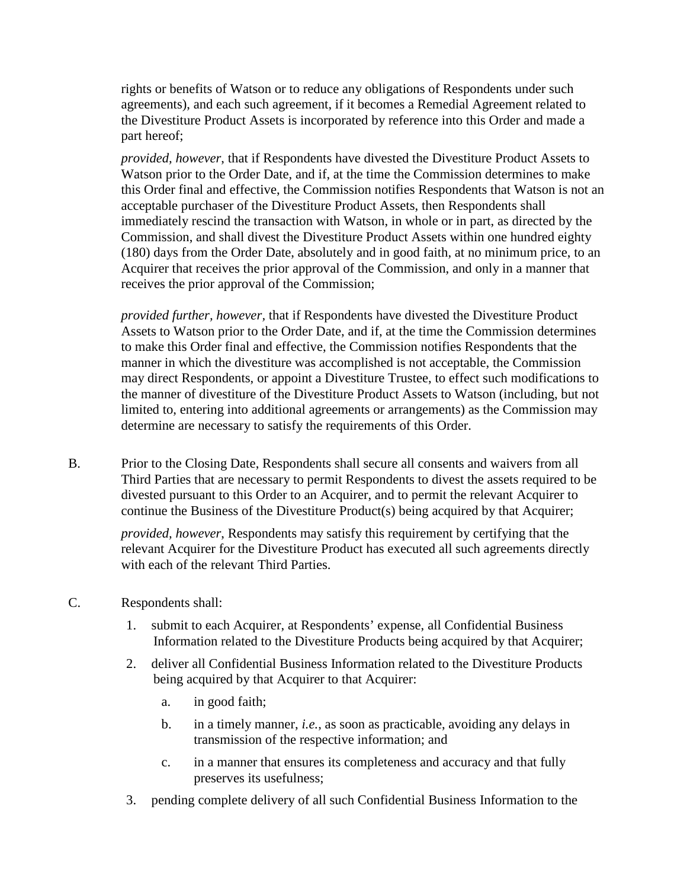rights or benefits of Watson or to reduce any obligations of Respondents under such agreements), and each such agreement, if it becomes a Remedial Agreement related to the Divestiture Product Assets is incorporated by reference into this Order and made a part hereof;

*provided, however*, that if Respondents have divested the Divestiture Product Assets to Watson prior to the Order Date, and if, at the time the Commission determines to make this Order final and effective, the Commission notifies Respondents that Watson is not an acceptable purchaser of the Divestiture Product Assets, then Respondents shall immediately rescind the transaction with Watson, in whole or in part, as directed by the Commission, and shall divest the Divestiture Product Assets within one hundred eighty (180) days from the Order Date, absolutely and in good faith, at no minimum price, to an Acquirer that receives the prior approval of the Commission, and only in a manner that receives the prior approval of the Commission;

*provided further, however,* that if Respondents have divested the Divestiture Product Assets to Watson prior to the Order Date, and if, at the time the Commission determines to make this Order final and effective, the Commission notifies Respondents that the manner in which the divestiture was accomplished is not acceptable, the Commission may direct Respondents, or appoint a Divestiture Trustee, to effect such modifications to the manner of divestiture of the Divestiture Product Assets to Watson (including, but not limited to, entering into additional agreements or arrangements) as the Commission may determine are necessary to satisfy the requirements of this Order.

B. Prior to the Closing Date, Respondents shall secure all consents and waivers from all Third Parties that are necessary to permit Respondents to divest the assets required to be divested pursuant to this Order to an Acquirer, and to permit the relevant Acquirer to continue the Business of the Divestiture Product(s) being acquired by that Acquirer;

*provided, however*, Respondents may satisfy this requirement by certifying that the relevant Acquirer for the Divestiture Product has executed all such agreements directly with each of the relevant Third Parties.

- C. Respondents shall:
	- 1. submit to each Acquirer, at Respondents' expense, all Confidential Business Information related to the Divestiture Products being acquired by that Acquirer;
	- 2. deliver all Confidential Business Information related to the Divestiture Products being acquired by that Acquirer to that Acquirer:
		- a. in good faith;
		- b. in a timely manner, *i.e.*, as soon as practicable, avoiding any delays in transmission of the respective information; and
		- c. in a manner that ensures its completeness and accuracy and that fully preserves its usefulness;
	- 3. pending complete delivery of all such Confidential Business Information to the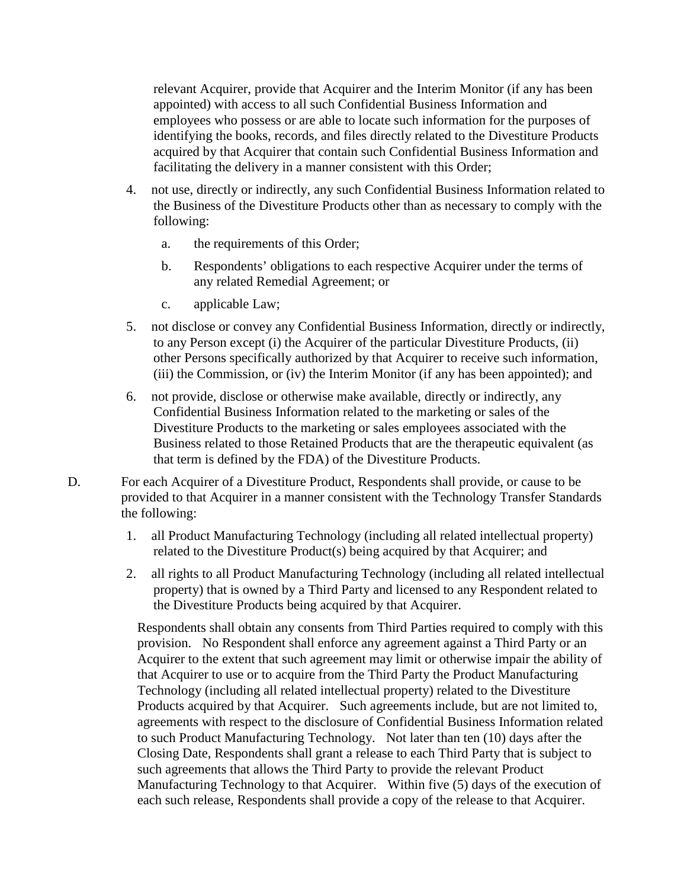relevant Acquirer, provide that Acquirer and the Interim Monitor (if any has been appointed) with access to all such Confidential Business Information and employees who possess or are able to locate such information for the purposes of identifying the books, records, and files directly related to the Divestiture Products acquired by that Acquirer that contain such Confidential Business Information and facilitating the delivery in a manner consistent with this Order;

- 4. not use, directly or indirectly, any such Confidential Business Information related to the Business of the Divestiture Products other than as necessary to comply with the following:
	- a. the requirements of this Order;
	- b. Respondents' obligations to each respective Acquirer under the terms of any related Remedial Agreement; or
	- c. applicable Law;
- 5. not disclose or convey any Confidential Business Information, directly or indirectly, to any Person except (i) the Acquirer of the particular Divestiture Products, (ii) other Persons specifically authorized by that Acquirer to receive such information, (iii) the Commission, or (iv) the Interim Monitor (if any has been appointed); and
- 6. not provide, disclose or otherwise make available, directly or indirectly, any Confidential Business Information related to the marketing or sales of the Divestiture Products to the marketing or sales employees associated with the Business related to those Retained Products that are the therapeutic equivalent (as that term is defined by the FDA) of the Divestiture Products.
- D. For each Acquirer of a Divestiture Product, Respondents shall provide, or cause to be provided to that Acquirer in a manner consistent with the Technology Transfer Standards the following:
	- 1. all Product Manufacturing Technology (including all related intellectual property) related to the Divestiture Product(s) being acquired by that Acquirer; and
	- 2. all rights to all Product Manufacturing Technology (including all related intellectual property) that is owned by a Third Party and licensed to any Respondent related to the Divestiture Products being acquired by that Acquirer.

Respondents shall obtain any consents from Third Parties required to comply with this provision. No Respondent shall enforce any agreement against a Third Party or an Acquirer to the extent that such agreement may limit or otherwise impair the ability of that Acquirer to use or to acquire from the Third Party the Product Manufacturing Technology (including all related intellectual property) related to the Divestiture Products acquired by that Acquirer. Such agreements include, but are not limited to, agreements with respect to the disclosure of Confidential Business Information related to such Product Manufacturing Technology. Not later than ten (10) days after the Closing Date, Respondents shall grant a release to each Third Party that is subject to such agreements that allows the Third Party to provide the relevant Product Manufacturing Technology to that Acquirer. Within five (5) days of the execution of each such release, Respondents shall provide a copy of the release to that Acquirer.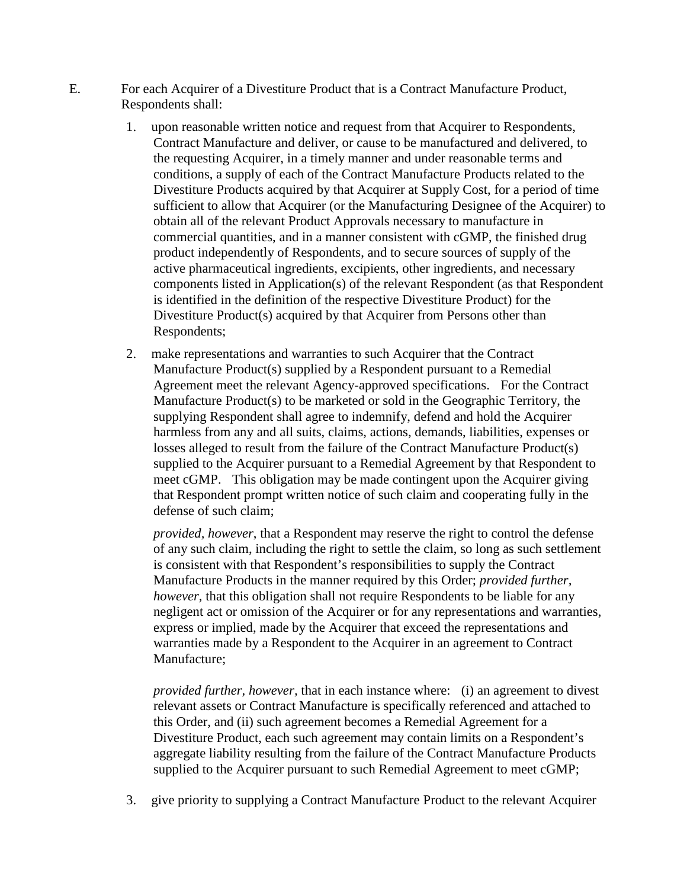- E. For each Acquirer of a Divestiture Product that is a Contract Manufacture Product, Respondents shall:
	- 1. upon reasonable written notice and request from that Acquirer to Respondents, Contract Manufacture and deliver, or cause to be manufactured and delivered, to the requesting Acquirer, in a timely manner and under reasonable terms and conditions, a supply of each of the Contract Manufacture Products related to the Divestiture Products acquired by that Acquirer at Supply Cost, for a period of time sufficient to allow that Acquirer (or the Manufacturing Designee of the Acquirer) to obtain all of the relevant Product Approvals necessary to manufacture in commercial quantities, and in a manner consistent with cGMP, the finished drug product independently of Respondents, and to secure sources of supply of the active pharmaceutical ingredients, excipients, other ingredients, and necessary components listed in Application(s) of the relevant Respondent (as that Respondent is identified in the definition of the respective Divestiture Product) for the Divestiture Product(s) acquired by that Acquirer from Persons other than Respondents;
	- 2. make representations and warranties to such Acquirer that the Contract Manufacture Product(s) supplied by a Respondent pursuant to a Remedial Agreement meet the relevant Agency-approved specifications. For the Contract Manufacture Product(s) to be marketed or sold in the Geographic Territory, the supplying Respondent shall agree to indemnify, defend and hold the Acquirer harmless from any and all suits, claims, actions, demands, liabilities, expenses or losses alleged to result from the failure of the Contract Manufacture Product(s) supplied to the Acquirer pursuant to a Remedial Agreement by that Respondent to meet cGMP. This obligation may be made contingent upon the Acquirer giving that Respondent prompt written notice of such claim and cooperating fully in the defense of such claim;

*provided, however*, that a Respondent may reserve the right to control the defense of any such claim, including the right to settle the claim, so long as such settlement is consistent with that Respondent's responsibilities to supply the Contract Manufacture Products in the manner required by this Order; *provided further, however,* that this obligation shall not require Respondents to be liable for any negligent act or omission of the Acquirer or for any representations and warranties, express or implied, made by the Acquirer that exceed the representations and warranties made by a Respondent to the Acquirer in an agreement to Contract Manufacture;

*provided further, however,* that in each instance where: (i) an agreement to divest relevant assets or Contract Manufacture is specifically referenced and attached to this Order, and (ii) such agreement becomes a Remedial Agreement for a Divestiture Product, each such agreement may contain limits on a Respondent's aggregate liability resulting from the failure of the Contract Manufacture Products supplied to the Acquirer pursuant to such Remedial Agreement to meet cGMP;

3. give priority to supplying a Contract Manufacture Product to the relevant Acquirer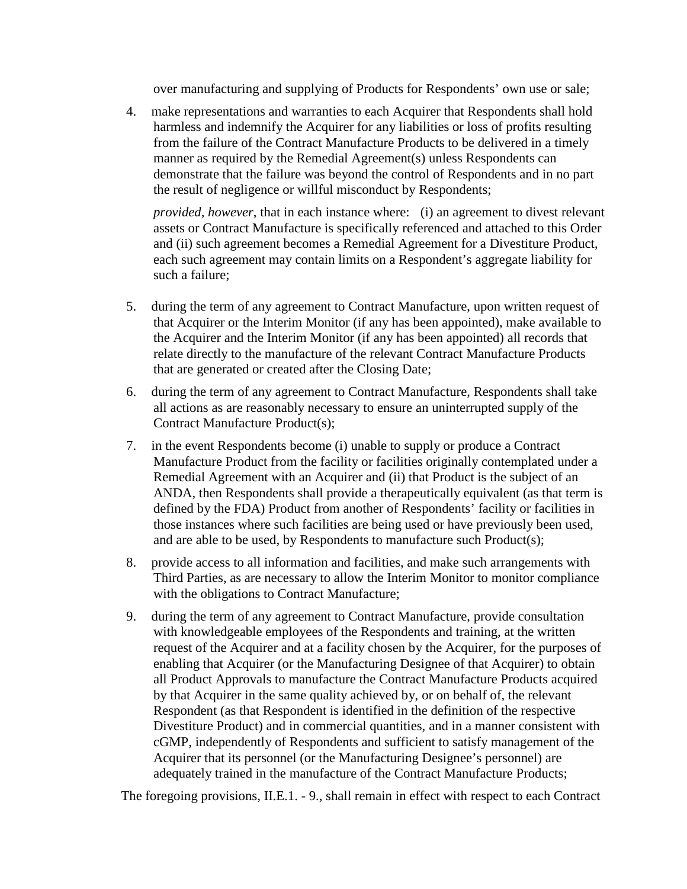over manufacturing and supplying of Products for Respondents' own use or sale;

4. make representations and warranties to each Acquirer that Respondents shall hold harmless and indemnify the Acquirer for any liabilities or loss of profits resulting from the failure of the Contract Manufacture Products to be delivered in a timely manner as required by the Remedial Agreement(s) unless Respondents can demonstrate that the failure was beyond the control of Respondents and in no part the result of negligence or willful misconduct by Respondents;

*provided, however*, that in each instance where: (i) an agreement to divest relevant assets or Contract Manufacture is specifically referenced and attached to this Order and (ii) such agreement becomes a Remedial Agreement for a Divestiture Product, each such agreement may contain limits on a Respondent's aggregate liability for such a failure;

- 5. during the term of any agreement to Contract Manufacture, upon written request of that Acquirer or the Interim Monitor (if any has been appointed), make available to the Acquirer and the Interim Monitor (if any has been appointed) all records that relate directly to the manufacture of the relevant Contract Manufacture Products that are generated or created after the Closing Date;
- 6. during the term of any agreement to Contract Manufacture, Respondents shall take all actions as are reasonably necessary to ensure an uninterrupted supply of the Contract Manufacture Product(s);
- 7. in the event Respondents become (i) unable to supply or produce a Contract Manufacture Product from the facility or facilities originally contemplated under a Remedial Agreement with an Acquirer and (ii) that Product is the subject of an ANDA, then Respondents shall provide a therapeutically equivalent (as that term is defined by the FDA) Product from another of Respondents' facility or facilities in those instances where such facilities are being used or have previously been used, and are able to be used, by Respondents to manufacture such Product(s);
- 8. provide access to all information and facilities, and make such arrangements with Third Parties, as are necessary to allow the Interim Monitor to monitor compliance with the obligations to Contract Manufacture;
- 9. during the term of any agreement to Contract Manufacture, provide consultation with knowledgeable employees of the Respondents and training, at the written request of the Acquirer and at a facility chosen by the Acquirer, for the purposes of enabling that Acquirer (or the Manufacturing Designee of that Acquirer) to obtain all Product Approvals to manufacture the Contract Manufacture Products acquired by that Acquirer in the same quality achieved by, or on behalf of, the relevant Respondent (as that Respondent is identified in the definition of the respective Divestiture Product) and in commercial quantities, and in a manner consistent with cGMP, independently of Respondents and sufficient to satisfy management of the Acquirer that its personnel (or the Manufacturing Designee's personnel) are adequately trained in the manufacture of the Contract Manufacture Products;

The foregoing provisions, II.E.1. - 9., shall remain in effect with respect to each Contract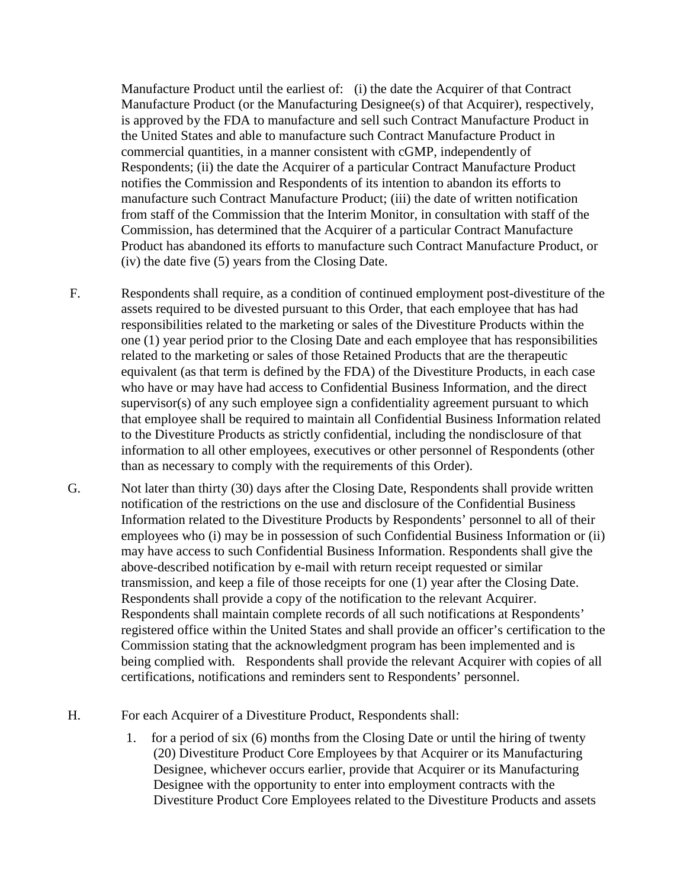Manufacture Product until the earliest of: (i) the date the Acquirer of that Contract Manufacture Product (or the Manufacturing Designee(s) of that Acquirer), respectively, is approved by the FDA to manufacture and sell such Contract Manufacture Product in the United States and able to manufacture such Contract Manufacture Product in commercial quantities, in a manner consistent with cGMP, independently of Respondents; (ii) the date the Acquirer of a particular Contract Manufacture Product notifies the Commission and Respondents of its intention to abandon its efforts to manufacture such Contract Manufacture Product; (iii) the date of written notification from staff of the Commission that the Interim Monitor, in consultation with staff of the Commission, has determined that the Acquirer of a particular Contract Manufacture Product has abandoned its efforts to manufacture such Contract Manufacture Product, or (iv) the date five (5) years from the Closing Date.

- F. Respondents shall require, as a condition of continued employment post-divestiture of the assets required to be divested pursuant to this Order, that each employee that has had responsibilities related to the marketing or sales of the Divestiture Products within the one (1) year period prior to the Closing Date and each employee that has responsibilities related to the marketing or sales of those Retained Products that are the therapeutic equivalent (as that term is defined by the FDA) of the Divestiture Products, in each case who have or may have had access to Confidential Business Information, and the direct supervisor(s) of any such employee sign a confidentiality agreement pursuant to which that employee shall be required to maintain all Confidential Business Information related to the Divestiture Products as strictly confidential, including the nondisclosure of that information to all other employees, executives or other personnel of Respondents (other than as necessary to comply with the requirements of this Order).
- G. Not later than thirty (30) days after the Closing Date, Respondents shall provide written notification of the restrictions on the use and disclosure of the Confidential Business Information related to the Divestiture Products by Respondents' personnel to all of their employees who (i) may be in possession of such Confidential Business Information or (ii) may have access to such Confidential Business Information. Respondents shall give the above-described notification by e-mail with return receipt requested or similar transmission, and keep a file of those receipts for one (1) year after the Closing Date. Respondents shall provide a copy of the notification to the relevant Acquirer. Respondents shall maintain complete records of all such notifications at Respondents' registered office within the United States and shall provide an officer's certification to the Commission stating that the acknowledgment program has been implemented and is being complied with. Respondents shall provide the relevant Acquirer with copies of all certifications, notifications and reminders sent to Respondents' personnel.
- H. For each Acquirer of a Divestiture Product, Respondents shall:
	- 1. for a period of six (6) months from the Closing Date or until the hiring of twenty (20) Divestiture Product Core Employees by that Acquirer or its Manufacturing Designee, whichever occurs earlier, provide that Acquirer or its Manufacturing Designee with the opportunity to enter into employment contracts with the Divestiture Product Core Employees related to the Divestiture Products and assets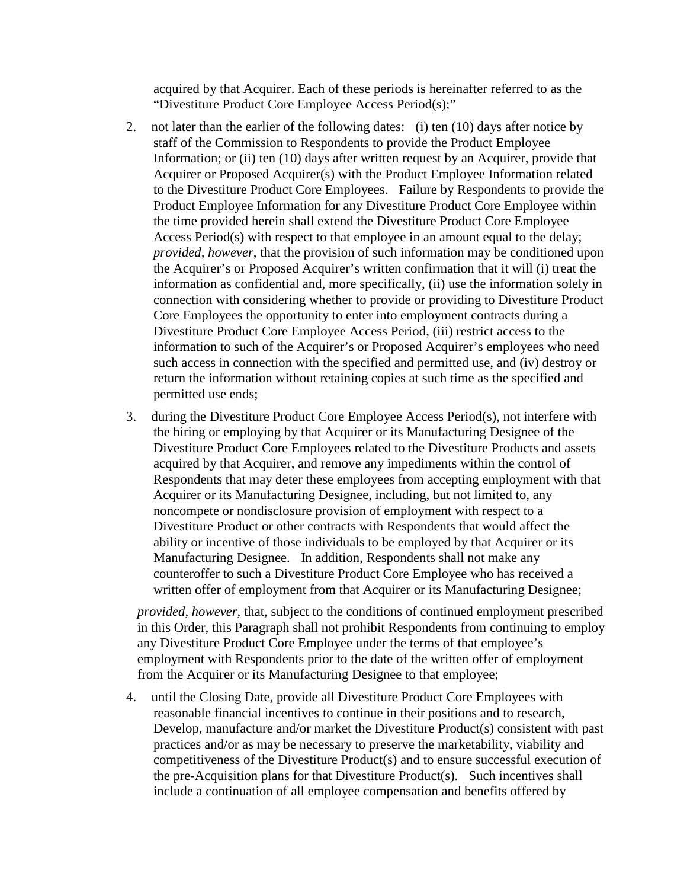acquired by that Acquirer. Each of these periods is hereinafter referred to as the "Divestiture Product Core Employee Access Period(s);"

- 2. not later than the earlier of the following dates: (i) ten (10) days after notice by staff of the Commission to Respondents to provide the Product Employee Information; or (ii) ten (10) days after written request by an Acquirer, provide that Acquirer or Proposed Acquirer(s) with the Product Employee Information related to the Divestiture Product Core Employees. Failure by Respondents to provide the Product Employee Information for any Divestiture Product Core Employee within the time provided herein shall extend the Divestiture Product Core Employee Access Period(s) with respect to that employee in an amount equal to the delay; *provided, however*, that the provision of such information may be conditioned upon the Acquirer's or Proposed Acquirer's written confirmation that it will (i) treat the information as confidential and, more specifically, (ii) use the information solely in connection with considering whether to provide or providing to Divestiture Product Core Employees the opportunity to enter into employment contracts during a Divestiture Product Core Employee Access Period, (iii) restrict access to the information to such of the Acquirer's or Proposed Acquirer's employees who need such access in connection with the specified and permitted use, and (iv) destroy or return the information without retaining copies at such time as the specified and permitted use ends;
- 3. during the Divestiture Product Core Employee Access Period(s), not interfere with the hiring or employing by that Acquirer or its Manufacturing Designee of the Divestiture Product Core Employees related to the Divestiture Products and assets acquired by that Acquirer, and remove any impediments within the control of Respondents that may deter these employees from accepting employment with that Acquirer or its Manufacturing Designee, including, but not limited to, any noncompete or nondisclosure provision of employment with respect to a Divestiture Product or other contracts with Respondents that would affect the ability or incentive of those individuals to be employed by that Acquirer or its Manufacturing Designee. In addition, Respondents shall not make any counteroffer to such a Divestiture Product Core Employee who has received a written offer of employment from that Acquirer or its Manufacturing Designee;

*provided, however,* that, subject to the conditions of continued employment prescribed in this Order, this Paragraph shall not prohibit Respondents from continuing to employ any Divestiture Product Core Employee under the terms of that employee's employment with Respondents prior to the date of the written offer of employment from the Acquirer or its Manufacturing Designee to that employee;

4. until the Closing Date, provide all Divestiture Product Core Employees with reasonable financial incentives to continue in their positions and to research, Develop, manufacture and/or market the Divestiture Product(s) consistent with past practices and/or as may be necessary to preserve the marketability, viability and competitiveness of the Divestiture Product(s) and to ensure successful execution of the pre-Acquisition plans for that Divestiture Product(s). Such incentives shall include a continuation of all employee compensation and benefits offered by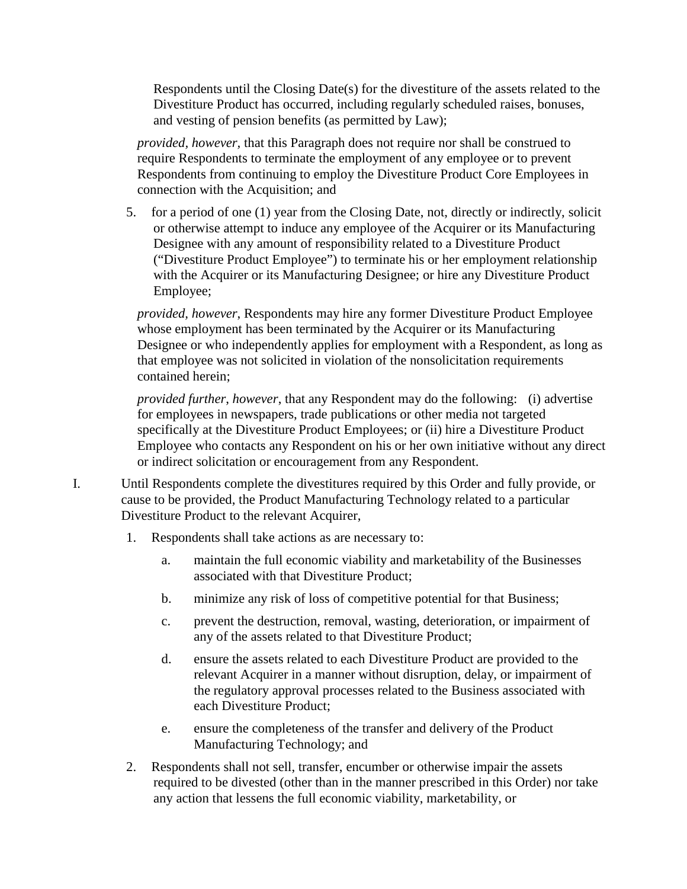Respondents until the Closing Date(s) for the divestiture of the assets related to the Divestiture Product has occurred, including regularly scheduled raises, bonuses, and vesting of pension benefits (as permitted by Law);

*provided, however,* that this Paragraph does not require nor shall be construed to require Respondents to terminate the employment of any employee or to prevent Respondents from continuing to employ the Divestiture Product Core Employees in connection with the Acquisition; and

5. for a period of one (1) year from the Closing Date, not, directly or indirectly, solicit or otherwise attempt to induce any employee of the Acquirer or its Manufacturing Designee with any amount of responsibility related to a Divestiture Product ("Divestiture Product Employee") to terminate his or her employment relationship with the Acquirer or its Manufacturing Designee; or hire any Divestiture Product Employee;

*provided, however*, Respondents may hire any former Divestiture Product Employee whose employment has been terminated by the Acquirer or its Manufacturing Designee or who independently applies for employment with a Respondent, as long as that employee was not solicited in violation of the nonsolicitation requirements contained herein;

*provided further*, *however*, that any Respondent may do the following: (i) advertise for employees in newspapers, trade publications or other media not targeted specifically at the Divestiture Product Employees; or (ii) hire a Divestiture Product Employee who contacts any Respondent on his or her own initiative without any direct or indirect solicitation or encouragement from any Respondent.

- I. Until Respondents complete the divestitures required by this Order and fully provide, or cause to be provided, the Product Manufacturing Technology related to a particular Divestiture Product to the relevant Acquirer,
	- 1. Respondents shall take actions as are necessary to:
		- a. maintain the full economic viability and marketability of the Businesses associated with that Divestiture Product;
		- b. minimize any risk of loss of competitive potential for that Business;
		- c. prevent the destruction, removal, wasting, deterioration, or impairment of any of the assets related to that Divestiture Product;
		- d. ensure the assets related to each Divestiture Product are provided to the relevant Acquirer in a manner without disruption, delay, or impairment of the regulatory approval processes related to the Business associated with each Divestiture Product;
		- e. ensure the completeness of the transfer and delivery of the Product Manufacturing Technology; and
	- 2. Respondents shall not sell, transfer, encumber or otherwise impair the assets required to be divested (other than in the manner prescribed in this Order) nor take any action that lessens the full economic viability, marketability, or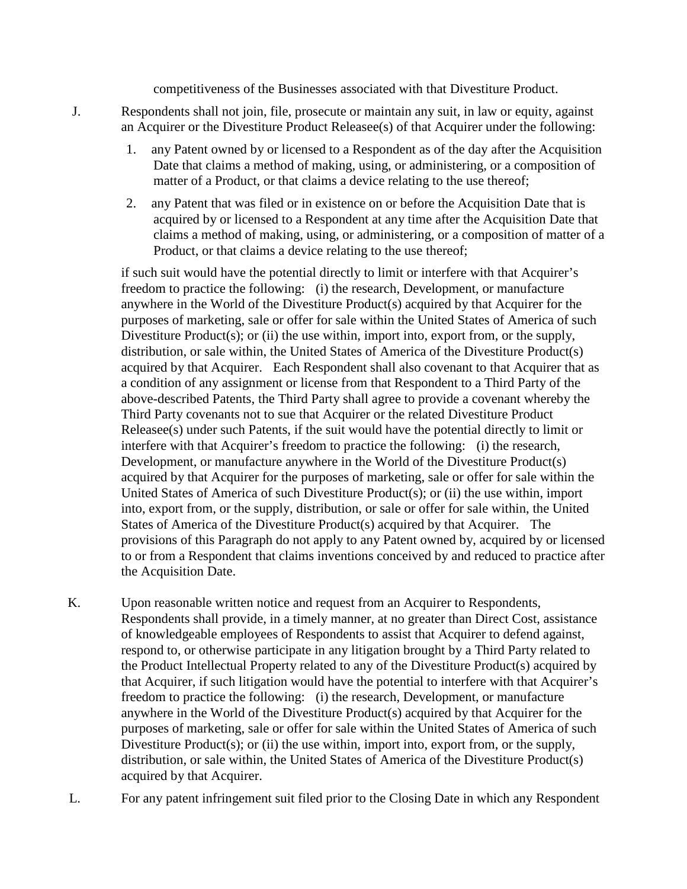competitiveness of the Businesses associated with that Divestiture Product.

- J. Respondents shall not join, file, prosecute or maintain any suit, in law or equity, against an Acquirer or the Divestiture Product Releasee(s) of that Acquirer under the following:
	- 1. any Patent owned by or licensed to a Respondent as of the day after the Acquisition Date that claims a method of making, using, or administering, or a composition of matter of a Product, or that claims a device relating to the use thereof;
	- 2. any Patent that was filed or in existence on or before the Acquisition Date that is acquired by or licensed to a Respondent at any time after the Acquisition Date that claims a method of making, using, or administering, or a composition of matter of a Product, or that claims a device relating to the use thereof;

if such suit would have the potential directly to limit or interfere with that Acquirer's freedom to practice the following: (i) the research, Development, or manufacture anywhere in the World of the Divestiture Product(s) acquired by that Acquirer for the purposes of marketing, sale or offer for sale within the United States of America of such Divestiture Product(s); or (ii) the use within, import into, export from, or the supply, distribution, or sale within, the United States of America of the Divestiture Product(s) acquired by that Acquirer. Each Respondent shall also covenant to that Acquirer that as a condition of any assignment or license from that Respondent to a Third Party of the above-described Patents, the Third Party shall agree to provide a covenant whereby the Third Party covenants not to sue that Acquirer or the related Divestiture Product Releasee(s) under such Patents, if the suit would have the potential directly to limit or interfere with that Acquirer's freedom to practice the following: (i) the research, Development, or manufacture anywhere in the World of the Divestiture Product(s) acquired by that Acquirer for the purposes of marketing, sale or offer for sale within the United States of America of such Divestiture Product(s); or (ii) the use within, import into, export from, or the supply, distribution, or sale or offer for sale within, the United States of America of the Divestiture Product(s) acquired by that Acquirer. The provisions of this Paragraph do not apply to any Patent owned by, acquired by or licensed to or from a Respondent that claims inventions conceived by and reduced to practice after the Acquisition Date.

- K. Upon reasonable written notice and request from an Acquirer to Respondents, Respondents shall provide, in a timely manner, at no greater than Direct Cost, assistance of knowledgeable employees of Respondents to assist that Acquirer to defend against, respond to, or otherwise participate in any litigation brought by a Third Party related to the Product Intellectual Property related to any of the Divestiture Product(s) acquired by that Acquirer, if such litigation would have the potential to interfere with that Acquirer's freedom to practice the following: (i) the research, Development, or manufacture anywhere in the World of the Divestiture Product(s) acquired by that Acquirer for the purposes of marketing, sale or offer for sale within the United States of America of such Divestiture Product(s); or (ii) the use within, import into, export from, or the supply, distribution, or sale within, the United States of America of the Divestiture Product(s) acquired by that Acquirer.
- L. For any patent infringement suit filed prior to the Closing Date in which any Respondent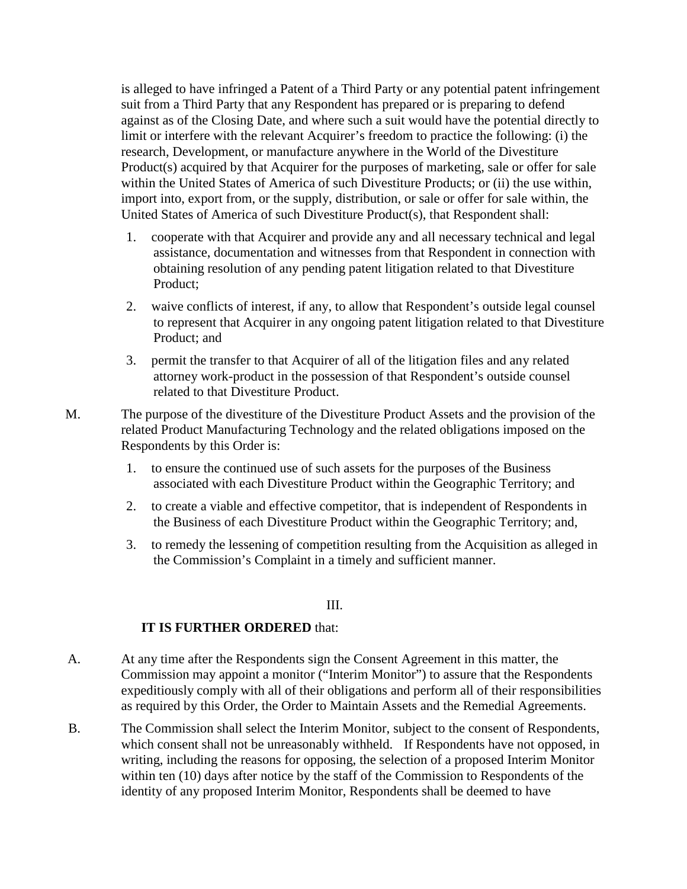is alleged to have infringed a Patent of a Third Party or any potential patent infringement suit from a Third Party that any Respondent has prepared or is preparing to defend against as of the Closing Date, and where such a suit would have the potential directly to limit or interfere with the relevant Acquirer's freedom to practice the following: (i) the research, Development, or manufacture anywhere in the World of the Divestiture Product(s) acquired by that Acquirer for the purposes of marketing, sale or offer for sale within the United States of America of such Divestiture Products; or (ii) the use within, import into, export from, or the supply, distribution, or sale or offer for sale within, the United States of America of such Divestiture Product(s), that Respondent shall:

- 1. cooperate with that Acquirer and provide any and all necessary technical and legal assistance, documentation and witnesses from that Respondent in connection with obtaining resolution of any pending patent litigation related to that Divestiture Product;
- 2. waive conflicts of interest, if any, to allow that Respondent's outside legal counsel to represent that Acquirer in any ongoing patent litigation related to that Divestiture Product; and
- 3. permit the transfer to that Acquirer of all of the litigation files and any related attorney work-product in the possession of that Respondent's outside counsel related to that Divestiture Product.
- M. The purpose of the divestiture of the Divestiture Product Assets and the provision of the related Product Manufacturing Technology and the related obligations imposed on the Respondents by this Order is:
	- 1. to ensure the continued use of such assets for the purposes of the Business associated with each Divestiture Product within the Geographic Territory; and
	- 2. to create a viable and effective competitor, that is independent of Respondents in the Business of each Divestiture Product within the Geographic Territory; and,
	- 3. to remedy the lessening of competition resulting from the Acquisition as alleged in the Commission's Complaint in a timely and sufficient manner.

III.

### **IT IS FURTHER ORDERED** that:

- A. At any time after the Respondents sign the Consent Agreement in this matter, the Commission may appoint a monitor ("Interim Monitor") to assure that the Respondents expeditiously comply with all of their obligations and perform all of their responsibilities as required by this Order, the Order to Maintain Assets and the Remedial Agreements.
- B. The Commission shall select the Interim Monitor, subject to the consent of Respondents, which consent shall not be unreasonably withheld. If Respondents have not opposed, in writing, including the reasons for opposing, the selection of a proposed Interim Monitor within ten (10) days after notice by the staff of the Commission to Respondents of the identity of any proposed Interim Monitor, Respondents shall be deemed to have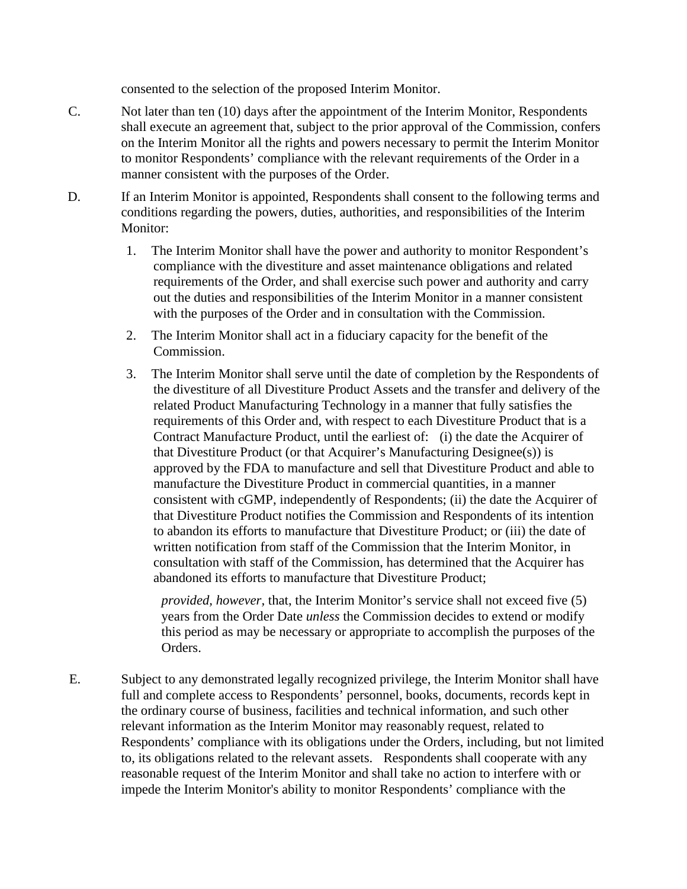consented to the selection of the proposed Interim Monitor.

- C. Not later than ten (10) days after the appointment of the Interim Monitor, Respondents shall execute an agreement that, subject to the prior approval of the Commission, confers on the Interim Monitor all the rights and powers necessary to permit the Interim Monitor to monitor Respondents' compliance with the relevant requirements of the Order in a manner consistent with the purposes of the Order.
- D. If an Interim Monitor is appointed, Respondents shall consent to the following terms and conditions regarding the powers, duties, authorities, and responsibilities of the Interim Monitor:
	- 1. The Interim Monitor shall have the power and authority to monitor Respondent's compliance with the divestiture and asset maintenance obligations and related requirements of the Order, and shall exercise such power and authority and carry out the duties and responsibilities of the Interim Monitor in a manner consistent with the purposes of the Order and in consultation with the Commission.
	- 2. The Interim Monitor shall act in a fiduciary capacity for the benefit of the Commission.
	- 3. The Interim Monitor shall serve until the date of completion by the Respondents of the divestiture of all Divestiture Product Assets and the transfer and delivery of the related Product Manufacturing Technology in a manner that fully satisfies the requirements of this Order and, with respect to each Divestiture Product that is a Contract Manufacture Product, until the earliest of: (i) the date the Acquirer of that Divestiture Product (or that Acquirer's Manufacturing Designee(s)) is approved by the FDA to manufacture and sell that Divestiture Product and able to manufacture the Divestiture Product in commercial quantities, in a manner consistent with cGMP, independently of Respondents; (ii) the date the Acquirer of that Divestiture Product notifies the Commission and Respondents of its intention to abandon its efforts to manufacture that Divestiture Product; or (iii) the date of written notification from staff of the Commission that the Interim Monitor, in consultation with staff of the Commission, has determined that the Acquirer has abandoned its efforts to manufacture that Divestiture Product;

*provided, however,* that, the Interim Monitor's service shall not exceed five (5) years from the Order Date *unless* the Commission decides to extend or modify this period as may be necessary or appropriate to accomplish the purposes of the Orders.

E. Subject to any demonstrated legally recognized privilege, the Interim Monitor shall have full and complete access to Respondents' personnel, books, documents, records kept in the ordinary course of business, facilities and technical information, and such other relevant information as the Interim Monitor may reasonably request, related to Respondents' compliance with its obligations under the Orders, including, but not limited to, its obligations related to the relevant assets. Respondents shall cooperate with any reasonable request of the Interim Monitor and shall take no action to interfere with or impede the Interim Monitor's ability to monitor Respondents' compliance with the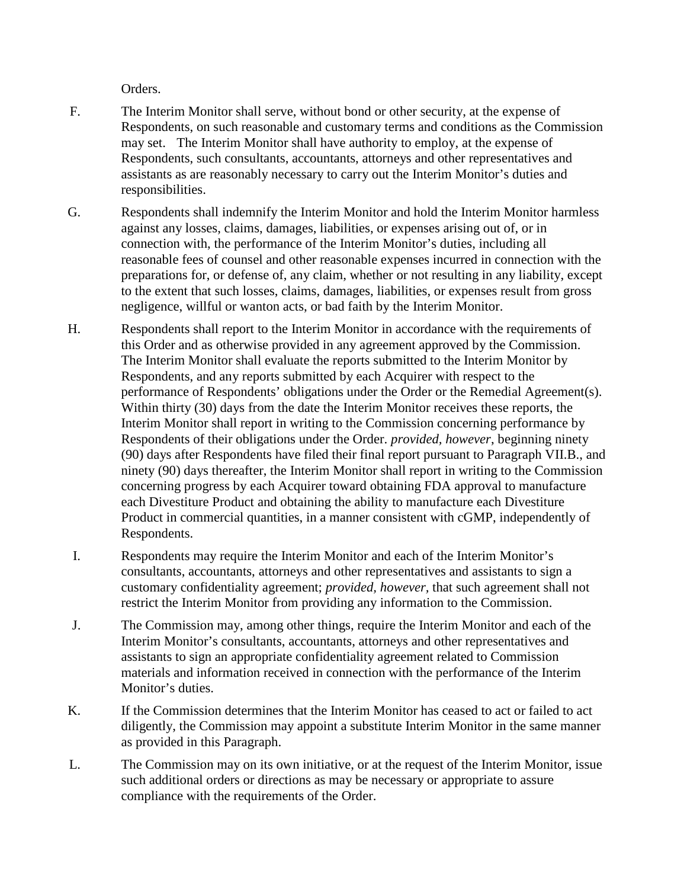Orders.

- F. The Interim Monitor shall serve, without bond or other security, at the expense of Respondents, on such reasonable and customary terms and conditions as the Commission may set. The Interim Monitor shall have authority to employ, at the expense of Respondents, such consultants, accountants, attorneys and other representatives and assistants as are reasonably necessary to carry out the Interim Monitor's duties and responsibilities.
- G. Respondents shall indemnify the Interim Monitor and hold the Interim Monitor harmless against any losses, claims, damages, liabilities, or expenses arising out of, or in connection with, the performance of the Interim Monitor's duties, including all reasonable fees of counsel and other reasonable expenses incurred in connection with the preparations for, or defense of, any claim, whether or not resulting in any liability, except to the extent that such losses, claims, damages, liabilities, or expenses result from gross negligence, willful or wanton acts, or bad faith by the Interim Monitor.
- H. Respondents shall report to the Interim Monitor in accordance with the requirements of this Order and as otherwise provided in any agreement approved by the Commission. The Interim Monitor shall evaluate the reports submitted to the Interim Monitor by Respondents, and any reports submitted by each Acquirer with respect to the performance of Respondents' obligations under the Order or the Remedial Agreement(s). Within thirty (30) days from the date the Interim Monitor receives these reports, the Interim Monitor shall report in writing to the Commission concerning performance by Respondents of their obligations under the Order. *provided, however*, beginning ninety (90) days after Respondents have filed their final report pursuant to Paragraph VII.B., and ninety (90) days thereafter, the Interim Monitor shall report in writing to the Commission concerning progress by each Acquirer toward obtaining FDA approval to manufacture each Divestiture Product and obtaining the ability to manufacture each Divestiture Product in commercial quantities, in a manner consistent with cGMP, independently of Respondents.
- I. Respondents may require the Interim Monitor and each of the Interim Monitor's consultants, accountants, attorneys and other representatives and assistants to sign a customary confidentiality agreement; *provided, however,* that such agreement shall not restrict the Interim Monitor from providing any information to the Commission.
- J. The Commission may, among other things, require the Interim Monitor and each of the Interim Monitor's consultants, accountants, attorneys and other representatives and assistants to sign an appropriate confidentiality agreement related to Commission materials and information received in connection with the performance of the Interim Monitor's duties.
- K. If the Commission determines that the Interim Monitor has ceased to act or failed to act diligently, the Commission may appoint a substitute Interim Monitor in the same manner as provided in this Paragraph.
- L. The Commission may on its own initiative, or at the request of the Interim Monitor, issue such additional orders or directions as may be necessary or appropriate to assure compliance with the requirements of the Order.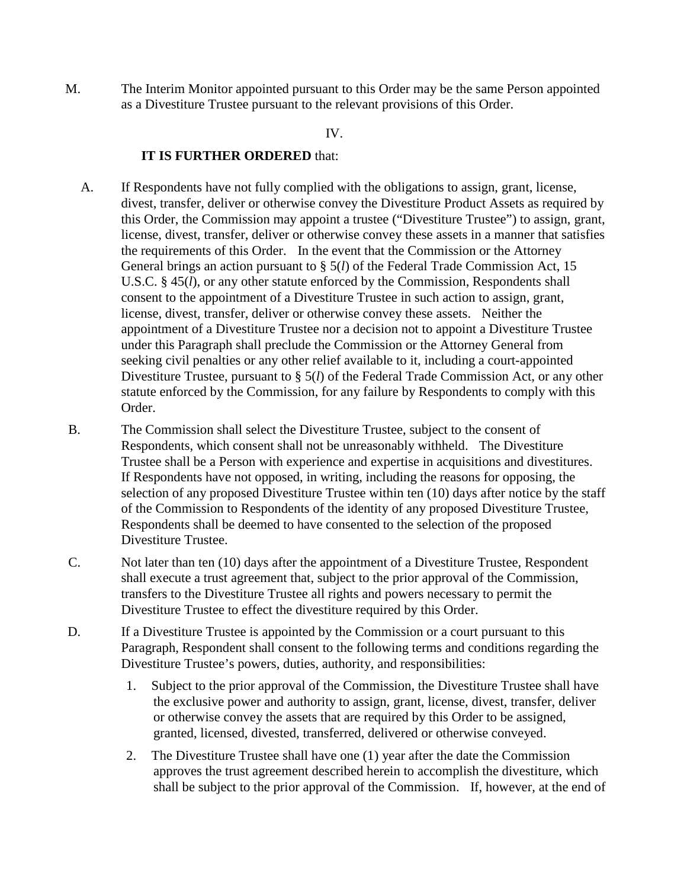M. The Interim Monitor appointed pursuant to this Order may be the same Person appointed as a Divestiture Trustee pursuant to the relevant provisions of this Order.

#### IV.

### **IT IS FURTHER ORDERED** that:

- A. If Respondents have not fully complied with the obligations to assign, grant, license, divest, transfer, deliver or otherwise convey the Divestiture Product Assets as required by this Order, the Commission may appoint a trustee ("Divestiture Trustee") to assign, grant, license, divest, transfer, deliver or otherwise convey these assets in a manner that satisfies the requirements of this Order. In the event that the Commission or the Attorney General brings an action pursuant to § 5(*l*) of the Federal Trade Commission Act, 15 U.S.C. § 45(*l*), or any other statute enforced by the Commission, Respondents shall consent to the appointment of a Divestiture Trustee in such action to assign, grant, license, divest, transfer, deliver or otherwise convey these assets. Neither the appointment of a Divestiture Trustee nor a decision not to appoint a Divestiture Trustee under this Paragraph shall preclude the Commission or the Attorney General from seeking civil penalties or any other relief available to it, including a court-appointed Divestiture Trustee, pursuant to § 5(*l*) of the Federal Trade Commission Act, or any other statute enforced by the Commission, for any failure by Respondents to comply with this Order.
- B. The Commission shall select the Divestiture Trustee, subject to the consent of Respondents, which consent shall not be unreasonably withheld. The Divestiture Trustee shall be a Person with experience and expertise in acquisitions and divestitures. If Respondents have not opposed, in writing, including the reasons for opposing, the selection of any proposed Divestiture Trustee within ten (10) days after notice by the staff of the Commission to Respondents of the identity of any proposed Divestiture Trustee, Respondents shall be deemed to have consented to the selection of the proposed Divestiture Trustee.
- C. Not later than ten (10) days after the appointment of a Divestiture Trustee, Respondent shall execute a trust agreement that, subject to the prior approval of the Commission, transfers to the Divestiture Trustee all rights and powers necessary to permit the Divestiture Trustee to effect the divestiture required by this Order.
- D. If a Divestiture Trustee is appointed by the Commission or a court pursuant to this Paragraph, Respondent shall consent to the following terms and conditions regarding the Divestiture Trustee's powers, duties, authority, and responsibilities:
	- 1. Subject to the prior approval of the Commission, the Divestiture Trustee shall have the exclusive power and authority to assign, grant, license, divest, transfer, deliver or otherwise convey the assets that are required by this Order to be assigned, granted, licensed, divested, transferred, delivered or otherwise conveyed.
	- 2. The Divestiture Trustee shall have one (1) year after the date the Commission approves the trust agreement described herein to accomplish the divestiture, which shall be subject to the prior approval of the Commission. If, however, at the end of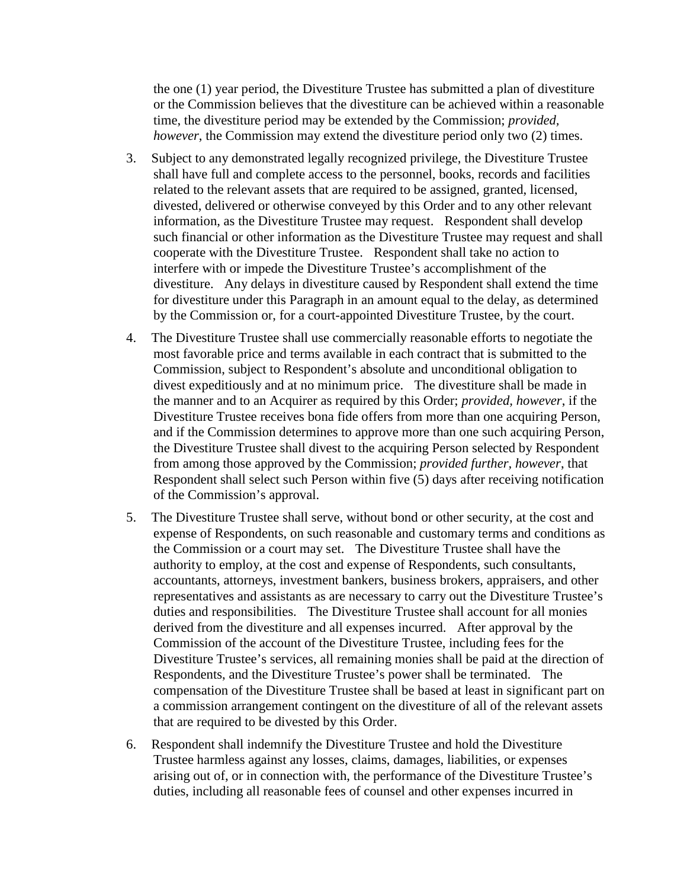the one (1) year period, the Divestiture Trustee has submitted a plan of divestiture or the Commission believes that the divestiture can be achieved within a reasonable time, the divestiture period may be extended by the Commission; *provided, however*, the Commission may extend the divestiture period only two (2) times.

- 3. Subject to any demonstrated legally recognized privilege, the Divestiture Trustee shall have full and complete access to the personnel, books, records and facilities related to the relevant assets that are required to be assigned, granted, licensed, divested, delivered or otherwise conveyed by this Order and to any other relevant information, as the Divestiture Trustee may request. Respondent shall develop such financial or other information as the Divestiture Trustee may request and shall cooperate with the Divestiture Trustee. Respondent shall take no action to interfere with or impede the Divestiture Trustee's accomplishment of the divestiture. Any delays in divestiture caused by Respondent shall extend the time for divestiture under this Paragraph in an amount equal to the delay, as determined by the Commission or, for a court-appointed Divestiture Trustee, by the court.
- 4. The Divestiture Trustee shall use commercially reasonable efforts to negotiate the most favorable price and terms available in each contract that is submitted to the Commission, subject to Respondent's absolute and unconditional obligation to divest expeditiously and at no minimum price. The divestiture shall be made in the manner and to an Acquirer as required by this Order; *provided, however*, if the Divestiture Trustee receives bona fide offers from more than one acquiring Person, and if the Commission determines to approve more than one such acquiring Person, the Divestiture Trustee shall divest to the acquiring Person selected by Respondent from among those approved by the Commission; *provided further, however*, that Respondent shall select such Person within five (5) days after receiving notification of the Commission's approval.
- 5. The Divestiture Trustee shall serve, without bond or other security, at the cost and expense of Respondents, on such reasonable and customary terms and conditions as the Commission or a court may set. The Divestiture Trustee shall have the authority to employ, at the cost and expense of Respondents, such consultants, accountants, attorneys, investment bankers, business brokers, appraisers, and other representatives and assistants as are necessary to carry out the Divestiture Trustee's duties and responsibilities. The Divestiture Trustee shall account for all monies derived from the divestiture and all expenses incurred. After approval by the Commission of the account of the Divestiture Trustee, including fees for the Divestiture Trustee's services, all remaining monies shall be paid at the direction of Respondents, and the Divestiture Trustee's power shall be terminated. The compensation of the Divestiture Trustee shall be based at least in significant part on a commission arrangement contingent on the divestiture of all of the relevant assets that are required to be divested by this Order.
- 6. Respondent shall indemnify the Divestiture Trustee and hold the Divestiture Trustee harmless against any losses, claims, damages, liabilities, or expenses arising out of, or in connection with, the performance of the Divestiture Trustee's duties, including all reasonable fees of counsel and other expenses incurred in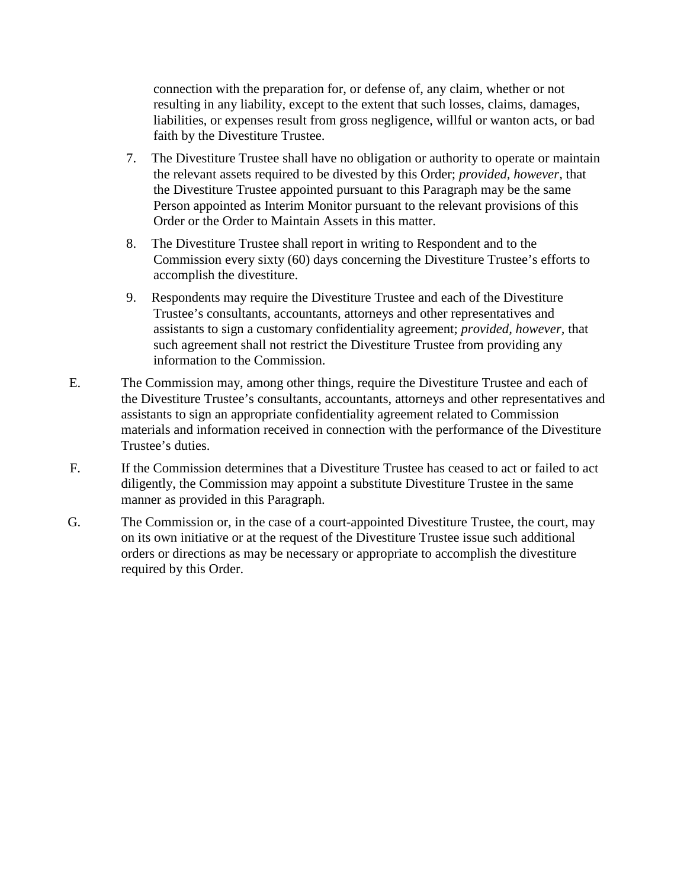connection with the preparation for, or defense of, any claim, whether or not resulting in any liability, except to the extent that such losses, claims, damages, liabilities, or expenses result from gross negligence, willful or wanton acts, or bad faith by the Divestiture Trustee.

- 7. The Divestiture Trustee shall have no obligation or authority to operate or maintain the relevant assets required to be divested by this Order; *provided, however,* that the Divestiture Trustee appointed pursuant to this Paragraph may be the same Person appointed as Interim Monitor pursuant to the relevant provisions of this Order or the Order to Maintain Assets in this matter.
- 8. The Divestiture Trustee shall report in writing to Respondent and to the Commission every sixty (60) days concerning the Divestiture Trustee's efforts to accomplish the divestiture.
- 9. Respondents may require the Divestiture Trustee and each of the Divestiture Trustee's consultants, accountants, attorneys and other representatives and assistants to sign a customary confidentiality agreement; *provided, however,* that such agreement shall not restrict the Divestiture Trustee from providing any information to the Commission.
- E. The Commission may, among other things, require the Divestiture Trustee and each of the Divestiture Trustee's consultants, accountants, attorneys and other representatives and assistants to sign an appropriate confidentiality agreement related to Commission materials and information received in connection with the performance of the Divestiture Trustee's duties.
- F. If the Commission determines that a Divestiture Trustee has ceased to act or failed to act diligently, the Commission may appoint a substitute Divestiture Trustee in the same manner as provided in this Paragraph.
- G. The Commission or, in the case of a court-appointed Divestiture Trustee, the court, may on its own initiative or at the request of the Divestiture Trustee issue such additional orders or directions as may be necessary or appropriate to accomplish the divestiture required by this Order.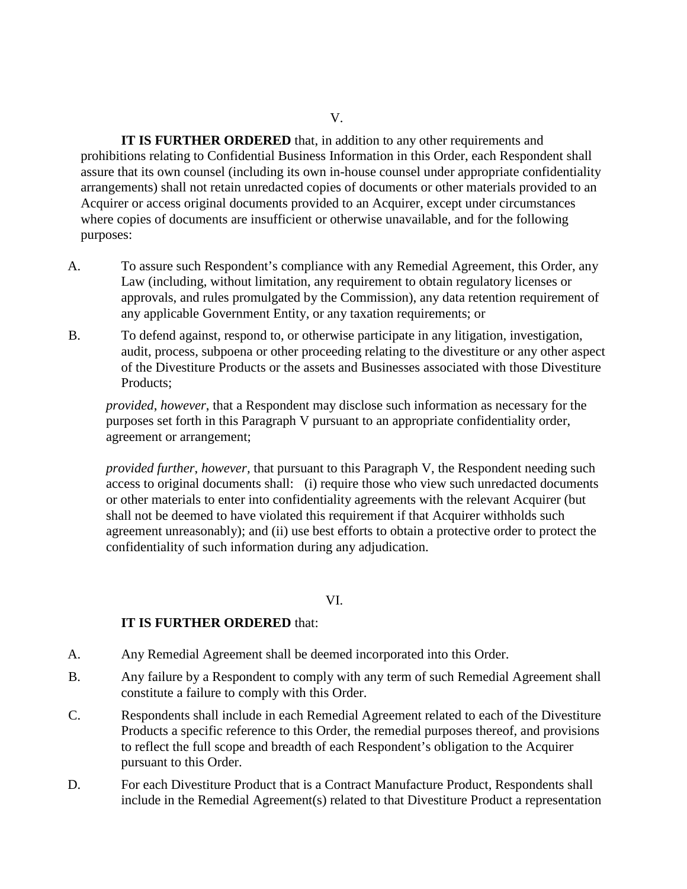V.

**IT IS FURTHER ORDERED** that, in addition to any other requirements and prohibitions relating to Confidential Business Information in this Order, each Respondent shall assure that its own counsel (including its own in-house counsel under appropriate confidentiality arrangements) shall not retain unredacted copies of documents or other materials provided to an Acquirer or access original documents provided to an Acquirer, except under circumstances where copies of documents are insufficient or otherwise unavailable, and for the following purposes:

- A. To assure such Respondent's compliance with any Remedial Agreement, this Order, any Law (including, without limitation, any requirement to obtain regulatory licenses or approvals, and rules promulgated by the Commission), any data retention requirement of any applicable Government Entity, or any taxation requirements; or
- B. To defend against, respond to, or otherwise participate in any litigation, investigation, audit, process, subpoena or other proceeding relating to the divestiture or any other aspect of the Divestiture Products or the assets and Businesses associated with those Divestiture Products;

*provided*, *however*, that a Respondent may disclose such information as necessary for the purposes set forth in this Paragraph V pursuant to an appropriate confidentiality order, agreement or arrangement;

*provided further*, *however,* that pursuant to this Paragraph V, the Respondent needing such access to original documents shall: (i) require those who view such unredacted documents or other materials to enter into confidentiality agreements with the relevant Acquirer (but shall not be deemed to have violated this requirement if that Acquirer withholds such agreement unreasonably); and (ii) use best efforts to obtain a protective order to protect the confidentiality of such information during any adjudication.

#### VI.

### **IT IS FURTHER ORDERED** that:

- A. Any Remedial Agreement shall be deemed incorporated into this Order.
- B. Any failure by a Respondent to comply with any term of such Remedial Agreement shall constitute a failure to comply with this Order.
- C. Respondents shall include in each Remedial Agreement related to each of the Divestiture Products a specific reference to this Order, the remedial purposes thereof, and provisions to reflect the full scope and breadth of each Respondent's obligation to the Acquirer pursuant to this Order.
- D. For each Divestiture Product that is a Contract Manufacture Product, Respondents shall include in the Remedial Agreement(s) related to that Divestiture Product a representation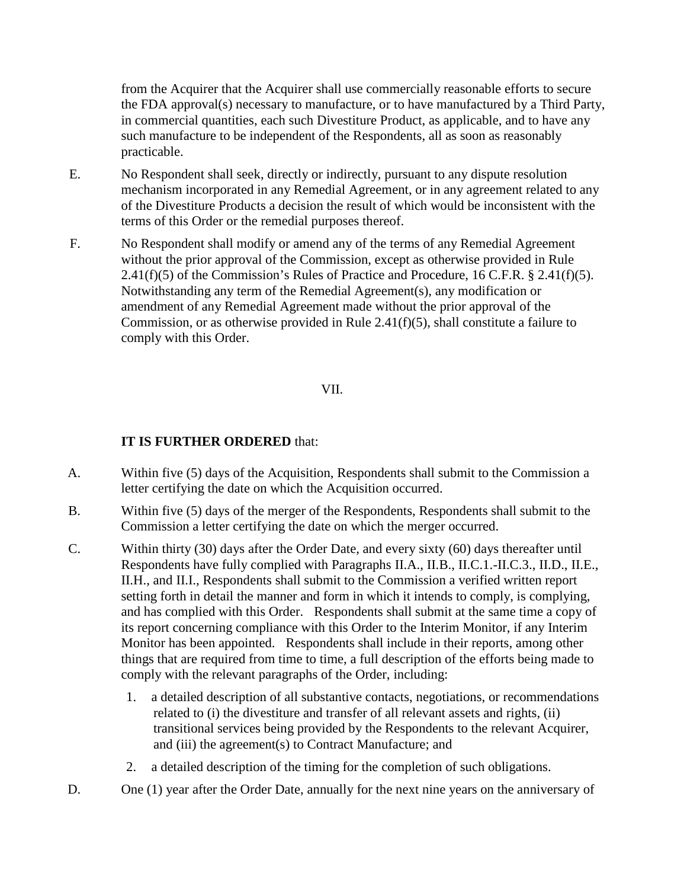from the Acquirer that the Acquirer shall use commercially reasonable efforts to secure the FDA approval(s) necessary to manufacture, or to have manufactured by a Third Party, in commercial quantities, each such Divestiture Product, as applicable, and to have any such manufacture to be independent of the Respondents, all as soon as reasonably practicable.

- E. No Respondent shall seek, directly or indirectly, pursuant to any dispute resolution mechanism incorporated in any Remedial Agreement, or in any agreement related to any of the Divestiture Products a decision the result of which would be inconsistent with the terms of this Order or the remedial purposes thereof.
- F. No Respondent shall modify or amend any of the terms of any Remedial Agreement without the prior approval of the Commission, except as otherwise provided in Rule  $2.41(f)(5)$  of the Commission's Rules of Practice and Procedure, 16 C.F.R. § 2.41(f)(5). Notwithstanding any term of the Remedial Agreement(s), any modification or amendment of any Remedial Agreement made without the prior approval of the Commission, or as otherwise provided in Rule 2.41(f)(5), shall constitute a failure to comply with this Order.

## VII.

## **IT IS FURTHER ORDERED** that:

- A. Within five (5) days of the Acquisition, Respondents shall submit to the Commission a letter certifying the date on which the Acquisition occurred.
- B. Within five (5) days of the merger of the Respondents, Respondents shall submit to the Commission a letter certifying the date on which the merger occurred.
- C. Within thirty (30) days after the Order Date, and every sixty (60) days thereafter until Respondents have fully complied with Paragraphs II.A., II.B., II.C.1.-II.C.3., II.D., II.E., II.H., and II.I., Respondents shall submit to the Commission a verified written report setting forth in detail the manner and form in which it intends to comply, is complying, and has complied with this Order. Respondents shall submit at the same time a copy of its report concerning compliance with this Order to the Interim Monitor, if any Interim Monitor has been appointed. Respondents shall include in their reports, among other things that are required from time to time, a full description of the efforts being made to comply with the relevant paragraphs of the Order, including:
	- 1. a detailed description of all substantive contacts, negotiations, or recommendations related to (i) the divestiture and transfer of all relevant assets and rights, (ii) transitional services being provided by the Respondents to the relevant Acquirer, and (iii) the agreement(s) to Contract Manufacture; and
	- 2. a detailed description of the timing for the completion of such obligations.
- D. One (1) year after the Order Date, annually for the next nine years on the anniversary of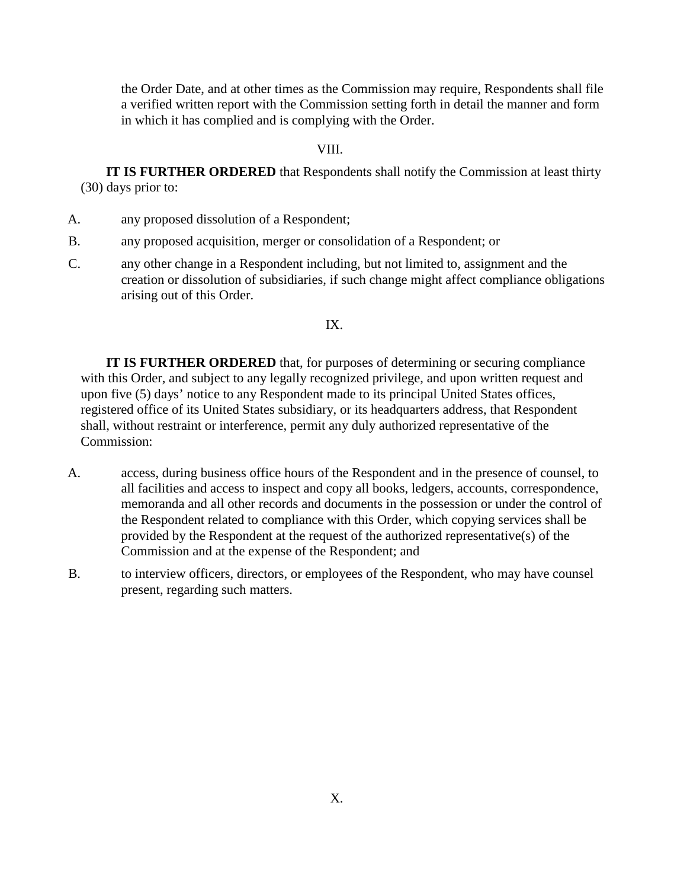the Order Date, and at other times as the Commission may require, Respondents shall file a verified written report with the Commission setting forth in detail the manner and form in which it has complied and is complying with the Order.

#### VIII.

**IT IS FURTHER ORDERED** that Respondents shall notify the Commission at least thirty (30) days prior to:

- A. any proposed dissolution of a Respondent;
- B. any proposed acquisition, merger or consolidation of a Respondent; or
- C. any other change in a Respondent including, but not limited to, assignment and the creation or dissolution of subsidiaries, if such change might affect compliance obligations arising out of this Order.

#### IX.

**IT IS FURTHER ORDERED** that, for purposes of determining or securing compliance with this Order, and subject to any legally recognized privilege, and upon written request and upon five (5) days' notice to any Respondent made to its principal United States offices, registered office of its United States subsidiary, or its headquarters address, that Respondent shall, without restraint or interference, permit any duly authorized representative of the Commission:

- A. access, during business office hours of the Respondent and in the presence of counsel, to all facilities and access to inspect and copy all books, ledgers, accounts, correspondence, memoranda and all other records and documents in the possession or under the control of the Respondent related to compliance with this Order, which copying services shall be provided by the Respondent at the request of the authorized representative(s) of the Commission and at the expense of the Respondent; and
- B. to interview officers, directors, or employees of the Respondent, who may have counsel present, regarding such matters.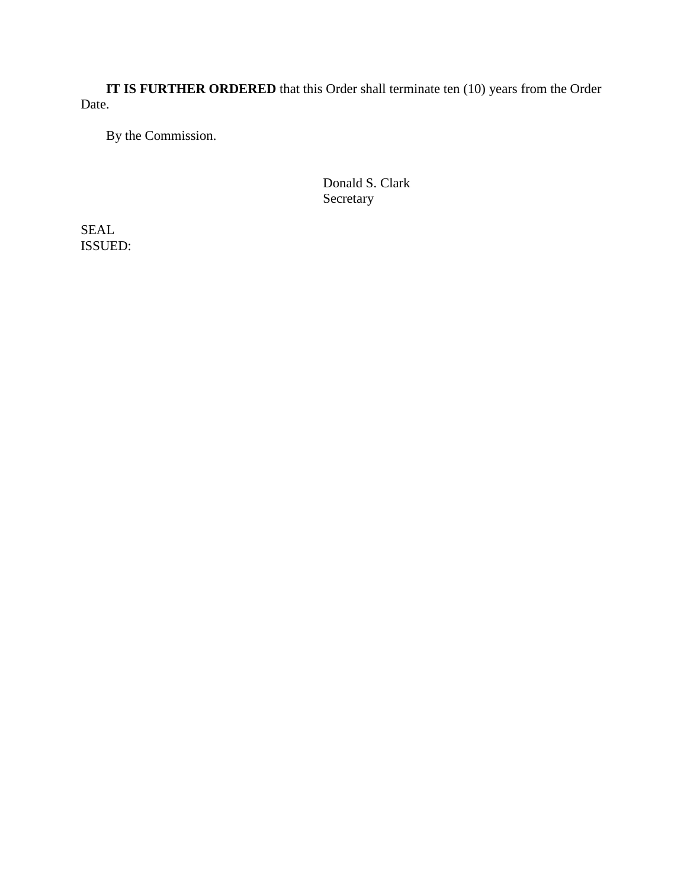**IT IS FURTHER ORDERED** that this Order shall terminate ten (10) years from the Order Date.

By the Commission.

Donald S. Clark Secretary

SEAL ISSUED: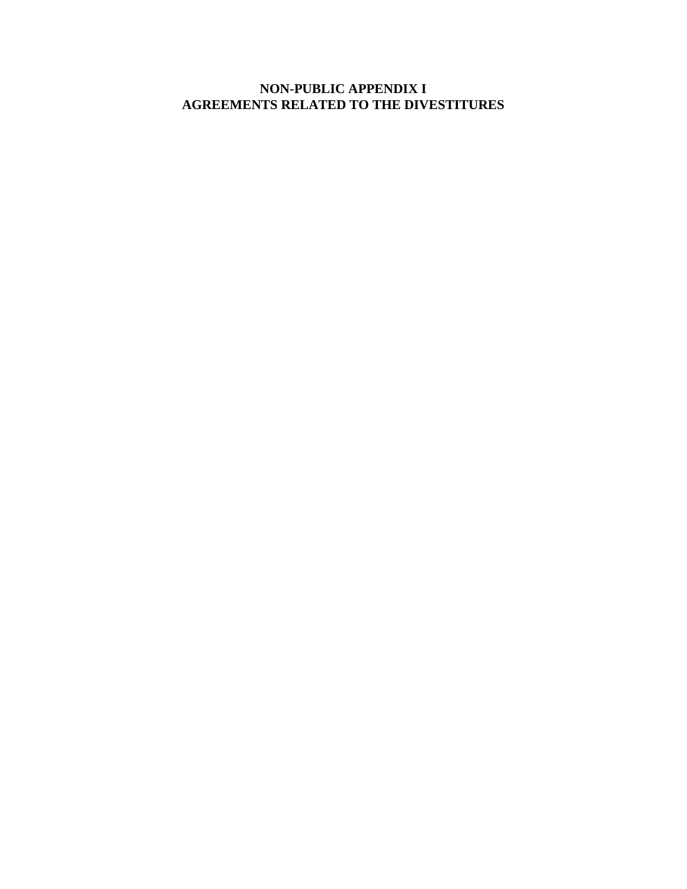# **NON-PUBLIC APPENDIX I AGREEMENTS RELATED TO THE DIVESTITURES**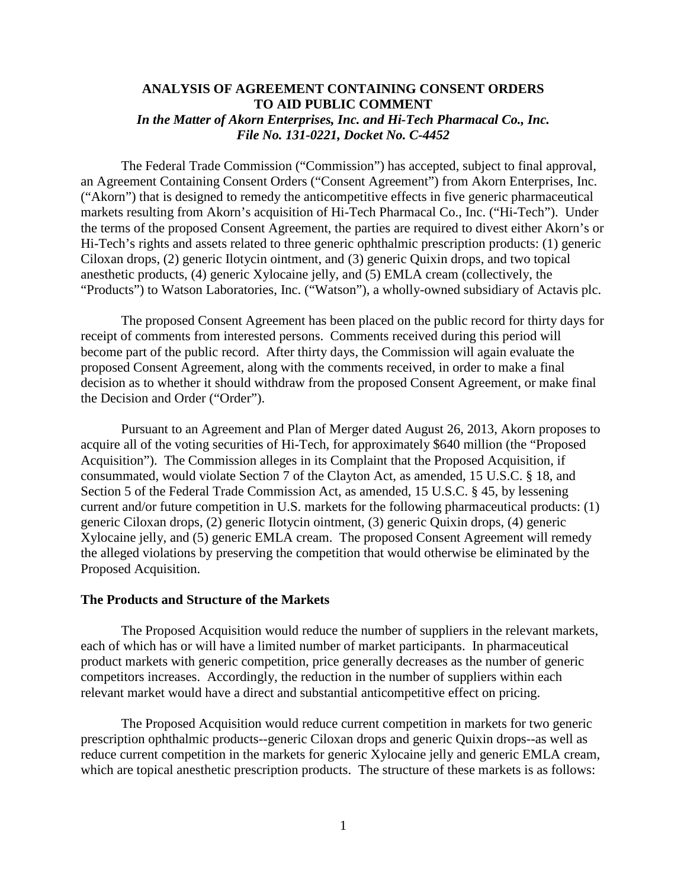### **ANALYSIS OF AGREEMENT CONTAINING CONSENT ORDERS TO AID PUBLIC COMMENT** *In the Matter of Akorn Enterprises, Inc. and Hi-Tech Pharmacal Co., Inc. File No. 131-0221, Docket No. C-4452*

 The Federal Trade Commission ("Commission") has accepted, subject to final approval, an Agreement Containing Consent Orders ("Consent Agreement") from Akorn Enterprises, Inc. ("Akorn") that is designed to remedy the anticompetitive effects in five generic pharmaceutical markets resulting from Akorn's acquisition of Hi-Tech Pharmacal Co., Inc. ("Hi-Tech"). Under the terms of the proposed Consent Agreement, the parties are required to divest either Akorn's or Hi-Tech's rights and assets related to three generic ophthalmic prescription products: (1) generic Ciloxan drops, (2) generic Ilotycin ointment, and (3) generic Quixin drops, and two topical anesthetic products, (4) generic Xylocaine jelly, and (5) EMLA cream (collectively, the "Products") to Watson Laboratories, Inc. ("Watson"), a wholly-owned subsidiary of Actavis plc.

 The proposed Consent Agreement has been placed on the public record for thirty days for receipt of comments from interested persons. Comments received during this period will become part of the public record. After thirty days, the Commission will again evaluate the proposed Consent Agreement, along with the comments received, in order to make a final decision as to whether it should withdraw from the proposed Consent Agreement, or make final the Decision and Order ("Order").

 Pursuant to an Agreement and Plan of Merger dated August 26, 2013, Akorn proposes to acquire all of the voting securities of Hi-Tech, for approximately \$640 million (the "Proposed Acquisition"). The Commission alleges in its Complaint that the Proposed Acquisition, if consummated, would violate Section 7 of the Clayton Act, as amended, 15 U.S.C. § 18, and Section 5 of the Federal Trade Commission Act, as amended, 15 U.S.C. § 45, by lessening current and/or future competition in U.S. markets for the following pharmaceutical products: (1) generic Ciloxan drops, (2) generic Ilotycin ointment, (3) generic Quixin drops, (4) generic Xylocaine jelly, and (5) generic EMLA cream. The proposed Consent Agreement will remedy the alleged violations by preserving the competition that would otherwise be eliminated by the Proposed Acquisition.

#### **The Products and Structure of the Markets**

The Proposed Acquisition would reduce the number of suppliers in the relevant markets, each of which has or will have a limited number of market participants. In pharmaceutical product markets with generic competition, price generally decreases as the number of generic competitors increases. Accordingly, the reduction in the number of suppliers within each relevant market would have a direct and substantial anticompetitive effect on pricing.

The Proposed Acquisition would reduce current competition in markets for two generic prescription ophthalmic products--generic Ciloxan drops and generic Quixin drops--as well as reduce current competition in the markets for generic Xylocaine jelly and generic EMLA cream, which are topical anesthetic prescription products. The structure of these markets is as follows: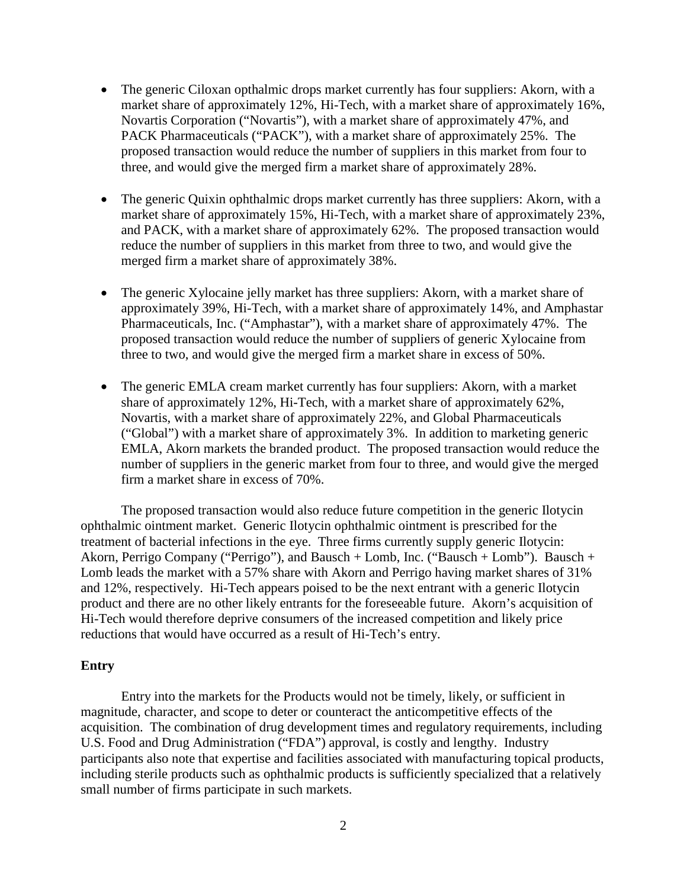- The generic Ciloxan opthalmic drops market currently has four suppliers: Akorn, with a market share of approximately 12%, Hi-Tech, with a market share of approximately 16%, Novartis Corporation ("Novartis"), with a market share of approximately 47%, and PACK Pharmaceuticals ("PACK"), with a market share of approximately 25%. The proposed transaction would reduce the number of suppliers in this market from four to three, and would give the merged firm a market share of approximately 28%.
- The generic Quixin ophthalmic drops market currently has three suppliers: Akorn, with a market share of approximately 15%, Hi-Tech, with a market share of approximately 23%, and PACK, with a market share of approximately 62%. The proposed transaction would reduce the number of suppliers in this market from three to two, and would give the merged firm a market share of approximately 38%.
- The generic Xylocaine jelly market has three suppliers: Akorn, with a market share of approximately 39%, Hi-Tech, with a market share of approximately 14%, and Amphastar Pharmaceuticals, Inc. ("Amphastar"), with a market share of approximately 47%. The proposed transaction would reduce the number of suppliers of generic Xylocaine from three to two, and would give the merged firm a market share in excess of 50%.
- The generic EMLA cream market currently has four suppliers: Akorn, with a market share of approximately 12%, Hi-Tech, with a market share of approximately 62%, Novartis, with a market share of approximately 22%, and Global Pharmaceuticals ("Global") with a market share of approximately 3%. In addition to marketing generic EMLA, Akorn markets the branded product. The proposed transaction would reduce the number of suppliers in the generic market from four to three, and would give the merged firm a market share in excess of 70%.

The proposed transaction would also reduce future competition in the generic Ilotycin ophthalmic ointment market. Generic Ilotycin ophthalmic ointment is prescribed for the treatment of bacterial infections in the eye. Three firms currently supply generic Ilotycin: Akorn, Perrigo Company ("Perrigo"), and Bausch + Lomb, Inc. ("Bausch + Lomb"). Bausch + Lomb leads the market with a 57% share with Akorn and Perrigo having market shares of 31% and 12%, respectively.Hi-Tech appears poised to be the next entrant with a generic Ilotycin product and there are no other likely entrants for the foreseeable future. Akorn's acquisition of Hi-Tech would therefore deprive consumers of the increased competition and likely price reductions that would have occurred as a result of Hi-Tech's entry.

#### **Entry**

 Entry into the markets for the Products would not be timely, likely, or sufficient in magnitude, character, and scope to deter or counteract the anticompetitive effects of the acquisition. The combination of drug development times and regulatory requirements, including U.S. Food and Drug Administration ("FDA") approval, is costly and lengthy. Industry participants also note that expertise and facilities associated with manufacturing topical products, including sterile products such as ophthalmic products is sufficiently specialized that a relatively small number of firms participate in such markets.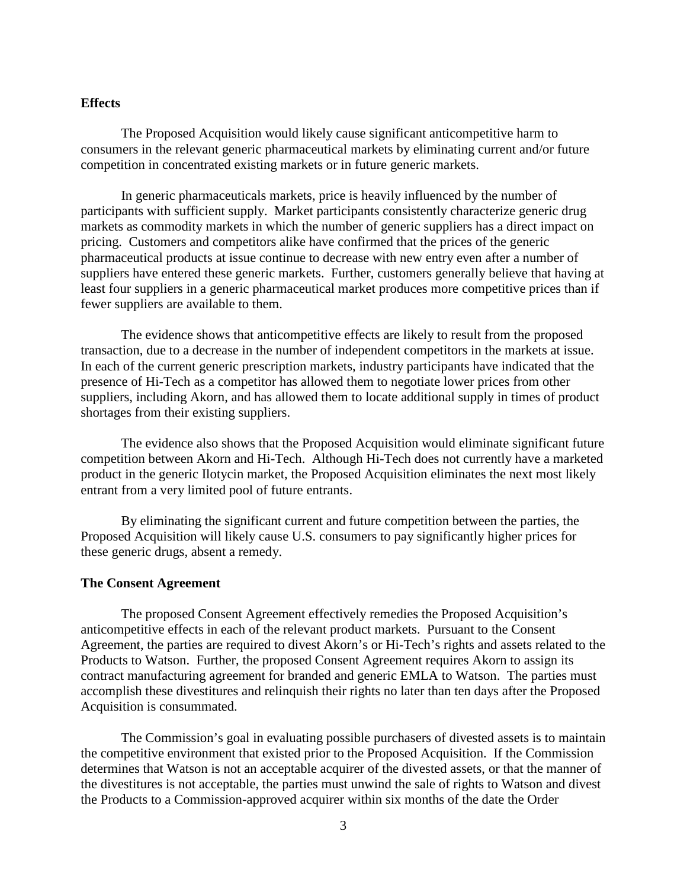#### **Effects**

 The Proposed Acquisition would likely cause significant anticompetitive harm to consumers in the relevant generic pharmaceutical markets by eliminating current and/or future competition in concentrated existing markets or in future generic markets.

In generic pharmaceuticals markets, price is heavily influenced by the number of participants with sufficient supply. Market participants consistently characterize generic drug markets as commodity markets in which the number of generic suppliers has a direct impact on pricing. Customers and competitors alike have confirmed that the prices of the generic pharmaceutical products at issue continue to decrease with new entry even after a number of suppliers have entered these generic markets. Further, customers generally believe that having at least four suppliers in a generic pharmaceutical market produces more competitive prices than if fewer suppliers are available to them.

The evidence shows that anticompetitive effects are likely to result from the proposed transaction, due to a decrease in the number of independent competitors in the markets at issue. In each of the current generic prescription markets, industry participants have indicated that the presence of Hi-Tech as a competitor has allowed them to negotiate lower prices from other suppliers, including Akorn, and has allowed them to locate additional supply in times of product shortages from their existing suppliers.

 The evidence also shows that the Proposed Acquisition would eliminate significant future competition between Akorn and Hi-Tech. Although Hi-Tech does not currently have a marketed product in the generic Ilotycin market, the Proposed Acquisition eliminates the next most likely entrant from a very limited pool of future entrants.

By eliminating the significant current and future competition between the parties, the Proposed Acquisition will likely cause U.S. consumers to pay significantly higher prices for these generic drugs, absent a remedy.

#### **The Consent Agreement**

 The proposed Consent Agreement effectively remedies the Proposed Acquisition's anticompetitive effects in each of the relevant product markets. Pursuant to the Consent Agreement, the parties are required to divest Akorn's or Hi-Tech's rights and assets related to the Products to Watson. Further, the proposed Consent Agreement requires Akorn to assign its contract manufacturing agreement for branded and generic EMLA to Watson. The parties must accomplish these divestitures and relinquish their rights no later than ten days after the Proposed Acquisition is consummated.

 The Commission's goal in evaluating possible purchasers of divested assets is to maintain the competitive environment that existed prior to the Proposed Acquisition. If the Commission determines that Watson is not an acceptable acquirer of the divested assets, or that the manner of the divestitures is not acceptable, the parties must unwind the sale of rights to Watson and divest the Products to a Commission-approved acquirer within six months of the date the Order